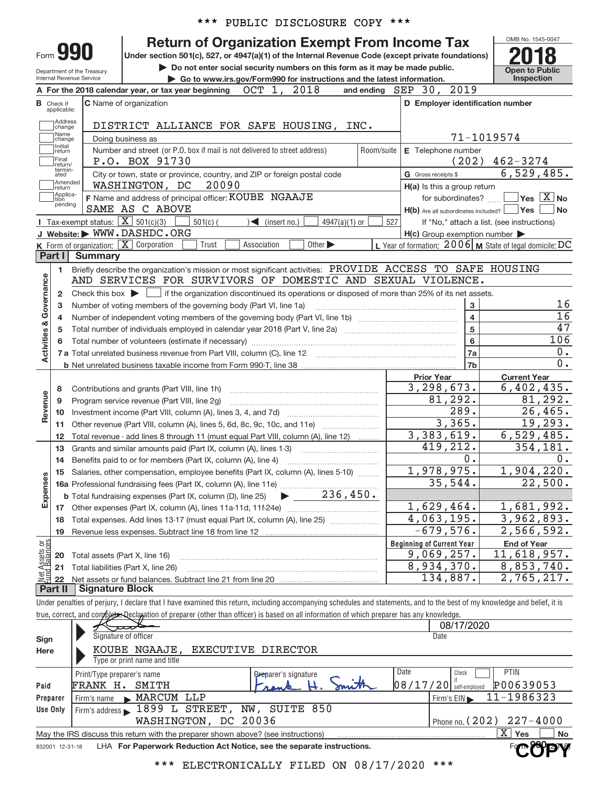|  |  | *** PUBLIC DISCLOSURE COPY *** |  |  |
|--|--|--------------------------------|--|--|
|--|--|--------------------------------|--|--|

#### OMB No. 1545+0047 Department of the Treasury Internal Revenue Service Check if applicable: Address<br>
Change Name<br>
change Initial<br>return Final **P.O. BOX 91730**<br>return/<br>ated City or town, state or province, country, and ZIP or foreign postal code **G** Gross receipts \$ Amended<br>Treturn Applica-Are all subordinates included? **Under section 501(c), 527, or 4947(a)(1) of the Internal Revenue Code (except private foundations) but the Do not enter social security numbers on this form as it may be made public.** The other of public **and the latest information.** The Co to www.irs.gov/Form990 for instructions and the latest information. Inspection **| Go to www.irs.gov/Form990 for instructions and the latest information. Inspection A For the 2018 calendar year, or tax year beginning OCT 1, 2018 B** Check if **C** Name of organization **D D** Employer identification number **E** Telephone number G Gross receipts \$ **H(a)** Is this a group return **H(b) F** Applica- **F** Name and address of principal officer: **KOUBE NGAAJE X** tor subordinates? **THE** Yes **X** No **Yes**  $\Box$  No Number and street (or P.O. box if mail is not delivered to street address) | Room/suite | E Telephone number Form C Name of organization Doing business as **990** Return of Organization Exempt From Income Tax **2018** No. 1545-00-<br>
Under section 501(c), 527, or 4947(a)(1) of the Internal Revenue Code (except private foundations) Final<br>Treturn/<br>termin-<br>ated  $\begin{array}{c} \hline \end{array}$  $\Box$  Yes  $\Box$ and ending  $SEP$  30, 2019 DISTRICT ALLIANCE FOR SAFE HOUSING, INC. 71-1019574 P.O. BOX 91730 (202) 462-3274 6,529,485. WASHINGTON, DC 20090 SAME AS C ABOVE

| OMB No. 1545-0047<br><b>Return of Organization Exempt From Income Tax</b><br>Form <b>990</b><br>Under section 501(c), 527, or 4947(a)(1) of the Internal Revenue Code (except private foundations)<br>Do not enter social security numbers on this form as it may be made public.<br><b>Open to Public</b><br>Department of the Treasury<br>Inspection<br>Internal Revenue Service<br>Go to www.irs.gov/Form990 for instructions and the latest information.<br>OCT 1, 2018<br>and ending SEP 30, 2019<br>A For the 2018 calendar year, or tax year beginning<br><b>C</b> Name of organization<br>D Employer identification number<br><b>B</b> Check if<br>applicable:<br>Address<br>DISTRICT ALLIANCE FOR SAFE HOUSING, INC.<br>change<br>Name<br>71-1019574<br>Doing business as<br>change<br>Initial<br>Number and street (or P.O. box if mail is not delivered to street address)<br>Room/suite<br>E Telephone number<br>return<br>Final<br>$462 - 3274$<br>(202)<br>P.O. BOX 91730<br>return/<br>termin-<br>6, 529, 485.<br>City or town, state or province, country, and ZIP or foreign postal code<br>G Gross receipts \$<br>ated<br>Amended<br>20090<br>WASHINGTON, DC<br>H(a) Is this a group return<br>return<br>Applica-<br>$\overline{\mathsf{Yes} \mathbb{X}}$ No<br>F Name and address of principal officer: KOUBE NGAAJE<br>for subordinates?<br>tion<br>pending<br>SAME AS C ABOVE<br>$H(b)$ Are all subordinates included? $\Box$ Yes $\Box$<br><b>No</b><br><b>I</b> Tax-exempt status: $\boxed{\mathbf{X}}$ 501(c)(3)<br>$\leq$ (insert no.)<br>$4947(a)(1)$ or<br>$501(c)$ (<br>527<br>If "No," attach a list. (see instructions)<br>J Website: WWW.DASHDC.ORG<br>$H(c)$ Group exemption number $\blacktriangleright$<br>L Year of formation: 2006   M State of legal domicile: DC<br><b>K</b> Form of organization: $\boxed{\mathbf{X}}$ Corporation<br>Association<br>Other $\blacktriangleright$<br>Trust<br>Part I<br><b>Summary</b><br>Briefly describe the organization's mission or most significant activities: PROVIDE ACCESS TO SAFE HOUSING<br>1<br>Activities & Governance<br>AND SERVICES FOR SURVIVORS OF DOMESTIC AND SEXUAL VIOLENCE.<br>Check this box $\blacktriangleright$ $\Box$ if the organization discontinued its operations or disposed of more than 25% of its net assets.<br>$\overline{2}$<br>16<br>3<br>3<br>Number of voting members of the governing body (Part VI, line 1a)<br>16<br>$\overline{\mathbf{4}}$<br>4<br>47<br>$\overline{5}$<br>5<br>106<br>6<br>6<br>$0$ .<br>7a<br>0.<br>7b<br><b>Current Year</b><br><b>Prior Year</b><br>$\overline{3,298},673.$<br>6,402,435.<br>8<br>Contributions and grants (Part VIII, line 1h)<br>Revenue<br>81,292.<br>81,292.<br>9<br>Program service revenue (Part VIII, line 2g)<br>289.<br>26,465.<br>10<br>3,365.<br>19,293.<br>11<br>Other revenue (Part VIII, column (A), lines 5, 6d, 8c, 9c, 10c, and 11e)<br>3,383,619.<br>6, 529, 485.<br>Total revenue - add lines 8 through 11 (must equal Part VIII, column (A), line 12)<br>12<br>419,212.<br>354,181.<br>Grants and similar amounts paid (Part IX, column (A), lines 1-3)<br>13<br>0.<br>0.<br>Benefits paid to or for members (Part IX, column (A), line 4)<br>14<br>1,978,975.<br>1,904,220.<br>Salaries, other compensation, employee benefits (Part IX, column (A), lines 5-10)<br>15<br>Expenses<br>35,544.<br>22,500.<br>236,450.<br><b>b</b> Total fundraising expenses (Part IX, column (D), line 25)<br>1,629,464.<br>1,681,992.<br>17<br>4,063,195.<br>3,962,893.<br>Total expenses. Add lines 13-17 (must equal Part IX, column (A), line 25)<br>18<br>$-679,576.$<br>2,566,592.<br>19<br>Net Assets or<br>Fund Balances<br><b>Beginning of Current Year</b><br><b>End of Year</b><br>9,069,257.<br>11,618,957.<br>20<br>Total assets (Part X, line 16)<br>8,934,370.<br>8,853,740.<br>21<br>Total liabilities (Part X, line 26)<br>134,887.<br>$\overline{2,765},217.$<br>22<br><b>Signature Block</b><br>Part II<br>Under penalties of perjury, I declare that I have examined this return, including accompanying schedules and statements, and to the best of my knowledge and belief, it is<br>true, correct, and complete. Declaration of preparer (other than officer) is based on all information of which preparer has any knowledge.<br>08/17/2020<br>Signature of officer<br>Date<br>Sign<br>KOUBE NGAAJE,<br><b>EXECUTIVE DIRECTOR</b><br>Here<br>Type or print name and title<br><b>Date</b><br>PTIN<br>Check<br>Print/Type preparer's name<br>Preparer's signature<br>$08/17/20$ self-employed<br>P00639053<br>FRANK H. SMITH<br>Paid<br>11-1986323<br>MARCUM LLP<br>Firm's name<br>Firm's EIN<br>Preparer<br>Firm's address 1899 L STREET, NW, SUITE 850<br>Use Only<br>WASHINGTON, DC 20036<br>Phone no. (202)<br>$227 - 4000$<br>$\overline{X}$ Yes<br>May the IRS discuss this return with the preparer shown above? (see instructions)<br>No.<br>LHA For Paperwork Reduction Act Notice, see the separate instructions.<br>832001 12-31-18 |  | PUBLIC DISCLOSURE COPY ***<br>*** |  |  |  |  |  |  |  |  |
|--------------------------------------------------------------------------------------------------------------------------------------------------------------------------------------------------------------------------------------------------------------------------------------------------------------------------------------------------------------------------------------------------------------------------------------------------------------------------------------------------------------------------------------------------------------------------------------------------------------------------------------------------------------------------------------------------------------------------------------------------------------------------------------------------------------------------------------------------------------------------------------------------------------------------------------------------------------------------------------------------------------------------------------------------------------------------------------------------------------------------------------------------------------------------------------------------------------------------------------------------------------------------------------------------------------------------------------------------------------------------------------------------------------------------------------------------------------------------------------------------------------------------------------------------------------------------------------------------------------------------------------------------------------------------------------------------------------------------------------------------------------------------------------------------------------------------------------------------------------------------------------------------------------------------------------------------------------------------------------------------------------------------------------------------------------------------------------------------------------------------------------------------------------------------------------------------------------------------------------------------------------------------------------------------------------------------------------------------------------------------------------------------------------------------------------------------------------------------------------------------------------------------------------------------------------------------------------------------------------------------------------------------------------------------------------------------------------------------------------------------------------------------------------------------------------------------------------------------------------------------------------------------------------------------------------------------------------------------------------------------------------------------------------------------------------------------------------------------------------------------------------------------------------------------------------------------------------------------------------------------------------------------------------------------------------------------------------------------------------------------------------------------------------------------------------------------------------------------------------------------------------------------------------------------------------------------------------------------------------------------------------------------------------------------------------------------------------------------------------------------------------------------------------------------------------------------------------------------------------------------------------------------------------------------------------------------------------------------------------------------------------------------------------------------------------------------------------------------------------------------------------------------------------------------------------------------------------------------------------------------------------------------------------------------------------------------------------------------------------------------------------------------------------------------------------------------------------------------------------------------------------------------------------------------------------------------------------------------------------------------------------------------------------------------------------------------------------------------------------------------------------------------------------------------------------------------------------------------------------------------------------------------------------------------------------------------------------------------------------------------------------------------------------|--|-----------------------------------|--|--|--|--|--|--|--|--|
|                                                                                                                                                                                                                                                                                                                                                                                                                                                                                                                                                                                                                                                                                                                                                                                                                                                                                                                                                                                                                                                                                                                                                                                                                                                                                                                                                                                                                                                                                                                                                                                                                                                                                                                                                                                                                                                                                                                                                                                                                                                                                                                                                                                                                                                                                                                                                                                                                                                                                                                                                                                                                                                                                                                                                                                                                                                                                                                                                                                                                                                                                                                                                                                                                                                                                                                                                                                                                                                                                                                                                                                                                                                                                                                                                                                                                                                                                                                                                                                                                                                                                                                                                                                                                                                                                                                                                                                                                                                                                                                                                                                                                                                                                                                                                                                                                                                                                                                                                                                                                                      |  |                                   |  |  |  |  |  |  |  |  |
|                                                                                                                                                                                                                                                                                                                                                                                                                                                                                                                                                                                                                                                                                                                                                                                                                                                                                                                                                                                                                                                                                                                                                                                                                                                                                                                                                                                                                                                                                                                                                                                                                                                                                                                                                                                                                                                                                                                                                                                                                                                                                                                                                                                                                                                                                                                                                                                                                                                                                                                                                                                                                                                                                                                                                                                                                                                                                                                                                                                                                                                                                                                                                                                                                                                                                                                                                                                                                                                                                                                                                                                                                                                                                                                                                                                                                                                                                                                                                                                                                                                                                                                                                                                                                                                                                                                                                                                                                                                                                                                                                                                                                                                                                                                                                                                                                                                                                                                                                                                                                                      |  |                                   |  |  |  |  |  |  |  |  |
|                                                                                                                                                                                                                                                                                                                                                                                                                                                                                                                                                                                                                                                                                                                                                                                                                                                                                                                                                                                                                                                                                                                                                                                                                                                                                                                                                                                                                                                                                                                                                                                                                                                                                                                                                                                                                                                                                                                                                                                                                                                                                                                                                                                                                                                                                                                                                                                                                                                                                                                                                                                                                                                                                                                                                                                                                                                                                                                                                                                                                                                                                                                                                                                                                                                                                                                                                                                                                                                                                                                                                                                                                                                                                                                                                                                                                                                                                                                                                                                                                                                                                                                                                                                                                                                                                                                                                                                                                                                                                                                                                                                                                                                                                                                                                                                                                                                                                                                                                                                                                                      |  |                                   |  |  |  |  |  |  |  |  |
|                                                                                                                                                                                                                                                                                                                                                                                                                                                                                                                                                                                                                                                                                                                                                                                                                                                                                                                                                                                                                                                                                                                                                                                                                                                                                                                                                                                                                                                                                                                                                                                                                                                                                                                                                                                                                                                                                                                                                                                                                                                                                                                                                                                                                                                                                                                                                                                                                                                                                                                                                                                                                                                                                                                                                                                                                                                                                                                                                                                                                                                                                                                                                                                                                                                                                                                                                                                                                                                                                                                                                                                                                                                                                                                                                                                                                                                                                                                                                                                                                                                                                                                                                                                                                                                                                                                                                                                                                                                                                                                                                                                                                                                                                                                                                                                                                                                                                                                                                                                                                                      |  |                                   |  |  |  |  |  |  |  |  |
|                                                                                                                                                                                                                                                                                                                                                                                                                                                                                                                                                                                                                                                                                                                                                                                                                                                                                                                                                                                                                                                                                                                                                                                                                                                                                                                                                                                                                                                                                                                                                                                                                                                                                                                                                                                                                                                                                                                                                                                                                                                                                                                                                                                                                                                                                                                                                                                                                                                                                                                                                                                                                                                                                                                                                                                                                                                                                                                                                                                                                                                                                                                                                                                                                                                                                                                                                                                                                                                                                                                                                                                                                                                                                                                                                                                                                                                                                                                                                                                                                                                                                                                                                                                                                                                                                                                                                                                                                                                                                                                                                                                                                                                                                                                                                                                                                                                                                                                                                                                                                                      |  |                                   |  |  |  |  |  |  |  |  |
|                                                                                                                                                                                                                                                                                                                                                                                                                                                                                                                                                                                                                                                                                                                                                                                                                                                                                                                                                                                                                                                                                                                                                                                                                                                                                                                                                                                                                                                                                                                                                                                                                                                                                                                                                                                                                                                                                                                                                                                                                                                                                                                                                                                                                                                                                                                                                                                                                                                                                                                                                                                                                                                                                                                                                                                                                                                                                                                                                                                                                                                                                                                                                                                                                                                                                                                                                                                                                                                                                                                                                                                                                                                                                                                                                                                                                                                                                                                                                                                                                                                                                                                                                                                                                                                                                                                                                                                                                                                                                                                                                                                                                                                                                                                                                                                                                                                                                                                                                                                                                                      |  |                                   |  |  |  |  |  |  |  |  |
|                                                                                                                                                                                                                                                                                                                                                                                                                                                                                                                                                                                                                                                                                                                                                                                                                                                                                                                                                                                                                                                                                                                                                                                                                                                                                                                                                                                                                                                                                                                                                                                                                                                                                                                                                                                                                                                                                                                                                                                                                                                                                                                                                                                                                                                                                                                                                                                                                                                                                                                                                                                                                                                                                                                                                                                                                                                                                                                                                                                                                                                                                                                                                                                                                                                                                                                                                                                                                                                                                                                                                                                                                                                                                                                                                                                                                                                                                                                                                                                                                                                                                                                                                                                                                                                                                                                                                                                                                                                                                                                                                                                                                                                                                                                                                                                                                                                                                                                                                                                                                                      |  |                                   |  |  |  |  |  |  |  |  |
|                                                                                                                                                                                                                                                                                                                                                                                                                                                                                                                                                                                                                                                                                                                                                                                                                                                                                                                                                                                                                                                                                                                                                                                                                                                                                                                                                                                                                                                                                                                                                                                                                                                                                                                                                                                                                                                                                                                                                                                                                                                                                                                                                                                                                                                                                                                                                                                                                                                                                                                                                                                                                                                                                                                                                                                                                                                                                                                                                                                                                                                                                                                                                                                                                                                                                                                                                                                                                                                                                                                                                                                                                                                                                                                                                                                                                                                                                                                                                                                                                                                                                                                                                                                                                                                                                                                                                                                                                                                                                                                                                                                                                                                                                                                                                                                                                                                                                                                                                                                                                                      |  |                                   |  |  |  |  |  |  |  |  |
|                                                                                                                                                                                                                                                                                                                                                                                                                                                                                                                                                                                                                                                                                                                                                                                                                                                                                                                                                                                                                                                                                                                                                                                                                                                                                                                                                                                                                                                                                                                                                                                                                                                                                                                                                                                                                                                                                                                                                                                                                                                                                                                                                                                                                                                                                                                                                                                                                                                                                                                                                                                                                                                                                                                                                                                                                                                                                                                                                                                                                                                                                                                                                                                                                                                                                                                                                                                                                                                                                                                                                                                                                                                                                                                                                                                                                                                                                                                                                                                                                                                                                                                                                                                                                                                                                                                                                                                                                                                                                                                                                                                                                                                                                                                                                                                                                                                                                                                                                                                                                                      |  |                                   |  |  |  |  |  |  |  |  |
|                                                                                                                                                                                                                                                                                                                                                                                                                                                                                                                                                                                                                                                                                                                                                                                                                                                                                                                                                                                                                                                                                                                                                                                                                                                                                                                                                                                                                                                                                                                                                                                                                                                                                                                                                                                                                                                                                                                                                                                                                                                                                                                                                                                                                                                                                                                                                                                                                                                                                                                                                                                                                                                                                                                                                                                                                                                                                                                                                                                                                                                                                                                                                                                                                                                                                                                                                                                                                                                                                                                                                                                                                                                                                                                                                                                                                                                                                                                                                                                                                                                                                                                                                                                                                                                                                                                                                                                                                                                                                                                                                                                                                                                                                                                                                                                                                                                                                                                                                                                                                                      |  |                                   |  |  |  |  |  |  |  |  |
|                                                                                                                                                                                                                                                                                                                                                                                                                                                                                                                                                                                                                                                                                                                                                                                                                                                                                                                                                                                                                                                                                                                                                                                                                                                                                                                                                                                                                                                                                                                                                                                                                                                                                                                                                                                                                                                                                                                                                                                                                                                                                                                                                                                                                                                                                                                                                                                                                                                                                                                                                                                                                                                                                                                                                                                                                                                                                                                                                                                                                                                                                                                                                                                                                                                                                                                                                                                                                                                                                                                                                                                                                                                                                                                                                                                                                                                                                                                                                                                                                                                                                                                                                                                                                                                                                                                                                                                                                                                                                                                                                                                                                                                                                                                                                                                                                                                                                                                                                                                                                                      |  |                                   |  |  |  |  |  |  |  |  |
|                                                                                                                                                                                                                                                                                                                                                                                                                                                                                                                                                                                                                                                                                                                                                                                                                                                                                                                                                                                                                                                                                                                                                                                                                                                                                                                                                                                                                                                                                                                                                                                                                                                                                                                                                                                                                                                                                                                                                                                                                                                                                                                                                                                                                                                                                                                                                                                                                                                                                                                                                                                                                                                                                                                                                                                                                                                                                                                                                                                                                                                                                                                                                                                                                                                                                                                                                                                                                                                                                                                                                                                                                                                                                                                                                                                                                                                                                                                                                                                                                                                                                                                                                                                                                                                                                                                                                                                                                                                                                                                                                                                                                                                                                                                                                                                                                                                                                                                                                                                                                                      |  |                                   |  |  |  |  |  |  |  |  |
|                                                                                                                                                                                                                                                                                                                                                                                                                                                                                                                                                                                                                                                                                                                                                                                                                                                                                                                                                                                                                                                                                                                                                                                                                                                                                                                                                                                                                                                                                                                                                                                                                                                                                                                                                                                                                                                                                                                                                                                                                                                                                                                                                                                                                                                                                                                                                                                                                                                                                                                                                                                                                                                                                                                                                                                                                                                                                                                                                                                                                                                                                                                                                                                                                                                                                                                                                                                                                                                                                                                                                                                                                                                                                                                                                                                                                                                                                                                                                                                                                                                                                                                                                                                                                                                                                                                                                                                                                                                                                                                                                                                                                                                                                                                                                                                                                                                                                                                                                                                                                                      |  |                                   |  |  |  |  |  |  |  |  |
|                                                                                                                                                                                                                                                                                                                                                                                                                                                                                                                                                                                                                                                                                                                                                                                                                                                                                                                                                                                                                                                                                                                                                                                                                                                                                                                                                                                                                                                                                                                                                                                                                                                                                                                                                                                                                                                                                                                                                                                                                                                                                                                                                                                                                                                                                                                                                                                                                                                                                                                                                                                                                                                                                                                                                                                                                                                                                                                                                                                                                                                                                                                                                                                                                                                                                                                                                                                                                                                                                                                                                                                                                                                                                                                                                                                                                                                                                                                                                                                                                                                                                                                                                                                                                                                                                                                                                                                                                                                                                                                                                                                                                                                                                                                                                                                                                                                                                                                                                                                                                                      |  |                                   |  |  |  |  |  |  |  |  |
|                                                                                                                                                                                                                                                                                                                                                                                                                                                                                                                                                                                                                                                                                                                                                                                                                                                                                                                                                                                                                                                                                                                                                                                                                                                                                                                                                                                                                                                                                                                                                                                                                                                                                                                                                                                                                                                                                                                                                                                                                                                                                                                                                                                                                                                                                                                                                                                                                                                                                                                                                                                                                                                                                                                                                                                                                                                                                                                                                                                                                                                                                                                                                                                                                                                                                                                                                                                                                                                                                                                                                                                                                                                                                                                                                                                                                                                                                                                                                                                                                                                                                                                                                                                                                                                                                                                                                                                                                                                                                                                                                                                                                                                                                                                                                                                                                                                                                                                                                                                                                                      |  |                                   |  |  |  |  |  |  |  |  |
|                                                                                                                                                                                                                                                                                                                                                                                                                                                                                                                                                                                                                                                                                                                                                                                                                                                                                                                                                                                                                                                                                                                                                                                                                                                                                                                                                                                                                                                                                                                                                                                                                                                                                                                                                                                                                                                                                                                                                                                                                                                                                                                                                                                                                                                                                                                                                                                                                                                                                                                                                                                                                                                                                                                                                                                                                                                                                                                                                                                                                                                                                                                                                                                                                                                                                                                                                                                                                                                                                                                                                                                                                                                                                                                                                                                                                                                                                                                                                                                                                                                                                                                                                                                                                                                                                                                                                                                                                                                                                                                                                                                                                                                                                                                                                                                                                                                                                                                                                                                                                                      |  |                                   |  |  |  |  |  |  |  |  |
|                                                                                                                                                                                                                                                                                                                                                                                                                                                                                                                                                                                                                                                                                                                                                                                                                                                                                                                                                                                                                                                                                                                                                                                                                                                                                                                                                                                                                                                                                                                                                                                                                                                                                                                                                                                                                                                                                                                                                                                                                                                                                                                                                                                                                                                                                                                                                                                                                                                                                                                                                                                                                                                                                                                                                                                                                                                                                                                                                                                                                                                                                                                                                                                                                                                                                                                                                                                                                                                                                                                                                                                                                                                                                                                                                                                                                                                                                                                                                                                                                                                                                                                                                                                                                                                                                                                                                                                                                                                                                                                                                                                                                                                                                                                                                                                                                                                                                                                                                                                                                                      |  |                                   |  |  |  |  |  |  |  |  |
|                                                                                                                                                                                                                                                                                                                                                                                                                                                                                                                                                                                                                                                                                                                                                                                                                                                                                                                                                                                                                                                                                                                                                                                                                                                                                                                                                                                                                                                                                                                                                                                                                                                                                                                                                                                                                                                                                                                                                                                                                                                                                                                                                                                                                                                                                                                                                                                                                                                                                                                                                                                                                                                                                                                                                                                                                                                                                                                                                                                                                                                                                                                                                                                                                                                                                                                                                                                                                                                                                                                                                                                                                                                                                                                                                                                                                                                                                                                                                                                                                                                                                                                                                                                                                                                                                                                                                                                                                                                                                                                                                                                                                                                                                                                                                                                                                                                                                                                                                                                                                                      |  |                                   |  |  |  |  |  |  |  |  |
|                                                                                                                                                                                                                                                                                                                                                                                                                                                                                                                                                                                                                                                                                                                                                                                                                                                                                                                                                                                                                                                                                                                                                                                                                                                                                                                                                                                                                                                                                                                                                                                                                                                                                                                                                                                                                                                                                                                                                                                                                                                                                                                                                                                                                                                                                                                                                                                                                                                                                                                                                                                                                                                                                                                                                                                                                                                                                                                                                                                                                                                                                                                                                                                                                                                                                                                                                                                                                                                                                                                                                                                                                                                                                                                                                                                                                                                                                                                                                                                                                                                                                                                                                                                                                                                                                                                                                                                                                                                                                                                                                                                                                                                                                                                                                                                                                                                                                                                                                                                                                                      |  |                                   |  |  |  |  |  |  |  |  |
|                                                                                                                                                                                                                                                                                                                                                                                                                                                                                                                                                                                                                                                                                                                                                                                                                                                                                                                                                                                                                                                                                                                                                                                                                                                                                                                                                                                                                                                                                                                                                                                                                                                                                                                                                                                                                                                                                                                                                                                                                                                                                                                                                                                                                                                                                                                                                                                                                                                                                                                                                                                                                                                                                                                                                                                                                                                                                                                                                                                                                                                                                                                                                                                                                                                                                                                                                                                                                                                                                                                                                                                                                                                                                                                                                                                                                                                                                                                                                                                                                                                                                                                                                                                                                                                                                                                                                                                                                                                                                                                                                                                                                                                                                                                                                                                                                                                                                                                                                                                                                                      |  |                                   |  |  |  |  |  |  |  |  |
|                                                                                                                                                                                                                                                                                                                                                                                                                                                                                                                                                                                                                                                                                                                                                                                                                                                                                                                                                                                                                                                                                                                                                                                                                                                                                                                                                                                                                                                                                                                                                                                                                                                                                                                                                                                                                                                                                                                                                                                                                                                                                                                                                                                                                                                                                                                                                                                                                                                                                                                                                                                                                                                                                                                                                                                                                                                                                                                                                                                                                                                                                                                                                                                                                                                                                                                                                                                                                                                                                                                                                                                                                                                                                                                                                                                                                                                                                                                                                                                                                                                                                                                                                                                                                                                                                                                                                                                                                                                                                                                                                                                                                                                                                                                                                                                                                                                                                                                                                                                                                                      |  |                                   |  |  |  |  |  |  |  |  |
|                                                                                                                                                                                                                                                                                                                                                                                                                                                                                                                                                                                                                                                                                                                                                                                                                                                                                                                                                                                                                                                                                                                                                                                                                                                                                                                                                                                                                                                                                                                                                                                                                                                                                                                                                                                                                                                                                                                                                                                                                                                                                                                                                                                                                                                                                                                                                                                                                                                                                                                                                                                                                                                                                                                                                                                                                                                                                                                                                                                                                                                                                                                                                                                                                                                                                                                                                                                                                                                                                                                                                                                                                                                                                                                                                                                                                                                                                                                                                                                                                                                                                                                                                                                                                                                                                                                                                                                                                                                                                                                                                                                                                                                                                                                                                                                                                                                                                                                                                                                                                                      |  |                                   |  |  |  |  |  |  |  |  |
|                                                                                                                                                                                                                                                                                                                                                                                                                                                                                                                                                                                                                                                                                                                                                                                                                                                                                                                                                                                                                                                                                                                                                                                                                                                                                                                                                                                                                                                                                                                                                                                                                                                                                                                                                                                                                                                                                                                                                                                                                                                                                                                                                                                                                                                                                                                                                                                                                                                                                                                                                                                                                                                                                                                                                                                                                                                                                                                                                                                                                                                                                                                                                                                                                                                                                                                                                                                                                                                                                                                                                                                                                                                                                                                                                                                                                                                                                                                                                                                                                                                                                                                                                                                                                                                                                                                                                                                                                                                                                                                                                                                                                                                                                                                                                                                                                                                                                                                                                                                                                                      |  |                                   |  |  |  |  |  |  |  |  |
|                                                                                                                                                                                                                                                                                                                                                                                                                                                                                                                                                                                                                                                                                                                                                                                                                                                                                                                                                                                                                                                                                                                                                                                                                                                                                                                                                                                                                                                                                                                                                                                                                                                                                                                                                                                                                                                                                                                                                                                                                                                                                                                                                                                                                                                                                                                                                                                                                                                                                                                                                                                                                                                                                                                                                                                                                                                                                                                                                                                                                                                                                                                                                                                                                                                                                                                                                                                                                                                                                                                                                                                                                                                                                                                                                                                                                                                                                                                                                                                                                                                                                                                                                                                                                                                                                                                                                                                                                                                                                                                                                                                                                                                                                                                                                                                                                                                                                                                                                                                                                                      |  |                                   |  |  |  |  |  |  |  |  |
|                                                                                                                                                                                                                                                                                                                                                                                                                                                                                                                                                                                                                                                                                                                                                                                                                                                                                                                                                                                                                                                                                                                                                                                                                                                                                                                                                                                                                                                                                                                                                                                                                                                                                                                                                                                                                                                                                                                                                                                                                                                                                                                                                                                                                                                                                                                                                                                                                                                                                                                                                                                                                                                                                                                                                                                                                                                                                                                                                                                                                                                                                                                                                                                                                                                                                                                                                                                                                                                                                                                                                                                                                                                                                                                                                                                                                                                                                                                                                                                                                                                                                                                                                                                                                                                                                                                                                                                                                                                                                                                                                                                                                                                                                                                                                                                                                                                                                                                                                                                                                                      |  |                                   |  |  |  |  |  |  |  |  |
|                                                                                                                                                                                                                                                                                                                                                                                                                                                                                                                                                                                                                                                                                                                                                                                                                                                                                                                                                                                                                                                                                                                                                                                                                                                                                                                                                                                                                                                                                                                                                                                                                                                                                                                                                                                                                                                                                                                                                                                                                                                                                                                                                                                                                                                                                                                                                                                                                                                                                                                                                                                                                                                                                                                                                                                                                                                                                                                                                                                                                                                                                                                                                                                                                                                                                                                                                                                                                                                                                                                                                                                                                                                                                                                                                                                                                                                                                                                                                                                                                                                                                                                                                                                                                                                                                                                                                                                                                                                                                                                                                                                                                                                                                                                                                                                                                                                                                                                                                                                                                                      |  |                                   |  |  |  |  |  |  |  |  |
|                                                                                                                                                                                                                                                                                                                                                                                                                                                                                                                                                                                                                                                                                                                                                                                                                                                                                                                                                                                                                                                                                                                                                                                                                                                                                                                                                                                                                                                                                                                                                                                                                                                                                                                                                                                                                                                                                                                                                                                                                                                                                                                                                                                                                                                                                                                                                                                                                                                                                                                                                                                                                                                                                                                                                                                                                                                                                                                                                                                                                                                                                                                                                                                                                                                                                                                                                                                                                                                                                                                                                                                                                                                                                                                                                                                                                                                                                                                                                                                                                                                                                                                                                                                                                                                                                                                                                                                                                                                                                                                                                                                                                                                                                                                                                                                                                                                                                                                                                                                                                                      |  |                                   |  |  |  |  |  |  |  |  |
|                                                                                                                                                                                                                                                                                                                                                                                                                                                                                                                                                                                                                                                                                                                                                                                                                                                                                                                                                                                                                                                                                                                                                                                                                                                                                                                                                                                                                                                                                                                                                                                                                                                                                                                                                                                                                                                                                                                                                                                                                                                                                                                                                                                                                                                                                                                                                                                                                                                                                                                                                                                                                                                                                                                                                                                                                                                                                                                                                                                                                                                                                                                                                                                                                                                                                                                                                                                                                                                                                                                                                                                                                                                                                                                                                                                                                                                                                                                                                                                                                                                                                                                                                                                                                                                                                                                                                                                                                                                                                                                                                                                                                                                                                                                                                                                                                                                                                                                                                                                                                                      |  |                                   |  |  |  |  |  |  |  |  |
|                                                                                                                                                                                                                                                                                                                                                                                                                                                                                                                                                                                                                                                                                                                                                                                                                                                                                                                                                                                                                                                                                                                                                                                                                                                                                                                                                                                                                                                                                                                                                                                                                                                                                                                                                                                                                                                                                                                                                                                                                                                                                                                                                                                                                                                                                                                                                                                                                                                                                                                                                                                                                                                                                                                                                                                                                                                                                                                                                                                                                                                                                                                                                                                                                                                                                                                                                                                                                                                                                                                                                                                                                                                                                                                                                                                                                                                                                                                                                                                                                                                                                                                                                                                                                                                                                                                                                                                                                                                                                                                                                                                                                                                                                                                                                                                                                                                                                                                                                                                                                                      |  |                                   |  |  |  |  |  |  |  |  |
|                                                                                                                                                                                                                                                                                                                                                                                                                                                                                                                                                                                                                                                                                                                                                                                                                                                                                                                                                                                                                                                                                                                                                                                                                                                                                                                                                                                                                                                                                                                                                                                                                                                                                                                                                                                                                                                                                                                                                                                                                                                                                                                                                                                                                                                                                                                                                                                                                                                                                                                                                                                                                                                                                                                                                                                                                                                                                                                                                                                                                                                                                                                                                                                                                                                                                                                                                                                                                                                                                                                                                                                                                                                                                                                                                                                                                                                                                                                                                                                                                                                                                                                                                                                                                                                                                                                                                                                                                                                                                                                                                                                                                                                                                                                                                                                                                                                                                                                                                                                                                                      |  |                                   |  |  |  |  |  |  |  |  |
|                                                                                                                                                                                                                                                                                                                                                                                                                                                                                                                                                                                                                                                                                                                                                                                                                                                                                                                                                                                                                                                                                                                                                                                                                                                                                                                                                                                                                                                                                                                                                                                                                                                                                                                                                                                                                                                                                                                                                                                                                                                                                                                                                                                                                                                                                                                                                                                                                                                                                                                                                                                                                                                                                                                                                                                                                                                                                                                                                                                                                                                                                                                                                                                                                                                                                                                                                                                                                                                                                                                                                                                                                                                                                                                                                                                                                                                                                                                                                                                                                                                                                                                                                                                                                                                                                                                                                                                                                                                                                                                                                                                                                                                                                                                                                                                                                                                                                                                                                                                                                                      |  |                                   |  |  |  |  |  |  |  |  |
|                                                                                                                                                                                                                                                                                                                                                                                                                                                                                                                                                                                                                                                                                                                                                                                                                                                                                                                                                                                                                                                                                                                                                                                                                                                                                                                                                                                                                                                                                                                                                                                                                                                                                                                                                                                                                                                                                                                                                                                                                                                                                                                                                                                                                                                                                                                                                                                                                                                                                                                                                                                                                                                                                                                                                                                                                                                                                                                                                                                                                                                                                                                                                                                                                                                                                                                                                                                                                                                                                                                                                                                                                                                                                                                                                                                                                                                                                                                                                                                                                                                                                                                                                                                                                                                                                                                                                                                                                                                                                                                                                                                                                                                                                                                                                                                                                                                                                                                                                                                                                                      |  |                                   |  |  |  |  |  |  |  |  |
|                                                                                                                                                                                                                                                                                                                                                                                                                                                                                                                                                                                                                                                                                                                                                                                                                                                                                                                                                                                                                                                                                                                                                                                                                                                                                                                                                                                                                                                                                                                                                                                                                                                                                                                                                                                                                                                                                                                                                                                                                                                                                                                                                                                                                                                                                                                                                                                                                                                                                                                                                                                                                                                                                                                                                                                                                                                                                                                                                                                                                                                                                                                                                                                                                                                                                                                                                                                                                                                                                                                                                                                                                                                                                                                                                                                                                                                                                                                                                                                                                                                                                                                                                                                                                                                                                                                                                                                                                                                                                                                                                                                                                                                                                                                                                                                                                                                                                                                                                                                                                                      |  |                                   |  |  |  |  |  |  |  |  |
|                                                                                                                                                                                                                                                                                                                                                                                                                                                                                                                                                                                                                                                                                                                                                                                                                                                                                                                                                                                                                                                                                                                                                                                                                                                                                                                                                                                                                                                                                                                                                                                                                                                                                                                                                                                                                                                                                                                                                                                                                                                                                                                                                                                                                                                                                                                                                                                                                                                                                                                                                                                                                                                                                                                                                                                                                                                                                                                                                                                                                                                                                                                                                                                                                                                                                                                                                                                                                                                                                                                                                                                                                                                                                                                                                                                                                                                                                                                                                                                                                                                                                                                                                                                                                                                                                                                                                                                                                                                                                                                                                                                                                                                                                                                                                                                                                                                                                                                                                                                                                                      |  |                                   |  |  |  |  |  |  |  |  |
|                                                                                                                                                                                                                                                                                                                                                                                                                                                                                                                                                                                                                                                                                                                                                                                                                                                                                                                                                                                                                                                                                                                                                                                                                                                                                                                                                                                                                                                                                                                                                                                                                                                                                                                                                                                                                                                                                                                                                                                                                                                                                                                                                                                                                                                                                                                                                                                                                                                                                                                                                                                                                                                                                                                                                                                                                                                                                                                                                                                                                                                                                                                                                                                                                                                                                                                                                                                                                                                                                                                                                                                                                                                                                                                                                                                                                                                                                                                                                                                                                                                                                                                                                                                                                                                                                                                                                                                                                                                                                                                                                                                                                                                                                                                                                                                                                                                                                                                                                                                                                                      |  |                                   |  |  |  |  |  |  |  |  |
|                                                                                                                                                                                                                                                                                                                                                                                                                                                                                                                                                                                                                                                                                                                                                                                                                                                                                                                                                                                                                                                                                                                                                                                                                                                                                                                                                                                                                                                                                                                                                                                                                                                                                                                                                                                                                                                                                                                                                                                                                                                                                                                                                                                                                                                                                                                                                                                                                                                                                                                                                                                                                                                                                                                                                                                                                                                                                                                                                                                                                                                                                                                                                                                                                                                                                                                                                                                                                                                                                                                                                                                                                                                                                                                                                                                                                                                                                                                                                                                                                                                                                                                                                                                                                                                                                                                                                                                                                                                                                                                                                                                                                                                                                                                                                                                                                                                                                                                                                                                                                                      |  |                                   |  |  |  |  |  |  |  |  |
|                                                                                                                                                                                                                                                                                                                                                                                                                                                                                                                                                                                                                                                                                                                                                                                                                                                                                                                                                                                                                                                                                                                                                                                                                                                                                                                                                                                                                                                                                                                                                                                                                                                                                                                                                                                                                                                                                                                                                                                                                                                                                                                                                                                                                                                                                                                                                                                                                                                                                                                                                                                                                                                                                                                                                                                                                                                                                                                                                                                                                                                                                                                                                                                                                                                                                                                                                                                                                                                                                                                                                                                                                                                                                                                                                                                                                                                                                                                                                                                                                                                                                                                                                                                                                                                                                                                                                                                                                                                                                                                                                                                                                                                                                                                                                                                                                                                                                                                                                                                                                                      |  |                                   |  |  |  |  |  |  |  |  |
|                                                                                                                                                                                                                                                                                                                                                                                                                                                                                                                                                                                                                                                                                                                                                                                                                                                                                                                                                                                                                                                                                                                                                                                                                                                                                                                                                                                                                                                                                                                                                                                                                                                                                                                                                                                                                                                                                                                                                                                                                                                                                                                                                                                                                                                                                                                                                                                                                                                                                                                                                                                                                                                                                                                                                                                                                                                                                                                                                                                                                                                                                                                                                                                                                                                                                                                                                                                                                                                                                                                                                                                                                                                                                                                                                                                                                                                                                                                                                                                                                                                                                                                                                                                                                                                                                                                                                                                                                                                                                                                                                                                                                                                                                                                                                                                                                                                                                                                                                                                                                                      |  |                                   |  |  |  |  |  |  |  |  |
|                                                                                                                                                                                                                                                                                                                                                                                                                                                                                                                                                                                                                                                                                                                                                                                                                                                                                                                                                                                                                                                                                                                                                                                                                                                                                                                                                                                                                                                                                                                                                                                                                                                                                                                                                                                                                                                                                                                                                                                                                                                                                                                                                                                                                                                                                                                                                                                                                                                                                                                                                                                                                                                                                                                                                                                                                                                                                                                                                                                                                                                                                                                                                                                                                                                                                                                                                                                                                                                                                                                                                                                                                                                                                                                                                                                                                                                                                                                                                                                                                                                                                                                                                                                                                                                                                                                                                                                                                                                                                                                                                                                                                                                                                                                                                                                                                                                                                                                                                                                                                                      |  |                                   |  |  |  |  |  |  |  |  |
|                                                                                                                                                                                                                                                                                                                                                                                                                                                                                                                                                                                                                                                                                                                                                                                                                                                                                                                                                                                                                                                                                                                                                                                                                                                                                                                                                                                                                                                                                                                                                                                                                                                                                                                                                                                                                                                                                                                                                                                                                                                                                                                                                                                                                                                                                                                                                                                                                                                                                                                                                                                                                                                                                                                                                                                                                                                                                                                                                                                                                                                                                                                                                                                                                                                                                                                                                                                                                                                                                                                                                                                                                                                                                                                                                                                                                                                                                                                                                                                                                                                                                                                                                                                                                                                                                                                                                                                                                                                                                                                                                                                                                                                                                                                                                                                                                                                                                                                                                                                                                                      |  |                                   |  |  |  |  |  |  |  |  |
|                                                                                                                                                                                                                                                                                                                                                                                                                                                                                                                                                                                                                                                                                                                                                                                                                                                                                                                                                                                                                                                                                                                                                                                                                                                                                                                                                                                                                                                                                                                                                                                                                                                                                                                                                                                                                                                                                                                                                                                                                                                                                                                                                                                                                                                                                                                                                                                                                                                                                                                                                                                                                                                                                                                                                                                                                                                                                                                                                                                                                                                                                                                                                                                                                                                                                                                                                                                                                                                                                                                                                                                                                                                                                                                                                                                                                                                                                                                                                                                                                                                                                                                                                                                                                                                                                                                                                                                                                                                                                                                                                                                                                                                                                                                                                                                                                                                                                                                                                                                                                                      |  |                                   |  |  |  |  |  |  |  |  |
|                                                                                                                                                                                                                                                                                                                                                                                                                                                                                                                                                                                                                                                                                                                                                                                                                                                                                                                                                                                                                                                                                                                                                                                                                                                                                                                                                                                                                                                                                                                                                                                                                                                                                                                                                                                                                                                                                                                                                                                                                                                                                                                                                                                                                                                                                                                                                                                                                                                                                                                                                                                                                                                                                                                                                                                                                                                                                                                                                                                                                                                                                                                                                                                                                                                                                                                                                                                                                                                                                                                                                                                                                                                                                                                                                                                                                                                                                                                                                                                                                                                                                                                                                                                                                                                                                                                                                                                                                                                                                                                                                                                                                                                                                                                                                                                                                                                                                                                                                                                                                                      |  |                                   |  |  |  |  |  |  |  |  |
|                                                                                                                                                                                                                                                                                                                                                                                                                                                                                                                                                                                                                                                                                                                                                                                                                                                                                                                                                                                                                                                                                                                                                                                                                                                                                                                                                                                                                                                                                                                                                                                                                                                                                                                                                                                                                                                                                                                                                                                                                                                                                                                                                                                                                                                                                                                                                                                                                                                                                                                                                                                                                                                                                                                                                                                                                                                                                                                                                                                                                                                                                                                                                                                                                                                                                                                                                                                                                                                                                                                                                                                                                                                                                                                                                                                                                                                                                                                                                                                                                                                                                                                                                                                                                                                                                                                                                                                                                                                                                                                                                                                                                                                                                                                                                                                                                                                                                                                                                                                                                                      |  |                                   |  |  |  |  |  |  |  |  |
|                                                                                                                                                                                                                                                                                                                                                                                                                                                                                                                                                                                                                                                                                                                                                                                                                                                                                                                                                                                                                                                                                                                                                                                                                                                                                                                                                                                                                                                                                                                                                                                                                                                                                                                                                                                                                                                                                                                                                                                                                                                                                                                                                                                                                                                                                                                                                                                                                                                                                                                                                                                                                                                                                                                                                                                                                                                                                                                                                                                                                                                                                                                                                                                                                                                                                                                                                                                                                                                                                                                                                                                                                                                                                                                                                                                                                                                                                                                                                                                                                                                                                                                                                                                                                                                                                                                                                                                                                                                                                                                                                                                                                                                                                                                                                                                                                                                                                                                                                                                                                                      |  |                                   |  |  |  |  |  |  |  |  |
|                                                                                                                                                                                                                                                                                                                                                                                                                                                                                                                                                                                                                                                                                                                                                                                                                                                                                                                                                                                                                                                                                                                                                                                                                                                                                                                                                                                                                                                                                                                                                                                                                                                                                                                                                                                                                                                                                                                                                                                                                                                                                                                                                                                                                                                                                                                                                                                                                                                                                                                                                                                                                                                                                                                                                                                                                                                                                                                                                                                                                                                                                                                                                                                                                                                                                                                                                                                                                                                                                                                                                                                                                                                                                                                                                                                                                                                                                                                                                                                                                                                                                                                                                                                                                                                                                                                                                                                                                                                                                                                                                                                                                                                                                                                                                                                                                                                                                                                                                                                                                                      |  |                                   |  |  |  |  |  |  |  |  |
|                                                                                                                                                                                                                                                                                                                                                                                                                                                                                                                                                                                                                                                                                                                                                                                                                                                                                                                                                                                                                                                                                                                                                                                                                                                                                                                                                                                                                                                                                                                                                                                                                                                                                                                                                                                                                                                                                                                                                                                                                                                                                                                                                                                                                                                                                                                                                                                                                                                                                                                                                                                                                                                                                                                                                                                                                                                                                                                                                                                                                                                                                                                                                                                                                                                                                                                                                                                                                                                                                                                                                                                                                                                                                                                                                                                                                                                                                                                                                                                                                                                                                                                                                                                                                                                                                                                                                                                                                                                                                                                                                                                                                                                                                                                                                                                                                                                                                                                                                                                                                                      |  |                                   |  |  |  |  |  |  |  |  |
|                                                                                                                                                                                                                                                                                                                                                                                                                                                                                                                                                                                                                                                                                                                                                                                                                                                                                                                                                                                                                                                                                                                                                                                                                                                                                                                                                                                                                                                                                                                                                                                                                                                                                                                                                                                                                                                                                                                                                                                                                                                                                                                                                                                                                                                                                                                                                                                                                                                                                                                                                                                                                                                                                                                                                                                                                                                                                                                                                                                                                                                                                                                                                                                                                                                                                                                                                                                                                                                                                                                                                                                                                                                                                                                                                                                                                                                                                                                                                                                                                                                                                                                                                                                                                                                                                                                                                                                                                                                                                                                                                                                                                                                                                                                                                                                                                                                                                                                                                                                                                                      |  |                                   |  |  |  |  |  |  |  |  |
|                                                                                                                                                                                                                                                                                                                                                                                                                                                                                                                                                                                                                                                                                                                                                                                                                                                                                                                                                                                                                                                                                                                                                                                                                                                                                                                                                                                                                                                                                                                                                                                                                                                                                                                                                                                                                                                                                                                                                                                                                                                                                                                                                                                                                                                                                                                                                                                                                                                                                                                                                                                                                                                                                                                                                                                                                                                                                                                                                                                                                                                                                                                                                                                                                                                                                                                                                                                                                                                                                                                                                                                                                                                                                                                                                                                                                                                                                                                                                                                                                                                                                                                                                                                                                                                                                                                                                                                                                                                                                                                                                                                                                                                                                                                                                                                                                                                                                                                                                                                                                                      |  |                                   |  |  |  |  |  |  |  |  |
|                                                                                                                                                                                                                                                                                                                                                                                                                                                                                                                                                                                                                                                                                                                                                                                                                                                                                                                                                                                                                                                                                                                                                                                                                                                                                                                                                                                                                                                                                                                                                                                                                                                                                                                                                                                                                                                                                                                                                                                                                                                                                                                                                                                                                                                                                                                                                                                                                                                                                                                                                                                                                                                                                                                                                                                                                                                                                                                                                                                                                                                                                                                                                                                                                                                                                                                                                                                                                                                                                                                                                                                                                                                                                                                                                                                                                                                                                                                                                                                                                                                                                                                                                                                                                                                                                                                                                                                                                                                                                                                                                                                                                                                                                                                                                                                                                                                                                                                                                                                                                                      |  |                                   |  |  |  |  |  |  |  |  |
|                                                                                                                                                                                                                                                                                                                                                                                                                                                                                                                                                                                                                                                                                                                                                                                                                                                                                                                                                                                                                                                                                                                                                                                                                                                                                                                                                                                                                                                                                                                                                                                                                                                                                                                                                                                                                                                                                                                                                                                                                                                                                                                                                                                                                                                                                                                                                                                                                                                                                                                                                                                                                                                                                                                                                                                                                                                                                                                                                                                                                                                                                                                                                                                                                                                                                                                                                                                                                                                                                                                                                                                                                                                                                                                                                                                                                                                                                                                                                                                                                                                                                                                                                                                                                                                                                                                                                                                                                                                                                                                                                                                                                                                                                                                                                                                                                                                                                                                                                                                                                                      |  |                                   |  |  |  |  |  |  |  |  |

|                 | $\overline{\phantom{m}}$                                                          | 08/17/2020                              |
|-----------------|-----------------------------------------------------------------------------------|-----------------------------------------|
| Sign            | Signature of officer                                                              | Date                                    |
| Here            | KOUBE NGAAJE,<br>EXECUTIVE DIRECTOR                                               |                                         |
|                 | Type or print name and title                                                      |                                         |
|                 | Print/Type preparer's name<br><b>Preparer's signature</b>                         | Date<br><b>PTIN</b><br>Check            |
| Paid            | FRANK H.<br>SMITH                                                                 | 08/17/20 <br>P00639053<br>self-emploved |
| Preparer        | MARCUM LLP<br>Firm's name<br>$\mathbf{r}$                                         | 11-1986323<br>Firm's $EIN$              |
| Use Only        | 1899 L STREET,<br>NW, SUITE 850<br>Firm's address                                 |                                         |
|                 | WASHINGTON, DC 20036                                                              | Phone no. $(202)$ $227 - 4000$          |
|                 | May the IRS discuss this return with the preparer shown above? (see instructions) | $\mathbf{X}$<br><b>No</b><br><b>Yes</b> |
| 832001 12-31-18 | LHA For Paperwork Reduction Act Notice, see the separate instructions.            |                                         |

\*\*\* ELECTRONICALLY FILED ON 08/17/2020 \*\*\*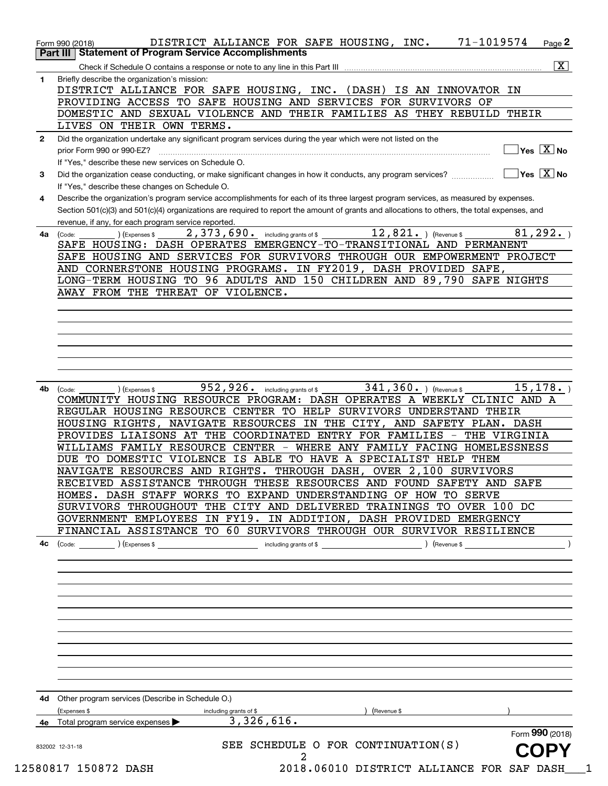| $\mathbf{1}$ | Briefly describe the organization's mission:<br>DISTRICT ALLIANCE FOR SAFE HOUSING, INC. (DASH) IS AN INNOVATOR IN                                                   |
|--------------|----------------------------------------------------------------------------------------------------------------------------------------------------------------------|
|              | PROVIDING ACCESS TO SAFE HOUSING AND SERVICES FOR SURVIVORS OF                                                                                                       |
|              | DOMESTIC AND SEXUAL VIOLENCE AND THEIR FAMILIES AS THEY REBUILD THEIR                                                                                                |
|              | LIVES ON THEIR OWN TERMS.                                                                                                                                            |
| $\mathbf{2}$ | Did the organization undertake any significant program services during the year which were not listed on the                                                         |
|              | $\overline{\mathsf{Yes}\mathrel{\hspace{0.05cm}\mathbf{X}}$ No<br>prior Form 990 or 990-EZ?                                                                          |
|              | If "Yes," describe these new services on Schedule O.                                                                                                                 |
| 3            | $\overline{\mathsf{Yes}}$ $\overline{\mathsf{X}}$ No<br>Did the organization cease conducting, or make significant changes in how it conducts, any program services? |
|              | If "Yes," describe these changes on Schedule O.                                                                                                                      |
| 4            | Describe the organization's program service accomplishments for each of its three largest program services, as measured by expenses.                                 |
|              | Section 501(c)(3) and 501(c)(4) organizations are required to report the amount of grants and allocations to others, the total expenses, and                         |
|              | revenue, if any, for each program service reported.                                                                                                                  |
| 4a           | $12,821.$ ) (Revenue \$<br>81, 292.<br>2,373,690. including grants of \$<br>) (Expenses \$<br>(Code:                                                                 |
|              | SAFE HOUSING: DASH OPERATES EMERGENCY-TO-TRANSITIONAL AND PERMANENT                                                                                                  |
|              | SAFE HOUSING AND SERVICES FOR SURVIVORS THROUGH OUR EMPOWERMENT PROJECT                                                                                              |
|              | AND CORNERSTONE HOUSING PROGRAMS. IN FY2019, DASH PROVIDED SAFE,                                                                                                     |
|              | LONG-TERM HOUSING TO 96 ADULTS AND 150 CHILDREN AND 89,790 SAFE NIGHTS                                                                                               |
|              | AWAY FROM THE THREAT OF VIOLENCE.                                                                                                                                    |
|              |                                                                                                                                                                      |
|              |                                                                                                                                                                      |
|              |                                                                                                                                                                      |
|              |                                                                                                                                                                      |
|              |                                                                                                                                                                      |
|              |                                                                                                                                                                      |
|              |                                                                                                                                                                      |
| 4b           | 952, 926. including grants of \$<br>15, 178.<br>$341, 360.$ ) (Revenue \$<br>(Expenses \$<br>(Code:                                                                  |
|              |                                                                                                                                                                      |
|              | COMMUNITY HOUSING RESOURCE PROGRAM: DASH OPERATES A WEEKLY CLINIC AND A                                                                                              |
|              | REGULAR HOUSING RESOURCE CENTER TO HELP SURVIVORS UNDERSTAND THEIR                                                                                                   |
|              | HOUSING RIGHTS, NAVIGATE RESOURCES IN THE CITY, AND SAFETY PLAN. DASH                                                                                                |
|              | PROVIDES LIAISONS AT THE COORDINATED ENTRY FOR FAMILIES - THE VIRGINIA                                                                                               |
|              | WILLIAMS FAMILY RESOURCE CENTER - WHERE ANY FAMILY FACING HOMELESSNESS                                                                                               |
|              | DUE TO DOMESTIC VIOLENCE IS ABLE TO HAVE A SPECIALIST HELP THEM                                                                                                      |
|              | NAVIGATE RESOURCES AND RIGHTS. THROUGH DASH, OVER 2,100 SURVIVORS                                                                                                    |
|              | RECEIVED ASSISTANCE THROUGH THESE RESOURCES AND FOUND SAFETY AND SAFE                                                                                                |
|              | HOMES. DASH STAFF WORKS TO EXPAND UNDERSTANDING OF HOW TO SERVE                                                                                                      |
|              | SURVIVORS THROUGHOUT THE CITY AND DELIVERED TRAININGS TO OVER 100 DC                                                                                                 |
|              | GOVERNMENT EMPLOYEES IN FY19. IN ADDITION, DASH PROVIDED EMERGENCY                                                                                                   |
|              | FINANCIAL ASSISTANCE TO 60 SURVIVORS THROUGH OUR SURVIVOR RESILIENCE                                                                                                 |
| 4c           | Revenue \$<br>(Code:<br>) (Expenses \$<br>including grants of \$                                                                                                     |
|              |                                                                                                                                                                      |
|              |                                                                                                                                                                      |
|              |                                                                                                                                                                      |
|              |                                                                                                                                                                      |
|              |                                                                                                                                                                      |
|              |                                                                                                                                                                      |
|              |                                                                                                                                                                      |
|              |                                                                                                                                                                      |
|              |                                                                                                                                                                      |
|              |                                                                                                                                                                      |
|              |                                                                                                                                                                      |
|              |                                                                                                                                                                      |
|              | 4d Other program services (Describe in Schedule O.)                                                                                                                  |
|              | Revenue \$<br>(Expenses \$<br>including grants of \$                                                                                                                 |
|              | 3,326,616.<br>Total program service expenses<br>Form 990 (2018)                                                                                                      |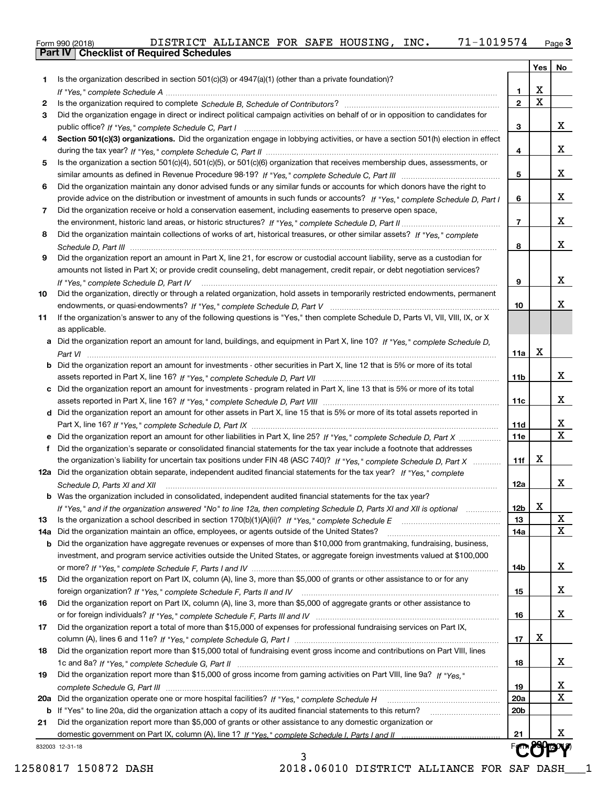|  | Form 990 (2018) |  |
|--|-----------------|--|

|     | 832003 12-31-18<br>3                                                                                                             |                |                         |                         |  |  |  |  |  |
|-----|----------------------------------------------------------------------------------------------------------------------------------|----------------|-------------------------|-------------------------|--|--|--|--|--|
|     |                                                                                                                                  | 21             |                         | x                       |  |  |  |  |  |
| 21  | Did the organization report more than \$5,000 of grants or other assistance to any domestic organization or                      |                |                         |                         |  |  |  |  |  |
|     | <b>b</b> If "Yes" to line 20a, did the organization attach a copy of its audited financial statements to this return?            | 20b            |                         |                         |  |  |  |  |  |
| 20a |                                                                                                                                  | 20a            |                         | $\mathbf X$             |  |  |  |  |  |
|     |                                                                                                                                  | 19             |                         | х                       |  |  |  |  |  |
| 19  | Did the organization report more than \$15,000 of gross income from gaming activities on Part VIII, line 9a? If "Yes."           |                |                         |                         |  |  |  |  |  |
|     |                                                                                                                                  | 18             |                         | x                       |  |  |  |  |  |
| 18  | Did the organization report more than \$15,000 total of fundraising event gross income and contributions on Part VIII, lines     |                |                         |                         |  |  |  |  |  |
|     |                                                                                                                                  | 17             | х                       |                         |  |  |  |  |  |
| 17  | Did the organization report a total of more than \$15,000 of expenses for professional fundraising services on Part IX,          |                |                         |                         |  |  |  |  |  |
|     |                                                                                                                                  | 16             |                         | x                       |  |  |  |  |  |
| 16  | Did the organization report on Part IX, column (A), line 3, more than \$5,000 of aggregate grants or other assistance to         |                |                         |                         |  |  |  |  |  |
|     |                                                                                                                                  | 15             |                         | x                       |  |  |  |  |  |
| 15  | Did the organization report on Part IX, column (A), line 3, more than \$5,000 of grants or other assistance to or for any        |                |                         |                         |  |  |  |  |  |
|     |                                                                                                                                  | 14b            |                         | x                       |  |  |  |  |  |
|     | investment, and program service activities outside the United States, or aggregate foreign investments valued at \$100,000       |                |                         |                         |  |  |  |  |  |
| b   | Did the organization have aggregate revenues or expenses of more than \$10,000 from grantmaking, fundraising, business,          |                |                         |                         |  |  |  |  |  |
| 14a | Did the organization maintain an office, employees, or agents outside of the United States?                                      | 14a            |                         | $\mathbf X$             |  |  |  |  |  |
| 13  |                                                                                                                                  | 13             |                         | X                       |  |  |  |  |  |
|     | If "Yes," and if the organization answered "No" to line 12a, then completing Schedule D, Parts XI and XII is optional            | 12b            | v<br>▵                  |                         |  |  |  |  |  |
|     | <b>b</b> Was the organization included in consolidated, independent audited financial statements for the tax year?               |                |                         |                         |  |  |  |  |  |
|     | Schedule D, Parts XI and XII                                                                                                     | 12a            |                         | x                       |  |  |  |  |  |
|     | 12a Did the organization obtain separate, independent audited financial statements for the tax year? If "Yes," complete          |                |                         |                         |  |  |  |  |  |
|     | the organization's liability for uncertain tax positions under FIN 48 (ASC 740)? If "Yes," complete Schedule D, Part X           | 11f            | х                       |                         |  |  |  |  |  |
| f   | Did the organization's separate or consolidated financial statements for the tax year include a footnote that addresses          |                |                         |                         |  |  |  |  |  |
|     | Did the organization report an amount for other liabilities in Part X, line 25? If "Yes," complete Schedule D, Part X            | 11e            |                         | $\overline{\mathbf{X}}$ |  |  |  |  |  |
|     |                                                                                                                                  | 11d            |                         | x                       |  |  |  |  |  |
|     | d Did the organization report an amount for other assets in Part X, line 15 that is 5% or more of its total assets reported in   |                |                         |                         |  |  |  |  |  |
|     |                                                                                                                                  | 11c            |                         | x                       |  |  |  |  |  |
| c   | Did the organization report an amount for investments - program related in Part X, line 13 that is 5% or more of its total       |                |                         |                         |  |  |  |  |  |
|     |                                                                                                                                  | 11b            |                         | x                       |  |  |  |  |  |
| b   | Did the organization report an amount for investments - other securities in Part X, line 12 that is 5% or more of its total      |                |                         |                         |  |  |  |  |  |
|     |                                                                                                                                  | 11a            | X                       |                         |  |  |  |  |  |
| а   | Did the organization report an amount for land, buildings, and equipment in Part X, line 10? If "Yes," complete Schedule D,      |                |                         |                         |  |  |  |  |  |
|     | as applicable.                                                                                                                   |                |                         |                         |  |  |  |  |  |
| 11  | If the organization's answer to any of the following questions is "Yes," then complete Schedule D, Parts VI, VII, VIII, IX, or X |                |                         |                         |  |  |  |  |  |
|     |                                                                                                                                  | 10             |                         | x                       |  |  |  |  |  |
| 10  | Did the organization, directly or through a related organization, hold assets in temporarily restricted endowments, permanent    |                |                         |                         |  |  |  |  |  |
|     | If "Yes," complete Schedule D, Part IV                                                                                           | 9              |                         | x                       |  |  |  |  |  |
|     | amounts not listed in Part X; or provide credit counseling, debt management, credit repair, or debt negotiation services?        |                |                         |                         |  |  |  |  |  |
| 9   | Did the organization report an amount in Part X, line 21, for escrow or custodial account liability, serve as a custodian for    |                |                         |                         |  |  |  |  |  |
|     |                                                                                                                                  | 8              |                         | x                       |  |  |  |  |  |
| 8   | Did the organization maintain collections of works of art, historical treasures, or other similar assets? If "Yes," complete     |                |                         |                         |  |  |  |  |  |
|     |                                                                                                                                  | $\overline{7}$ |                         | x                       |  |  |  |  |  |
| 7   | Did the organization receive or hold a conservation easement, including easements to preserve open space,                        |                |                         |                         |  |  |  |  |  |
|     | provide advice on the distribution or investment of amounts in such funds or accounts? If "Yes," complete Schedule D, Part I     | 6              |                         | x                       |  |  |  |  |  |
| 6   | Did the organization maintain any donor advised funds or any similar funds or accounts for which donors have the right to        |                |                         |                         |  |  |  |  |  |
|     |                                                                                                                                  | 5              |                         | x                       |  |  |  |  |  |
| 5   | Is the organization a section 501(c)(4), 501(c)(5), or 501(c)(6) organization that receives membership dues, assessments, or     |                |                         |                         |  |  |  |  |  |
|     |                                                                                                                                  | 4              |                         | x                       |  |  |  |  |  |
| 4   | Section 501(c)(3) organizations. Did the organization engage in lobbying activities, or have a section 501(h) election in effect |                |                         |                         |  |  |  |  |  |
|     |                                                                                                                                  | 3              |                         | x                       |  |  |  |  |  |
| 3   | Did the organization engage in direct or indirect political campaign activities on behalf of or in opposition to candidates for  |                |                         |                         |  |  |  |  |  |
| 2   |                                                                                                                                  | $\overline{2}$ | $\overline{\mathbf{x}}$ |                         |  |  |  |  |  |
|     |                                                                                                                                  | 1              | X                       |                         |  |  |  |  |  |
| 1.  | Is the organization described in section $501(c)(3)$ or $4947(a)(1)$ (other than a private foundation)?                          |                |                         |                         |  |  |  |  |  |
|     |                                                                                                                                  |                | Yes                     | No                      |  |  |  |  |  |

12580817 150872 DASH 2018.06010 DISTRICT ALLIANCE FOR SAF DASH\_\_\_1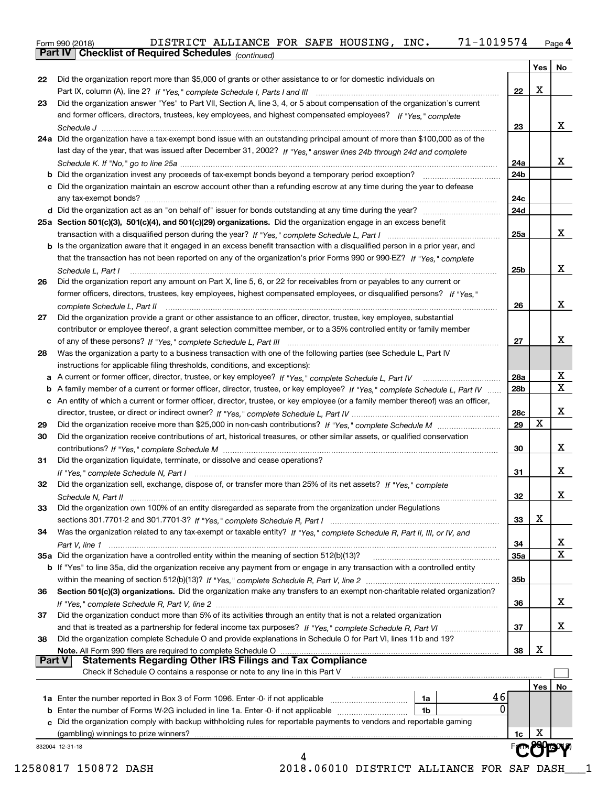Form 990 (2018) DISTRICT ALLIANCE FOR SAFE HOUSING , INC 71–1019574 <sub>Page</sub> 4<br>**Part IV | Checklist of Required Schedules** <sub>(continued)</sub>

*(continued)*

| 22                   |                                                                                                                                    |     | Yes $ $ | No                      |
|----------------------|------------------------------------------------------------------------------------------------------------------------------------|-----|---------|-------------------------|
|                      | Did the organization report more than \$5,000 of grants or other assistance to or for domestic individuals on                      |     |         |                         |
|                      |                                                                                                                                    | 22  | x       |                         |
| 23                   | Did the organization answer "Yes" to Part VII, Section A, line 3, 4, or 5 about compensation of the organization's current         |     |         |                         |
|                      | and former officers, directors, trustees, key employees, and highest compensated employees? If "Yes," complete                     |     |         |                         |
|                      |                                                                                                                                    | 23  |         | x                       |
|                      | 24a Did the organization have a tax-exempt bond issue with an outstanding principal amount of more than \$100,000 as of the        |     |         |                         |
|                      | last day of the year, that was issued after December 31, 2002? If "Yes," answer lines 24b through 24d and complete                 |     |         |                         |
|                      |                                                                                                                                    | 24a |         | x                       |
|                      |                                                                                                                                    | 24b |         |                         |
|                      | c Did the organization maintain an escrow account other than a refunding escrow at any time during the year to defease             |     |         |                         |
|                      |                                                                                                                                    | 24c |         |                         |
|                      |                                                                                                                                    | 24d |         |                         |
|                      | 25a Section 501(c)(3), 501(c)(4), and 501(c)(29) organizations. Did the organization engage in an excess benefit                   |     |         |                         |
|                      |                                                                                                                                    | 25a |         | X                       |
|                      | b Is the organization aware that it engaged in an excess benefit transaction with a disqualified person in a prior year, and       |     |         |                         |
|                      | that the transaction has not been reported on any of the organization's prior Forms 990 or 990-EZ? If "Yes," complete              |     |         |                         |
|                      | Schedule L, Part I                                                                                                                 | 25b |         | X                       |
| 26                   | Did the organization report any amount on Part X, line 5, 6, or 22 for receivables from or payables to any current or              |     |         |                         |
|                      | former officers, directors, trustees, key employees, highest compensated employees, or disqualified persons? If "Yes."             |     |         |                         |
|                      |                                                                                                                                    | 26  |         | X                       |
| 27                   |                                                                                                                                    |     |         |                         |
|                      | Did the organization provide a grant or other assistance to an officer, director, trustee, key employee, substantial               |     |         |                         |
|                      | contributor or employee thereof, a grant selection committee member, or to a 35% controlled entity or family member                |     |         | х                       |
|                      |                                                                                                                                    | 27  |         |                         |
| 28                   | Was the organization a party to a business transaction with one of the following parties (see Schedule L, Part IV                  |     |         |                         |
|                      | instructions for applicable filing thresholds, conditions, and exceptions):                                                        |     |         |                         |
|                      |                                                                                                                                    | 28a |         | х                       |
| b                    | A family member of a current or former officer, director, trustee, or key employee? If "Yes," complete Schedule L, Part IV         | 28b |         | $\overline{\mathbf{X}}$ |
| c                    | An entity of which a current or former officer, director, trustee, or key employee (or a family member thereof) was an officer,    |     |         |                         |
|                      |                                                                                                                                    | 28c |         | x                       |
| 29                   |                                                                                                                                    | 29  | X       |                         |
| 30                   | Did the organization receive contributions of art, historical treasures, or other similar assets, or qualified conservation        |     |         |                         |
|                      |                                                                                                                                    | 30  |         | x                       |
| 31                   | Did the organization liquidate, terminate, or dissolve and cease operations?                                                       |     |         |                         |
|                      |                                                                                                                                    | 31  |         | x                       |
| 32                   | Did the organization sell, exchange, dispose of, or transfer more than 25% of its net assets? If "Yes," complete                   |     |         |                         |
|                      |                                                                                                                                    | 32  |         | x                       |
|                      | Did the organization own 100% of an entity disregarded as separate from the organization under Regulations                         |     |         |                         |
|                      |                                                                                                                                    |     | х       |                         |
|                      |                                                                                                                                    |     |         |                         |
|                      |                                                                                                                                    | 33  |         |                         |
|                      | Was the organization related to any tax-exempt or taxable entity? If "Yes," complete Schedule R, Part II, III, or IV, and          |     |         |                         |
|                      |                                                                                                                                    | 34  |         |                         |
|                      | 35a Did the organization have a controlled entity within the meaning of section 512(b)(13)?                                        | 35a |         |                         |
|                      | <b>b</b> If "Yes" to line 35a, did the organization receive any payment from or engage in any transaction with a controlled entity |     |         |                         |
|                      |                                                                                                                                    | 35b |         |                         |
|                      | Section 501(c)(3) organizations. Did the organization make any transfers to an exempt non-charitable related organization?         |     |         |                         |
|                      |                                                                                                                                    | 36  |         |                         |
|                      | Did the organization conduct more than 5% of its activities through an entity that is not a related organization                   |     |         |                         |
|                      |                                                                                                                                    | 37  |         |                         |
|                      | Did the organization complete Schedule O and provide explanations in Schedule O for Part VI, lines 11b and 19?                     |     |         |                         |
|                      | Note. All Form 990 filers are required to complete Schedule O                                                                      | 38  | X       |                         |
|                      | <b>Statements Regarding Other IRS Filings and Tax Compliance</b><br><b>Part V</b>                                                  |     |         |                         |
|                      | Check if Schedule O contains a response or note to any line in this Part V                                                         |     |         |                         |
|                      |                                                                                                                                    |     | Yes     |                         |
|                      | 46<br><b>1a</b> Enter the number reported in Box 3 of Form 1096. Enter -0- if not applicable <i>mummumumum</i><br>1a               |     |         |                         |
|                      | 0<br>1b                                                                                                                            |     |         |                         |
| 34<br>36<br>37<br>38 |                                                                                                                                    |     |         | х<br>X<br>x<br>X.<br>No |
|                      | c Did the organization comply with backup withholding rules for reportable payments to vendors and reportable gaming               | 1c  | х       |                         |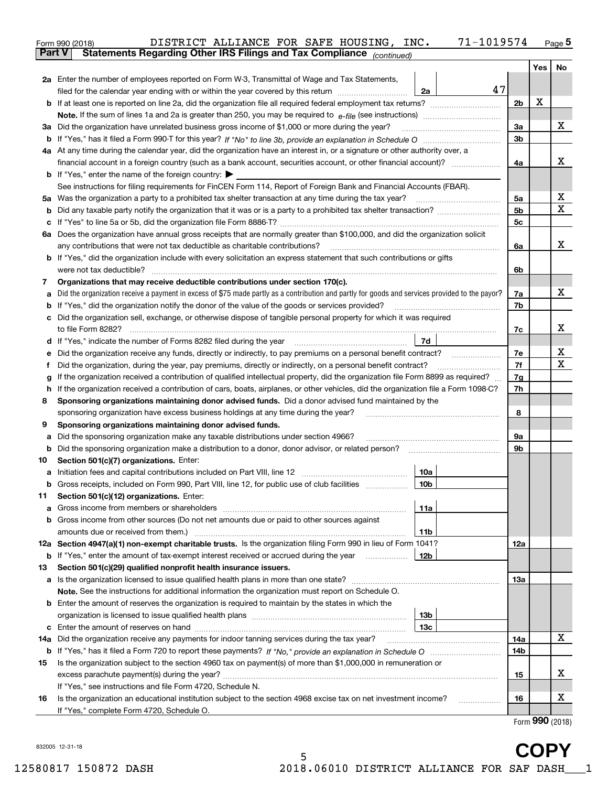|              | DISTRICT ALLIANCE FOR SAFE HOUSING, INC.<br>Form 990 (2018)                                                                                     | 71-1019574      |                |     | $Page$ <sup>5</sup> |
|--------------|-------------------------------------------------------------------------------------------------------------------------------------------------|-----------------|----------------|-----|---------------------|
| Part V       | Statements Regarding Other IRS Filings and Tax Compliance (continued)                                                                           |                 |                |     |                     |
|              |                                                                                                                                                 |                 |                | Yes | No                  |
|              | 2a Enter the number of employees reported on Form W-3, Transmittal of Wage and Tax Statements,                                                  | 47              |                |     |                     |
|              | filed for the calendar year ending with or within the year covered by this return <i>manumumumum</i>                                            | 2a              | 2 <sub>b</sub> | X   |                     |
|              |                                                                                                                                                 |                 |                |     |                     |
|              | 3a Did the organization have unrelated business gross income of \$1,000 or more during the year?                                                |                 | 3a             |     | х                   |
|              |                                                                                                                                                 |                 | 3 <sub>b</sub> |     |                     |
|              |                                                                                                                                                 |                 |                |     |                     |
|              | 4a At any time during the calendar year, did the organization have an interest in, or a signature or other authority over, a                    |                 | 4a             |     | x                   |
|              | <b>b</b> If "Yes," enter the name of the foreign country: $\blacktriangleright$                                                                 |                 |                |     |                     |
|              | See instructions for filing requirements for FinCEN Form 114, Report of Foreign Bank and Financial Accounts (FBAR).                             |                 |                |     |                     |
|              |                                                                                                                                                 |                 | 5a             |     | х                   |
| b            |                                                                                                                                                 |                 | 5 <sub>b</sub> |     | X                   |
|              |                                                                                                                                                 |                 | 5c             |     |                     |
|              |                                                                                                                                                 |                 |                |     |                     |
|              | 6a Does the organization have annual gross receipts that are normally greater than \$100,000, and did the organization solicit                  |                 |                |     | x                   |
|              | any contributions that were not tax deductible as charitable contributions?                                                                     |                 | 6a             |     |                     |
|              | <b>b</b> If "Yes," did the organization include with every solicitation an express statement that such contributions or gifts                   |                 |                |     |                     |
|              |                                                                                                                                                 |                 | 6b             |     |                     |
| 7            | Organizations that may receive deductible contributions under section 170(c).                                                                   |                 |                |     | х                   |
| а            | Did the organization receive a payment in excess of \$75 made partly as a contribution and partly for goods and services provided to the payor? |                 | 7a             |     |                     |
| b            | If "Yes," did the organization notify the donor of the value of the goods or services provided?                                                 |                 | 7b             |     |                     |
| c            | Did the organization sell, exchange, or otherwise dispose of tangible personal property for which it was required                               |                 |                |     | х                   |
|              |                                                                                                                                                 |                 | 7c             |     |                     |
| d            |                                                                                                                                                 | 7d              |                |     | х                   |
| е            |                                                                                                                                                 |                 | 7e             |     | х                   |
| f            | Did the organization, during the year, pay premiums, directly or indirectly, on a personal benefit contract?                                    |                 | 7f             |     |                     |
| g            | If the organization received a contribution of qualified intellectual property, did the organization file Form 8899 as required?                |                 | 7g             |     |                     |
| $\mathsf{h}$ | If the organization received a contribution of cars, boats, airplanes, or other vehicles, did the organization file a Form 1098-C?              |                 | 7h             |     |                     |
| 8            | Sponsoring organizations maintaining donor advised funds. Did a donor advised fund maintained by the                                            |                 |                |     |                     |
|              | sponsoring organization have excess business holdings at any time during the year?                                                              |                 | 8              |     |                     |
| 9            | Sponsoring organizations maintaining donor advised funds.                                                                                       |                 |                |     |                     |
| a            | Did the sponsoring organization make any taxable distributions under section 4966?                                                              |                 | 9а             |     |                     |
| b            |                                                                                                                                                 |                 | 9b             |     |                     |
| 10           | Section 501(c)(7) organizations. Enter:                                                                                                         |                 |                |     |                     |
|              |                                                                                                                                                 | 10a             |                |     |                     |
|              |                                                                                                                                                 |                 |                |     |                     |
| 11           | Section 501(c)(12) organizations. Enter:                                                                                                        |                 |                |     |                     |
| a            |                                                                                                                                                 | 11a             |                |     |                     |
|              | <b>b</b> Gross income from other sources (Do not net amounts due or paid to other sources against                                               |                 |                |     |                     |
|              |                                                                                                                                                 | 11b             |                |     |                     |
|              | 12a Section 4947(a)(1) non-exempt charitable trusts. Is the organization filing Form 990 in lieu of Form 1041?                                  |                 | 12a            |     |                     |
|              | <b>b</b> If "Yes," enter the amount of tax-exempt interest received or accrued during the year <i>manument</i>                                  | 12b             |                |     |                     |
| 13           | Section 501(c)(29) qualified nonprofit health insurance issuers.                                                                                |                 |                |     |                     |
|              | a Is the organization licensed to issue qualified health plans in more than one state?                                                          |                 | 13а            |     |                     |
|              | Note. See the instructions for additional information the organization must report on Schedule O.                                               |                 |                |     |                     |
|              | <b>b</b> Enter the amount of reserves the organization is required to maintain by the states in which the                                       |                 |                |     |                     |
|              |                                                                                                                                                 | 13b             |                |     |                     |
|              |                                                                                                                                                 | 13 <sub>c</sub> |                |     |                     |
|              | 14a Did the organization receive any payments for indoor tanning services during the tax year?                                                  |                 | 14a            |     | x                   |
|              |                                                                                                                                                 |                 | 14b            |     |                     |
| 15           | Is the organization subject to the section 4960 tax on payment(s) of more than \$1,000,000 in remuneration or                                   |                 |                |     |                     |
|              |                                                                                                                                                 |                 | 15             |     | х                   |
|              | If "Yes," see instructions and file Form 4720, Schedule N.                                                                                      |                 |                |     |                     |
| 16           | Is the organization an educational institution subject to the section 4968 excise tax on net investment income?                                 |                 | 16             |     | х                   |
|              | If "Yes," complete Form 4720, Schedule O.                                                                                                       |                 |                |     |                     |

832005 12-31-18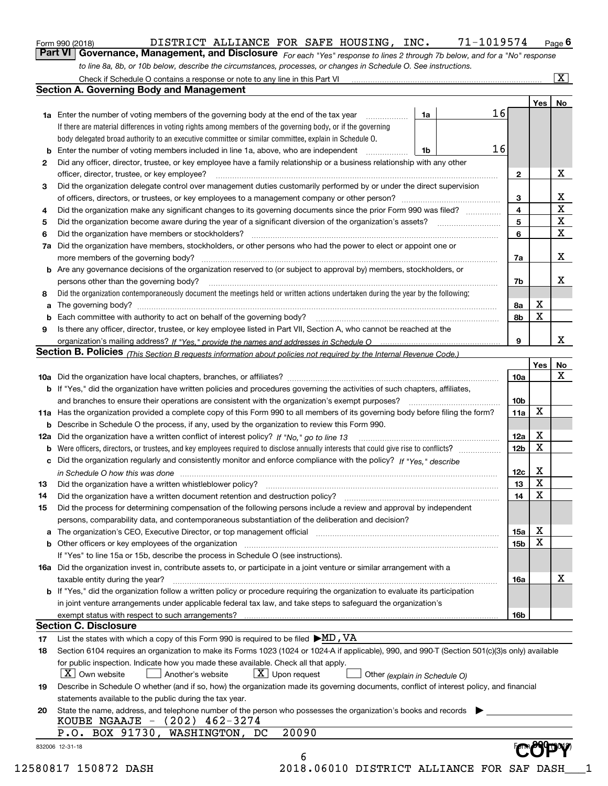|  | Form 990 (2018) |
|--|-----------------|
|  |                 |

# DISTRICT ALLIANCE FOR SAFE HOUSING, INC. 71-1019574 Page 6

*For each "Yes" response to lines 2 through 7b below, and for a "No" response* **6Part VI Governance, Management, and Disclosure**  DISTRICT ALLIANCE FOR SAFE HOUSING, INC. 71-1019574 *to line 8a, 8b, or 10b below, describe the circumstances, processes, or changes in Schedule O. See instructions.*

|    |                                                                                                                                                                            |    |    |                 | Yes   No    |             |
|----|----------------------------------------------------------------------------------------------------------------------------------------------------------------------------|----|----|-----------------|-------------|-------------|
|    | <b>1a</b> Enter the number of voting members of the governing body at the end of the tax year <i>manumum</i>                                                               | 1a | 16 |                 |             |             |
|    | If there are material differences in voting rights among members of the governing body, or if the governing                                                                |    |    |                 |             |             |
|    | body delegated broad authority to an executive committee or similar committee, explain in Schedule O.                                                                      |    |    |                 |             |             |
|    |                                                                                                                                                                            | 1b | 16 |                 |             |             |
| 2  | Did any officer, director, trustee, or key employee have a family relationship or a business relationship with any other                                                   |    |    |                 |             |             |
|    | officer, director, trustee, or key employee?                                                                                                                               |    |    | $\overline{2}$  |             | X           |
| 3  | Did the organization delegate control over management duties customarily performed by or under the direct supervision                                                      |    |    |                 |             |             |
|    |                                                                                                                                                                            |    |    | 3               |             | X           |
| 4  | Did the organization make any significant changes to its governing documents since the prior Form 990 was filed?                                                           |    |    | 4               |             | $\mathbf X$ |
| 5  |                                                                                                                                                                            |    |    | 5               |             | $\mathbf X$ |
| 6  |                                                                                                                                                                            |    |    | 6               |             | X           |
|    | 7a Did the organization have members, stockholders, or other persons who had the power to elect or appoint one or                                                          |    |    |                 |             |             |
|    |                                                                                                                                                                            |    |    | 7a              |             | X           |
|    | <b>b</b> Are any governance decisions of the organization reserved to (or subject to approval by) members, stockholders, or                                                |    |    |                 |             |             |
|    | persons other than the governing body?                                                                                                                                     |    |    | 7b              |             | Х           |
| 8  | Did the organization contemporaneously document the meetings held or written actions undertaken during the year by the following:                                          |    |    |                 |             |             |
| a  |                                                                                                                                                                            |    |    | 8a              | X           |             |
|    |                                                                                                                                                                            |    |    | 8b              | $\mathbf X$ |             |
| 9  | Is there any officer, director, trustee, or key employee listed in Part VII, Section A, who cannot be reached at the                                                       |    |    |                 |             |             |
|    |                                                                                                                                                                            |    |    | 9               |             | X           |
|    | Section B. Policies <sub>(This</sub> Section B requests information about policies not required by the Internal Revenue Code.)                                             |    |    |                 |             |             |
|    |                                                                                                                                                                            |    |    |                 | Yes         | <b>No</b>   |
|    |                                                                                                                                                                            |    |    | <b>10a</b>      |             | X           |
|    | <b>b</b> If "Yes," did the organization have written policies and procedures governing the activities of such chapters, affiliates,                                        |    |    |                 |             |             |
|    |                                                                                                                                                                            |    |    | 10 <sub>b</sub> |             |             |
|    | 11a Has the organization provided a complete copy of this Form 990 to all members of its governing body before filing the form?                                            |    |    | 11a             | X           |             |
|    | <b>b</b> Describe in Schedule O the process, if any, used by the organization to review this Form 990.                                                                     |    |    |                 |             |             |
|    |                                                                                                                                                                            |    |    | 12a             | X           |             |
|    | 12a Did the organization have a written conflict of interest policy? If "No," go to line 13                                                                                |    |    | 12 <sub>b</sub> | X           |             |
| b  |                                                                                                                                                                            |    |    |                 |             |             |
|    | c Did the organization regularly and consistently monitor and enforce compliance with the policy? If "Yes," describe                                                       |    |    |                 | X           |             |
|    | in Schedule O how this was done measured and contained a state of the state of the state of the state of the s                                                             |    |    | 12c<br>13       | $\mathbf X$ |             |
| 13 |                                                                                                                                                                            |    |    |                 | $\mathbf X$ |             |
| 14 | Did the organization have a written document retention and destruction policy? manufactured and the organization have a written document retention and destruction policy? |    |    | 14              |             |             |
| 15 | Did the process for determining compensation of the following persons include a review and approval by independent                                                         |    |    |                 |             |             |
|    | persons, comparability data, and contemporaneous substantiation of the deliberation and decision?                                                                          |    |    |                 |             |             |
|    |                                                                                                                                                                            |    |    | 15a             | X<br>X      |             |
|    | <b>b</b> Other officers or key employees of the organization                                                                                                               |    |    | 15b             |             |             |
|    | If "Yes" to line 15a or 15b, describe the process in Schedule O (see instructions).                                                                                        |    |    |                 |             |             |
|    | 16a Did the organization invest in, contribute assets to, or participate in a joint venture or similar arrangement with a                                                  |    |    |                 |             |             |
|    | taxable entity during the year?                                                                                                                                            |    |    | 16a             |             | х           |
|    | <b>b</b> If "Yes," did the organization follow a written policy or procedure requiring the organization to evaluate its participation                                      |    |    |                 |             |             |
|    | in joint venture arrangements under applicable federal tax law, and take steps to safeguard the organization's                                                             |    |    |                 |             |             |
|    | exempt status with respect to such arrangements?                                                                                                                           |    |    | <b>16b</b>      |             |             |
|    | <b>Section C. Disclosure</b>                                                                                                                                               |    |    |                 |             |             |
| 17 | List the states with which a copy of this Form 990 is required to be filed $\blacktriangleright$ MD, VA                                                                    |    |    |                 |             |             |
| 18 | Section 6104 requires an organization to make its Forms 1023 (1024 or 1024-A if applicable), 990, and 990-T (Section 501(c)(3)s only) available                            |    |    |                 |             |             |
|    | for public inspection. Indicate how you made these available. Check all that apply.                                                                                        |    |    |                 |             |             |
|    | $X$ Upon request<br>$\lfloor X \rfloor$ Own website<br>Another's website<br>Other (explain in Schedule O)                                                                  |    |    |                 |             |             |
| 19 | Describe in Schedule O whether (and if so, how) the organization made its governing documents, conflict of interest policy, and financial                                  |    |    |                 |             |             |
|    | statements available to the public during the tax year.                                                                                                                    |    |    |                 |             |             |
| 20 | State the name, address, and telephone number of the person who possesses the organization's books and records                                                             |    |    |                 |             |             |
|    | KOUBE NGAAJE - (202) 462-3274                                                                                                                                              |    |    |                 |             |             |
|    | P.O. BOX 91730, WASHINGTON, DC<br>20090                                                                                                                                    |    |    |                 |             |             |
|    | 832006 12-31-18                                                                                                                                                            |    |    |                 |             |             |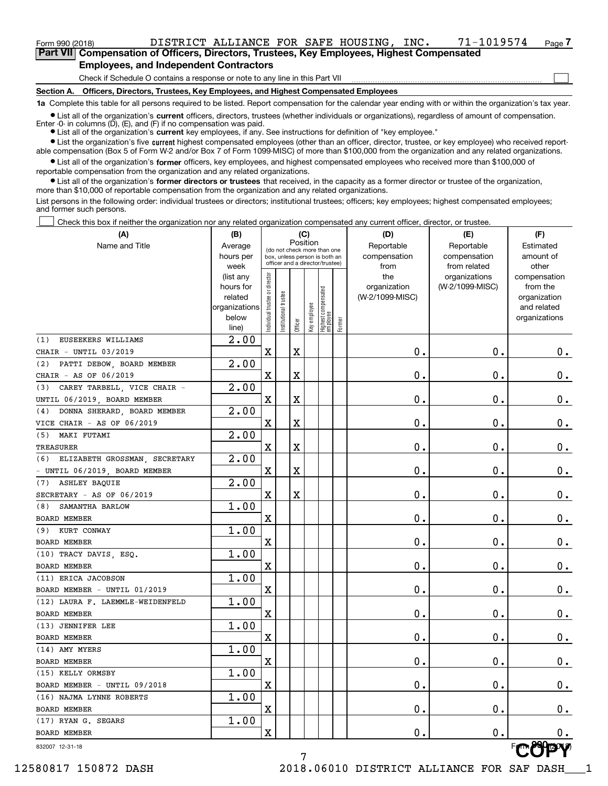$\mathcal{L}^{\text{max}}$ 

**7Part VII Compensation of Officers, Directors, Trustees, Key Employees, Highest Compensated Employees, and Independent Contractors**

Check if Schedule O contains a response or note to any line in this Part VII

**Section A. Officers, Directors, Trustees, Key Employees, and Highest Compensated Employees**

**1a**  Complete this table for all persons required to be listed. Report compensation for the calendar year ending with or within the organization's tax year.

**•** List all of the organization's current officers, directors, trustees (whether individuals or organizations), regardless of amount of compensation. Enter -0- in columns  $(D)$ ,  $(E)$ , and  $(F)$  if no compensation was paid.

**(A)**

● List all of the organization's **current** key employees, if any. See instructions for definition of "key employee."

· List the organization's five current highest compensated employees (other than an officer, director, trustee, or key employee) who received report-■ List the organization's five current highest compensated employees (other than an officer, director, trustee, or key employee) who received report-<br>able compensation (Box 5 of Form W-2 and/or Box 7 of Form 1099-MISC) of

 $\bullet$  List all of the organization's **former** officers, key employees, and highest compensated employees who received more than \$100,000 of reportable compensation from the organization and any related organizations.

**•** List all of the organization's former directors or trustees that received, in the capacity as a former director or trustee of the organization, more than \$10,000 of reportable compensation from the organization and any related organizations.

List persons in the following order: individual trustees or directors; institutional trustees; officers; key employees; highest compensated employees; and former such persons.

Check this box if neither the organization nor any related organization compensated any current officer, director, or trustee.  $\mathcal{L}^{\text{max}}$ 

| (A)                                | (B)                    | (C)                                                              |                       |         |              |                                  |        | (D)             | (E)             | (F)                          |
|------------------------------------|------------------------|------------------------------------------------------------------|-----------------------|---------|--------------|----------------------------------|--------|-----------------|-----------------|------------------------------|
| Name and Title                     | Average                | Position<br>(do not check more than one                          |                       |         |              |                                  |        | Reportable      | Reportable      | Estimated                    |
|                                    | hours per              | box, unless person is both an<br>officer and a director/trustee) |                       |         |              |                                  |        | compensation    | compensation    | amount of                    |
|                                    | week                   |                                                                  |                       |         |              |                                  |        | from            | from related    | other                        |
|                                    | (list any              |                                                                  |                       |         |              |                                  |        | the             | organizations   | compensation                 |
|                                    | hours for              |                                                                  |                       |         |              |                                  |        | organization    | (W-2/1099-MISC) | from the                     |
|                                    | related                |                                                                  |                       |         |              |                                  |        | (W-2/1099-MISC) |                 | organization                 |
|                                    | organizations<br>below |                                                                  |                       |         |              |                                  |        |                 |                 | and related<br>organizations |
|                                    | line)                  | Individual trustee or director                                   | Institutional trustee | Officer | Key employee | Highest compensated<br> employee | Former |                 |                 |                              |
| EUSEEKERS WILLIAMS<br>(1)          | 2.00                   |                                                                  |                       |         |              |                                  |        |                 |                 |                              |
| CHAIR - UNTIL 03/2019              |                        | X                                                                |                       | Χ       |              |                                  |        | 0.              | 0.              | 0.                           |
| (2) PATTI DEBOW, BOARD MEMBER      | $\overline{2.00}$      |                                                                  |                       |         |              |                                  |        |                 |                 |                              |
| CHAIR - AS OF 06/2019              |                        | $\mathbf X$                                                      |                       | Χ       |              |                                  |        | 0.              | 0.              | 0.                           |
| CAREY TARBELL, VICE CHAIR -<br>(3) | 2.00                   |                                                                  |                       |         |              |                                  |        |                 |                 |                              |
| UNTIL 06/2019, BOARD MEMBER        |                        | X                                                                |                       | Χ       |              |                                  |        | 0.              | 0.              | $0_{\cdot}$                  |
| DONNA SHERARD, BOARD MEMBER<br>(4) | 2.00                   |                                                                  |                       |         |              |                                  |        |                 |                 |                              |
| VICE CHAIR - AS OF 06/2019         |                        | X                                                                |                       | X       |              |                                  |        | 0.              | 0.              | $0_{\cdot}$                  |
| (5) MAKI FUTAMI                    | 2.00                   |                                                                  |                       |         |              |                                  |        |                 |                 |                              |
| TREASURER                          |                        | $\mathbf X$                                                      |                       | X       |              |                                  |        | 0.              | 0.              | $0_{\cdot}$                  |
| (6) ELIZABETH GROSSMAN, SECRETARY  | 2.00                   |                                                                  |                       |         |              |                                  |        |                 |                 |                              |
| - UNTIL 06/2019, BOARD MEMBER      |                        | $\mathbf X$                                                      |                       | X       |              |                                  |        | 0.              | 0.              | $0_{\cdot}$                  |
| (7) ASHLEY BAQUIE                  | 2.00                   |                                                                  |                       |         |              |                                  |        |                 |                 |                              |
| SECRETARY - AS OF 06/2019          |                        | X                                                                |                       | X       |              |                                  |        | 0.              | 0.              | 0.                           |
| (8) SAMANTHA BARLOW                | 1.00                   |                                                                  |                       |         |              |                                  |        |                 |                 |                              |
| BOARD MEMBER                       |                        | $\mathbf X$                                                      |                       |         |              |                                  |        | 0.              | 0.              | 0.                           |
| (9) KURT CONWAY                    | 1.00                   |                                                                  |                       |         |              |                                  |        |                 |                 |                              |
| BOARD MEMBER                       |                        | $\mathbf X$                                                      |                       |         |              |                                  |        | 0.              | 0.              | 0.                           |
| (10) TRACY DAVIS, ESQ.             | 1.00                   |                                                                  |                       |         |              |                                  |        |                 |                 |                              |
| BOARD MEMBER                       |                        | $\mathbf X$                                                      |                       |         |              |                                  |        | 0.              | 0.              | 0.                           |
| (11) ERICA JACOBSON                | 1.00                   |                                                                  |                       |         |              |                                  |        |                 |                 |                              |
| BOARD MEMBER - UNTIL 01/2019       |                        | $\mathbf X$                                                      |                       |         |              |                                  |        | 0.              | 0.              | 0.                           |
| (12) LAURA F. LAEMMLE-WEIDENFELD   | 1.00                   |                                                                  |                       |         |              |                                  |        |                 |                 |                              |
| BOARD MEMBER                       |                        | $\mathbf X$                                                      |                       |         |              |                                  |        | 0.              | 0.              | 0.                           |
| (13) JENNIFER LEE                  | 1.00                   |                                                                  |                       |         |              |                                  |        |                 |                 |                              |
| BOARD MEMBER                       |                        | X                                                                |                       |         |              |                                  |        | 0.              | 0.              | 0.                           |
| (14) AMY MYERS                     | 1.00                   |                                                                  |                       |         |              |                                  |        |                 |                 |                              |
| <b>BOARD MEMBER</b>                |                        | X                                                                |                       |         |              |                                  |        | 0.              | 0.              | 0.                           |
| (15) KELLY ORMSBY                  | 1.00                   |                                                                  |                       |         |              |                                  |        |                 |                 |                              |
| BOARD MEMBER - UNTIL 09/2018       |                        | X                                                                |                       |         |              |                                  |        | $\mathbf 0$ .   | $\mathbf 0$ .   | $0_{.}$                      |
| (16) NAJMA LYNNE ROBERTS           | 1.00                   |                                                                  |                       |         |              |                                  |        |                 |                 |                              |
| <b>BOARD MEMBER</b>                |                        | X                                                                |                       |         |              |                                  |        | $\mathbf 0$ .   | $\mathbf 0$ .   | $0_{\cdot}$                  |
| (17) RYAN G. SEGARS                | 1.00                   |                                                                  |                       |         |              |                                  |        |                 |                 |                              |
| BOARD MEMBER                       |                        | $\mathbf X$                                                      |                       |         |              |                                  |        | $\mathbf 0$ .   | 0.              | 0.                           |
| 832007 12-31-18                    |                        |                                                                  |                       | 7       |              |                                  |        |                 |                 |                              |

832007 12-31-18

12580817 150872 DASH 2018.06010 DISTRICT ALLIANCE FOR SAF DASH\_\_\_1

7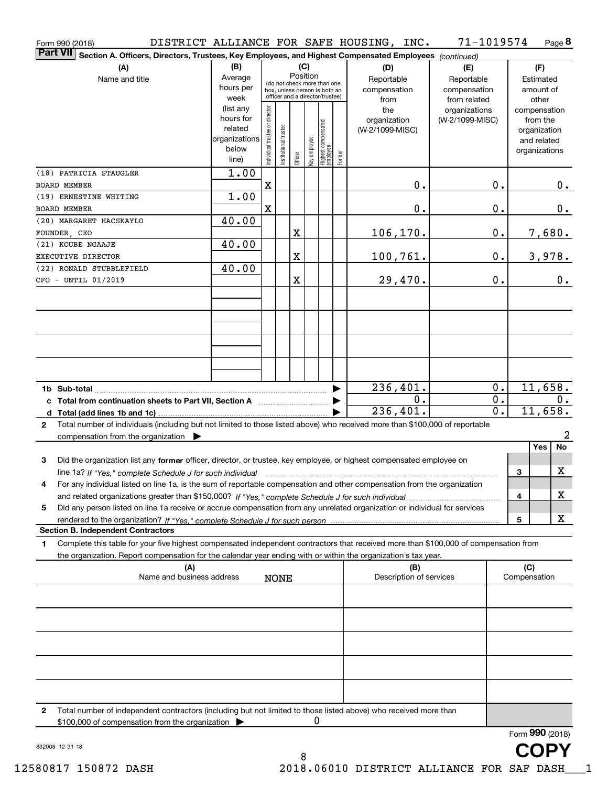| Form 990 (2018)                                                                                                                                      |                        |                                |                       |          |                                                 |        | DISTRICT ALLIANCE FOR SAFE HOUSING, INC. | 71-1019574       |   |                             | Page 8          |
|------------------------------------------------------------------------------------------------------------------------------------------------------|------------------------|--------------------------------|-----------------------|----------|-------------------------------------------------|--------|------------------------------------------|------------------|---|-----------------------------|-----------------|
| <b>Part VII</b><br>Section A. Officers, Directors, Trustees, Key Employees, and Highest Compensated Employees (continued)                            |                        |                                |                       |          |                                                 |        |                                          |                  |   |                             |                 |
| (A)                                                                                                                                                  | (B)                    |                                |                       | (C)      |                                                 |        | (D)                                      | (E)              |   | (F)                         |                 |
| Name and title                                                                                                                                       | Average                |                                |                       | Position | (do not check more than one                     |        | Reportable                               | Reportable       |   | Estimated                   |                 |
|                                                                                                                                                      | hours per              |                                |                       |          | box, unless person is both an                   |        | compensation                             | compensation     |   | amount of                   |                 |
|                                                                                                                                                      | week                   |                                |                       |          | officer and a director/trustee)                 |        | from                                     | from related     |   | other                       |                 |
|                                                                                                                                                      | (list any<br>hours for |                                |                       |          |                                                 |        | the                                      | organizations    |   | compensation                |                 |
|                                                                                                                                                      | related                |                                |                       |          |                                                 |        | organization                             | (W-2/1099-MISC)  |   | from the                    |                 |
|                                                                                                                                                      | organizations          |                                |                       |          |                                                 |        | (W-2/1099-MISC)                          |                  |   | organization<br>and related |                 |
|                                                                                                                                                      | below                  | Individual trustee or director | Institutional trustee |          |                                                 |        |                                          |                  |   | organizations               |                 |
|                                                                                                                                                      | line)                  |                                |                       | Officer  | Highest compensated<br>employee<br>Key employee | Former |                                          |                  |   |                             |                 |
| (18) PATRICIA STAUGLER                                                                                                                               | 1.00                   |                                |                       |          |                                                 |        |                                          |                  |   |                             |                 |
| <b>BOARD MEMBER</b>                                                                                                                                  |                        | X                              |                       |          |                                                 |        | 0.                                       | 0.               |   |                             | 0.              |
| (19) ERNESTINE WHITING                                                                                                                               | 1.00                   |                                |                       |          |                                                 |        |                                          |                  |   |                             |                 |
| <b>BOARD MEMBER</b>                                                                                                                                  |                        | X                              |                       |          |                                                 |        | 0.                                       | 0.               |   |                             | 0.              |
| (20) MARGARET HACSKAYLO                                                                                                                              | 40.00                  |                                |                       |          |                                                 |        |                                          |                  |   |                             |                 |
| FOUNDER CEO                                                                                                                                          |                        |                                |                       | X        |                                                 |        | 106, 170.                                | 0.               |   |                             | 7,680.          |
| (21) KOUBE NGAAJE                                                                                                                                    | 40.00                  |                                |                       |          |                                                 |        |                                          |                  |   |                             |                 |
| EXECUTIVE DIRECTOR                                                                                                                                   |                        |                                |                       | X        |                                                 |        | 100,761.                                 | 0.               |   |                             | 3,978.          |
| (22) RONALD STUBBLEFIELD                                                                                                                             | 40.00                  |                                |                       |          |                                                 |        |                                          |                  |   |                             |                 |
| CFO - UNTIL 01/2019                                                                                                                                  |                        |                                |                       | X        |                                                 |        | 29,470.                                  | 0.               |   |                             | 0.              |
|                                                                                                                                                      |                        |                                |                       |          |                                                 |        |                                          |                  |   |                             |                 |
|                                                                                                                                                      |                        |                                |                       |          |                                                 |        |                                          |                  |   |                             |                 |
|                                                                                                                                                      |                        |                                |                       |          |                                                 |        |                                          |                  |   |                             |                 |
|                                                                                                                                                      |                        |                                |                       |          |                                                 |        |                                          |                  |   |                             |                 |
|                                                                                                                                                      |                        |                                |                       |          |                                                 |        |                                          |                  |   |                             |                 |
|                                                                                                                                                      |                        |                                |                       |          |                                                 |        |                                          |                  |   |                             |                 |
|                                                                                                                                                      |                        |                                |                       |          |                                                 |        |                                          |                  |   |                             |                 |
|                                                                                                                                                      |                        |                                |                       |          |                                                 |        |                                          |                  |   |                             |                 |
|                                                                                                                                                      |                        |                                |                       |          |                                                 |        | 236,401.                                 | 0.               |   | 11,658.                     |                 |
| c Total from continuation sheets to Part VII, Section A                                                                                              |                        |                                |                       |          |                                                 |        | 0.                                       | $\overline{0}$ . |   |                             | $0$ .           |
|                                                                                                                                                      |                        |                                |                       |          |                                                 |        | 236,401.                                 | $\overline{0}$ . |   | 11,658.                     |                 |
| Total number of individuals (including but not limited to those listed above) who received more than \$100,000 of reportable<br>$\mathbf{2}$         |                        |                                |                       |          |                                                 |        |                                          |                  |   |                             |                 |
| compensation from the organization $\blacktriangleright$                                                                                             |                        |                                |                       |          |                                                 |        |                                          |                  |   |                             | $\overline{a}$  |
|                                                                                                                                                      |                        |                                |                       |          |                                                 |        |                                          |                  |   | Yes                         | No              |
| 3<br>Did the organization list any former officer, director, or trustee, key employee, or highest compensated employee on                            |                        |                                |                       |          |                                                 |        |                                          |                  |   |                             |                 |
| line 1a? If "Yes," complete Schedule J for such individual manufactured contained and the line 1a? If "Yes," complete Schedule J for such individual |                        |                                |                       |          |                                                 |        |                                          |                  | 3 |                             | х               |
| For any individual listed on line 1a, is the sum of reportable compensation and other compensation from the organization                             |                        |                                |                       |          |                                                 |        |                                          |                  |   |                             |                 |
|                                                                                                                                                      |                        |                                |                       |          |                                                 |        |                                          |                  | 4 |                             | х               |
| Did any person listed on line 1a receive or accrue compensation from any unrelated organization or individual for services<br>5                      |                        |                                |                       |          |                                                 |        |                                          |                  |   |                             |                 |
|                                                                                                                                                      |                        |                                |                       |          |                                                 |        |                                          |                  | 5 |                             | х               |
| <b>Section B. Independent Contractors</b>                                                                                                            |                        |                                |                       |          |                                                 |        |                                          |                  |   |                             |                 |
| Complete this table for your five highest compensated independent contractors that received more than \$100,000 of compensation from<br>1            |                        |                                |                       |          |                                                 |        |                                          |                  |   |                             |                 |
| the organization. Report compensation for the calendar year ending with or within the organization's tax year.                                       |                        |                                |                       |          |                                                 |        |                                          |                  |   |                             |                 |
| (A)<br>Name and business address                                                                                                                     |                        |                                |                       |          |                                                 |        | (B)<br>Description of services           |                  |   | (C)<br>Compensation         |                 |
|                                                                                                                                                      |                        |                                | <b>NONE</b>           |          |                                                 |        |                                          |                  |   |                             |                 |
|                                                                                                                                                      |                        |                                |                       |          |                                                 |        |                                          |                  |   |                             |                 |
|                                                                                                                                                      |                        |                                |                       |          |                                                 |        |                                          |                  |   |                             |                 |
|                                                                                                                                                      |                        |                                |                       |          |                                                 |        |                                          |                  |   |                             |                 |
|                                                                                                                                                      |                        |                                |                       |          |                                                 |        |                                          |                  |   |                             |                 |
|                                                                                                                                                      |                        |                                |                       |          |                                                 |        |                                          |                  |   |                             |                 |
|                                                                                                                                                      |                        |                                |                       |          |                                                 |        |                                          |                  |   |                             |                 |
|                                                                                                                                                      |                        |                                |                       |          |                                                 |        |                                          |                  |   |                             |                 |
|                                                                                                                                                      |                        |                                |                       |          |                                                 |        |                                          |                  |   |                             |                 |
|                                                                                                                                                      |                        |                                |                       |          |                                                 |        |                                          |                  |   |                             |                 |
| Total number of independent contractors (including but not limited to those listed above) who received more than<br>2                                |                        |                                |                       |          |                                                 |        |                                          |                  |   |                             |                 |
| \$100,000 of compensation from the organization                                                                                                      |                        |                                |                       |          | 0                                               |        |                                          |                  |   |                             |                 |
|                                                                                                                                                      |                        |                                |                       |          |                                                 |        |                                          |                  |   |                             | Form 990 (2018) |
| 832008 12-31-18                                                                                                                                      |                        |                                |                       |          |                                                 |        |                                          |                  |   |                             |                 |
|                                                                                                                                                      |                        |                                |                       | 8        |                                                 |        |                                          |                  |   |                             |                 |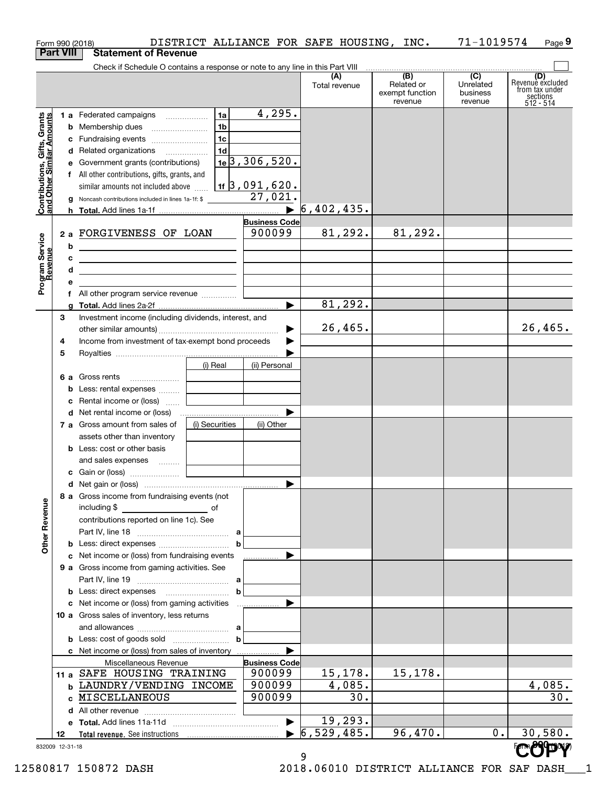|                                                           |                  | Form 990 (2018)                                                                                                       |                |                               |                                  | DISTRICT ALLIANCE FOR SAFE HOUSING, INC.                     | 71-1019574                                           | Page 9                                                             |
|-----------------------------------------------------------|------------------|-----------------------------------------------------------------------------------------------------------------------|----------------|-------------------------------|----------------------------------|--------------------------------------------------------------|------------------------------------------------------|--------------------------------------------------------------------|
|                                                           | <b>Part VIII</b> | <b>Statement of Revenue</b>                                                                                           |                |                               |                                  |                                                              |                                                      |                                                                    |
|                                                           |                  | Check if Schedule O contains a response or note to any line in this Part VIII                                         |                |                               |                                  |                                                              |                                                      |                                                                    |
|                                                           |                  |                                                                                                                       |                |                               | (A)<br>Total revenue             | $\overline{(B)}$<br>Related or<br>exempt function<br>revenue | $\overline{(C)}$<br>Unrelated<br>business<br>revenue | (D)<br>Revenue excluded<br>from tax under<br>sections<br>512 - 514 |
|                                                           |                  | 1 a Federated campaigns                                                                                               | 1a             | 4,295.                        |                                  |                                                              |                                                      |                                                                    |
|                                                           |                  | <b>b</b> Membership dues                                                                                              | 1b             |                               |                                  |                                                              |                                                      |                                                                    |
|                                                           |                  | c Fundraising events                                                                                                  | 1c             |                               |                                  |                                                              |                                                      |                                                                    |
| Contributions, Gifts, Grants<br>and Other Similar Amounts |                  | d Related organizations                                                                                               | 1d             |                               |                                  |                                                              |                                                      |                                                                    |
|                                                           |                  | e Government grants (contributions)                                                                                   |                | $1e$ 3, 306, 520.             |                                  |                                                              |                                                      |                                                                    |
|                                                           |                  | f All other contributions, gifts, grants, and                                                                         |                |                               |                                  |                                                              |                                                      |                                                                    |
|                                                           |                  | similar amounts not included above                                                                                    |                | $\frac{1}{11}$ 3 , 091 , 620. |                                  |                                                              |                                                      |                                                                    |
|                                                           |                  | g Noncash contributions included in lines 1a-1f: \$                                                                   |                | 27,021.                       |                                  |                                                              |                                                      |                                                                    |
|                                                           |                  |                                                                                                                       |                | $\blacktriangleright$         | 6,402,435.                       |                                                              |                                                      |                                                                    |
|                                                           |                  |                                                                                                                       |                | <b>Business Code</b>          |                                  |                                                              |                                                      |                                                                    |
|                                                           |                  | 2 a FORGIVENESS OF LOAN                                                                                               |                | 900099                        | 81,292.                          | 81,292.                                                      |                                                      |                                                                    |
|                                                           | b                | <u> 1989 - Johann Barn, mars ann an t-Amhain Aonaich an t-Aonaich an t-Aonaich ann an t-Aonaich ann an t-Aonaich</u>  |                |                               |                                  |                                                              |                                                      |                                                                    |
|                                                           | c                | <u> 1989 - John Harry Harry Harry Harry Harry Harry Harry Harry Harry Harry Harry Harry Harry Harry Harry Harry H</u> |                |                               |                                  |                                                              |                                                      |                                                                    |
|                                                           | d                | the control of the control of the control of the control of the control of                                            |                |                               |                                  |                                                              |                                                      |                                                                    |
| Program Service<br>Revenue                                | е                |                                                                                                                       |                |                               |                                  |                                                              |                                                      |                                                                    |
|                                                           | f                |                                                                                                                       |                | ь                             | 81,292.                          |                                                              |                                                      |                                                                    |
|                                                           |                  |                                                                                                                       |                |                               |                                  |                                                              |                                                      |                                                                    |
|                                                           | З                | Investment income (including dividends, interest, and                                                                 |                |                               | 26,465.                          |                                                              |                                                      | 26,465.                                                            |
|                                                           | 4                | Income from investment of tax-exempt bond proceeds                                                                    |                | ▶                             |                                  |                                                              |                                                      |                                                                    |
|                                                           | 5                |                                                                                                                       |                |                               |                                  |                                                              |                                                      |                                                                    |
|                                                           |                  |                                                                                                                       | (i) Real       | (ii) Personal                 |                                  |                                                              |                                                      |                                                                    |
|                                                           |                  | 6 a Gross rents                                                                                                       |                |                               |                                  |                                                              |                                                      |                                                                    |
|                                                           |                  | <b>b</b> Less: rental expenses                                                                                        |                |                               |                                  |                                                              |                                                      |                                                                    |
|                                                           |                  | c Rental income or (loss)                                                                                             |                |                               |                                  |                                                              |                                                      |                                                                    |
|                                                           |                  |                                                                                                                       |                |                               |                                  |                                                              |                                                      |                                                                    |
|                                                           |                  | 7 a Gross amount from sales of                                                                                        | (i) Securities | (ii) Other                    |                                  |                                                              |                                                      |                                                                    |
|                                                           |                  | assets other than inventory                                                                                           |                |                               |                                  |                                                              |                                                      |                                                                    |
|                                                           |                  | <b>b</b> Less: cost or other basis                                                                                    |                |                               |                                  |                                                              |                                                      |                                                                    |
|                                                           |                  | and sales expenses    <b>Conserverse and Sales</b> expenses                                                           |                |                               |                                  |                                                              |                                                      |                                                                    |
|                                                           |                  |                                                                                                                       |                |                               |                                  |                                                              |                                                      |                                                                    |
|                                                           |                  |                                                                                                                       |                |                               |                                  |                                                              |                                                      |                                                                    |
|                                                           |                  | 8 a Gross income from fundraising events (not<br>including \$                                                         |                |                               |                                  |                                                              |                                                      |                                                                    |
|                                                           |                  | <u>of</u> of<br>contributions reported on line 1c). See                                                               |                |                               |                                  |                                                              |                                                      |                                                                    |
| <b>Other Revenue</b>                                      |                  |                                                                                                                       |                |                               |                                  |                                                              |                                                      |                                                                    |
|                                                           |                  |                                                                                                                       | b              |                               |                                  |                                                              |                                                      |                                                                    |
|                                                           |                  | c Net income or (loss) from fundraising events                                                                        |                |                               |                                  |                                                              |                                                      |                                                                    |
|                                                           |                  | 9 a Gross income from gaming activities. See                                                                          |                |                               |                                  |                                                              |                                                      |                                                                    |
|                                                           |                  |                                                                                                                       |                |                               |                                  |                                                              |                                                      |                                                                    |
|                                                           |                  |                                                                                                                       | $\mathbf b$    |                               |                                  |                                                              |                                                      |                                                                    |
|                                                           |                  |                                                                                                                       |                |                               |                                  |                                                              |                                                      |                                                                    |
|                                                           |                  | 10 a Gross sales of inventory, less returns                                                                           |                |                               |                                  |                                                              |                                                      |                                                                    |
|                                                           |                  |                                                                                                                       |                |                               |                                  |                                                              |                                                      |                                                                    |
|                                                           |                  |                                                                                                                       | $\mathbf b$    |                               |                                  |                                                              |                                                      |                                                                    |
|                                                           |                  | c Net income or (loss) from sales of inventory                                                                        |                |                               |                                  |                                                              |                                                      |                                                                    |
|                                                           |                  | Miscellaneous Revenue                                                                                                 |                | <b>Business Code</b>          |                                  |                                                              |                                                      |                                                                    |
|                                                           |                  | 11 a SAFE HOUSING TRAINING                                                                                            |                | 900099                        | 15,178.                          | 15,178.                                                      |                                                      |                                                                    |
|                                                           |                  | <b>b LAUNDRY/VENDING INCOME</b>                                                                                       |                | 900099                        | 4,085.                           |                                                              |                                                      | 4,085.                                                             |
|                                                           |                  | c MISCELLANEOUS                                                                                                       |                | 900099                        | 30.                              |                                                              |                                                      | 30.                                                                |
|                                                           |                  |                                                                                                                       |                |                               |                                  |                                                              |                                                      |                                                                    |
|                                                           |                  |                                                                                                                       |                | $\blacktriangleright$         | 19,293.                          |                                                              |                                                      |                                                                    |
|                                                           | 12               |                                                                                                                       |                |                               | $\blacktriangleright$ 6,529,485. | 96,470.                                                      | $0$ .                                                | 30,580.                                                            |
|                                                           | 832009 12-31-18  |                                                                                                                       |                |                               |                                  |                                                              |                                                      |                                                                    |
|                                                           |                  |                                                                                                                       |                |                               | 9                                |                                                              |                                                      |                                                                    |

 <sup>12580817 150872</sup> DASH 2018.06010 DISTRICT ALLIANCE FOR SAF DASH\_\_\_1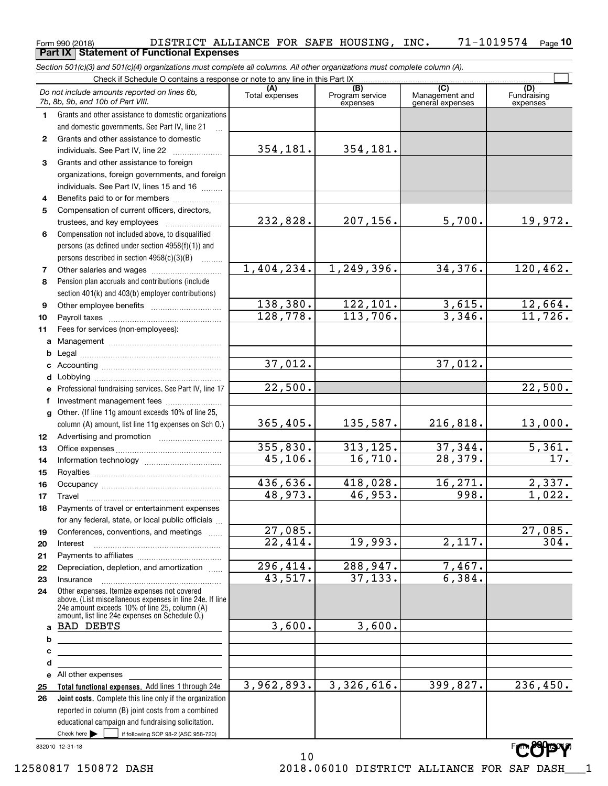# Form 990 (2018) DISTRICT\_ALLIANCE\_FOR\_SAFE\_HOUSING,INC**.** 71-1019574 <sub>Page</sub> **10**<br>\_Part IX | Statement of Functional Expenses **Part IX Statement of Functional Expenses**

*Section 501(c)(3) and 501(c)(4) organizations must complete all columns. All other organizations must complete column (A).*

|              | Do not include amounts reported on lines 6b,<br>7b, 8b, 9b, and 10b of Part VIII.                                     | (A)<br>Total expenses | (B)<br>Program service<br>expenses | $\overline{C}$<br>Management and<br>general expenses | (D)<br>Fundraising<br>expenses |
|--------------|-----------------------------------------------------------------------------------------------------------------------|-----------------------|------------------------------------|------------------------------------------------------|--------------------------------|
| 1.           | Grants and other assistance to domestic organizations                                                                 |                       |                                    |                                                      |                                |
|              | and domestic governments. See Part IV, line 21                                                                        |                       |                                    |                                                      |                                |
| $\mathbf{2}$ | Grants and other assistance to domestic                                                                               |                       |                                    |                                                      |                                |
|              | individuals. See Part IV, line 22                                                                                     | 354,181.              | 354,181.                           |                                                      |                                |
| 3            | Grants and other assistance to foreign                                                                                |                       |                                    |                                                      |                                |
|              | organizations, foreign governments, and foreign                                                                       |                       |                                    |                                                      |                                |
|              | individuals. See Part IV, lines 15 and 16                                                                             |                       |                                    |                                                      |                                |
| 4            | Benefits paid to or for members                                                                                       |                       |                                    |                                                      |                                |
| 5            | Compensation of current officers, directors,                                                                          |                       |                                    |                                                      |                                |
|              | trustees, and key employees                                                                                           | 232,828.              | 207,156.                           | 5,700.                                               | 19,972.                        |
| 6            | Compensation not included above, to disqualified                                                                      |                       |                                    |                                                      |                                |
|              | persons (as defined under section 4958(f)(1)) and                                                                     |                       |                                    |                                                      |                                |
|              | persons described in section 4958(c)(3)(B)                                                                            |                       |                                    |                                                      |                                |
| 7            |                                                                                                                       | 1,404,234.            | 1,249,396.                         | 34,376.                                              | 120, 462.                      |
| 8            | Pension plan accruals and contributions (include                                                                      |                       |                                    |                                                      |                                |
|              | section 401(k) and 403(b) employer contributions)                                                                     |                       |                                    |                                                      |                                |
| 9            |                                                                                                                       | 138,380.              | 122, 101.                          | 3,615.                                               | $\frac{12,664.}{11,726.}$      |
| 10           |                                                                                                                       | 128,778.              | 113,706.                           | 3,346.                                               |                                |
| 11           | Fees for services (non-employees):                                                                                    |                       |                                    |                                                      |                                |
| a            |                                                                                                                       |                       |                                    |                                                      |                                |
| b            |                                                                                                                       |                       |                                    |                                                      |                                |
| c            |                                                                                                                       | 37,012.               |                                    | 37,012.                                              |                                |
| d            |                                                                                                                       |                       |                                    |                                                      |                                |
| e            | Professional fundraising services. See Part IV, line 17                                                               | 22,500.               |                                    |                                                      | 22,500.                        |
| f            | Investment management fees                                                                                            |                       |                                    |                                                      |                                |
| $\mathbf{q}$ | Other. (If line 11g amount exceeds 10% of line 25,                                                                    |                       |                                    |                                                      |                                |
|              | column (A) amount, list line 11g expenses on Sch O.)                                                                  | 365,405.              | 135,587.                           | 216,818.                                             | 13,000.                        |
| 12           |                                                                                                                       |                       |                                    |                                                      |                                |
| 13           |                                                                                                                       | 355,830.              | 313, 125.                          | 37,344.                                              | 5,361.                         |
| 14           |                                                                                                                       | 45,106.               | 16,710.                            | 28,379.                                              | $\overline{17}$ .              |
| 15           |                                                                                                                       |                       |                                    |                                                      |                                |
| 16           |                                                                                                                       | 436,636.              | 418,028.                           | 16, 271.                                             | 2,337.                         |
| 17           | Travel                                                                                                                | 48,973.               | 46,953.                            | 998.                                                 | 1,022.                         |
| 18           | Payments of travel or entertainment expenses                                                                          |                       |                                    |                                                      |                                |
|              | for any federal, state, or local public officials                                                                     |                       |                                    |                                                      |                                |
| 19           | Conferences, conventions, and meetings                                                                                | 27,085.               |                                    |                                                      | $\overline{27,085}$ .          |
| 20           | Interest                                                                                                              | 22,414.               | 19,993.                            | $\overline{2,117.}$                                  | 304.                           |
| 21           |                                                                                                                       |                       |                                    |                                                      |                                |
| 22           | Depreciation, depletion, and amortization                                                                             | 296,414.              | 288,947.<br>37, 133.               | 7,467.<br>6,384.                                     |                                |
| 23           | Insurance                                                                                                             | 43,517.               |                                    |                                                      |                                |
| 24           | Other expenses. Itemize expenses not covered<br>above. (List miscellaneous expenses in line 24e. If line              |                       |                                    |                                                      |                                |
|              | 24e amount exceeds 10% of line 25, column (A)                                                                         |                       |                                    |                                                      |                                |
|              | amount, list line 24e expenses on Schedule O.)<br><b>BAD DEBTS</b>                                                    | 3,600.                | 3,600.                             |                                                      |                                |
| a            |                                                                                                                       |                       |                                    |                                                      |                                |
| b            | <u> 1980 - Johann Barn, amerikansk politiker (</u>                                                                    |                       |                                    |                                                      |                                |
| c            |                                                                                                                       |                       |                                    |                                                      |                                |
| d            | <u> 1980 - Johann Barn, mars ann an t-Amhain an t-Amhain an t-Amhain an t-Amhain an t-Amhain an t-Amhain an t-Amh</u> |                       |                                    |                                                      |                                |
|              | e All other expenses                                                                                                  | 3,962,893.            | 3,326,616.                         | 399,827.                                             | 236,450.                       |
| 25           | Total functional expenses. Add lines 1 through 24e                                                                    |                       |                                    |                                                      |                                |
| 26           | <b>Joint costs.</b> Complete this line only if the organization                                                       |                       |                                    |                                                      |                                |
|              | reported in column (B) joint costs from a combined                                                                    |                       |                                    |                                                      |                                |
|              | educational campaign and fundraising solicitation.                                                                    |                       |                                    |                                                      |                                |
|              | Check here $\blacktriangleright$<br>if following SOP 98-2 (ASC 958-720)                                               |                       |                                    |                                                      |                                |
|              | 832010 12-31-18                                                                                                       | 10                    |                                    |                                                      |                                |

12580817 150872 DASH 2018.06010 DISTRICT ALLIANCE FOR SAF DASH\_\_\_1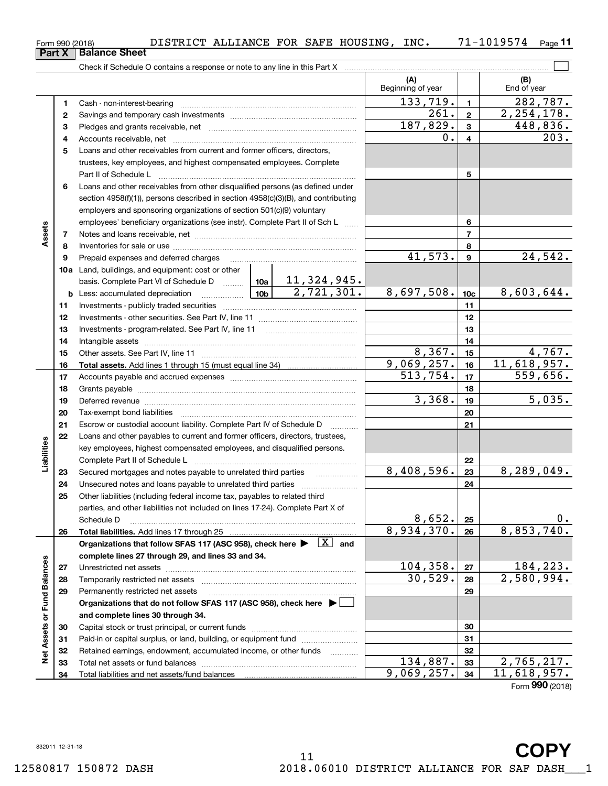**Part X Balance Sheet**<br>**Part X Balance Sheet** 

|                             |              | Check if Schedule O contains a response or note to any line in this Part X [11] Check if Schedule O contains a response or note to any line in this Part X [11] [11] [12] Check if Schedule O contains a response or note to a |          |                          |                         |                         |
|-----------------------------|--------------|--------------------------------------------------------------------------------------------------------------------------------------------------------------------------------------------------------------------------------|----------|--------------------------|-------------------------|-------------------------|
|                             |              |                                                                                                                                                                                                                                |          | (A)<br>Beginning of year |                         | (B)<br>End of year      |
|                             | 1            |                                                                                                                                                                                                                                |          | 133,719.                 | $\mathbf{1}$            | 282,787.                |
|                             | $\mathbf{2}$ |                                                                                                                                                                                                                                |          | 261.                     | $\overline{2}$          | 2, 254, 178.            |
|                             | з            |                                                                                                                                                                                                                                | 187,829. | $\mathbf{3}$             | 448,836.                |                         |
|                             | 4            |                                                                                                                                                                                                                                |          | 0.                       | $\overline{\mathbf{4}}$ | 203.                    |
|                             | 5            | Loans and other receivables from current and former officers, directors,                                                                                                                                                       |          |                          |                         |                         |
|                             |              | trustees, key employees, and highest compensated employees. Complete                                                                                                                                                           |          |                          |                         |                         |
|                             |              |                                                                                                                                                                                                                                |          |                          | 5                       |                         |
|                             | 6            | Loans and other receivables from other disqualified persons (as defined under                                                                                                                                                  |          |                          |                         |                         |
|                             |              | section 4958(f)(1)), persons described in section 4958(c)(3)(B), and contributing                                                                                                                                              |          |                          |                         |                         |
|                             |              | employers and sponsoring organizations of section 501(c)(9) voluntary                                                                                                                                                          |          |                          |                         |                         |
|                             |              | employees' beneficiary organizations (see instr). Complete Part II of Sch L                                                                                                                                                    |          |                          | 6                       |                         |
| Assets                      | 7            |                                                                                                                                                                                                                                |          |                          | $\overline{7}$          |                         |
|                             | 8            |                                                                                                                                                                                                                                |          |                          | 8                       |                         |
|                             | 9            |                                                                                                                                                                                                                                |          | 41,573.                  | $\boldsymbol{9}$        | 24,542.                 |
|                             |              | 10a Land, buildings, and equipment: cost or other                                                                                                                                                                              |          |                          |                         |                         |
|                             |              | basis. Complete Part VI of Schedule D    10a   11, 324, 945.                                                                                                                                                                   |          |                          |                         |                         |
|                             |              | <b>b</b> Less: accumulated depreciation $\frac{10b}{2}$ , 721, 301.                                                                                                                                                            |          | 8,697,508.               | 10 <sub>c</sub>         | 8,603,644.              |
|                             | 11           |                                                                                                                                                                                                                                |          |                          | 11                      |                         |
|                             | 12           |                                                                                                                                                                                                                                |          |                          | 12                      |                         |
|                             | 13           |                                                                                                                                                                                                                                |          |                          | 13                      |                         |
|                             | 14           |                                                                                                                                                                                                                                |          |                          | 14                      |                         |
|                             | 15           |                                                                                                                                                                                                                                |          | 8,367.                   | 15                      | 4,767.                  |
|                             | 16           |                                                                                                                                                                                                                                |          | 9,069,257.               | 16                      | 11,618,957.             |
|                             | 17           |                                                                                                                                                                                                                                | 513,754. | 17                       | 559,656.                |                         |
|                             | 18           |                                                                                                                                                                                                                                |          |                          | 18                      |                         |
|                             | 19           | Deferred revenue manual contracts and contracts are contracted and contract and contract are contracted and contract are contracted and contract are contracted and contract are contracted and contract are contracted and co |          | 3,368.                   | 19                      | 5,035.                  |
|                             | 20           |                                                                                                                                                                                                                                |          |                          | 20                      |                         |
|                             | 21           | Escrow or custodial account liability. Complete Part IV of Schedule D                                                                                                                                                          |          |                          | 21                      |                         |
|                             | 22           | Loans and other payables to current and former officers, directors, trustees,                                                                                                                                                  |          |                          |                         |                         |
| Liabilities                 |              | key employees, highest compensated employees, and disqualified persons.                                                                                                                                                        |          |                          |                         |                         |
|                             |              |                                                                                                                                                                                                                                |          |                          | 22                      |                         |
|                             | 23           |                                                                                                                                                                                                                                |          | $\overline{8,408},596.$  | 23                      | $\overline{8,289},049.$ |
|                             | 24           |                                                                                                                                                                                                                                |          |                          | 24                      |                         |
|                             | 25           | Other liabilities (including federal income tax, payables to related third                                                                                                                                                     |          |                          |                         |                         |
|                             |              | parties, and other liabilities not included on lines 17-24). Complete Part X of                                                                                                                                                |          |                          |                         |                         |
|                             |              | Schedule D                                                                                                                                                                                                                     |          | 8,652.                   | 25                      | $0$ .                   |
|                             | 26           |                                                                                                                                                                                                                                |          | 8,934,370.               | 26                      | 8,853,740.              |
|                             |              | Organizations that follow SFAS 117 (ASC 958), check here $\blacktriangleright \begin{array}{ c } \hline X & \text{and} \end{array}$                                                                                            |          |                          |                         |                         |
|                             |              | complete lines 27 through 29, and lines 33 and 34.                                                                                                                                                                             |          |                          |                         |                         |
|                             | 27           |                                                                                                                                                                                                                                |          | 104, 358.                | 27                      | 184,223.                |
|                             | 28           |                                                                                                                                                                                                                                |          | 30,529.                  | 28                      | 2,580,994.              |
|                             | 29           | Permanently restricted net assets                                                                                                                                                                                              |          |                          | 29                      |                         |
|                             |              | Organizations that do not follow SFAS 117 (ASC 958), check here ▶ │                                                                                                                                                            |          |                          |                         |                         |
| Net Assets or Fund Balances |              | and complete lines 30 through 34.                                                                                                                                                                                              |          |                          |                         |                         |
|                             | 30           |                                                                                                                                                                                                                                |          |                          | 30                      |                         |
|                             | 31           | Paid-in or capital surplus, or land, building, or equipment fund                                                                                                                                                               |          |                          | 31                      |                         |
|                             | 32           | Retained earnings, endowment, accumulated income, or other funds                                                                                                                                                               |          |                          | 32                      |                         |
|                             | 33           |                                                                                                                                                                                                                                |          | 134,887.<br>9,069,257.   | 33                      | 2,765,217.              |
|                             | 34           |                                                                                                                                                                                                                                |          |                          | 34                      | 11,618,957.             |
|                             |              |                                                                                                                                                                                                                                |          |                          |                         | Form 990 (2018)         |

| Form 990 (201 |  |
|---------------|--|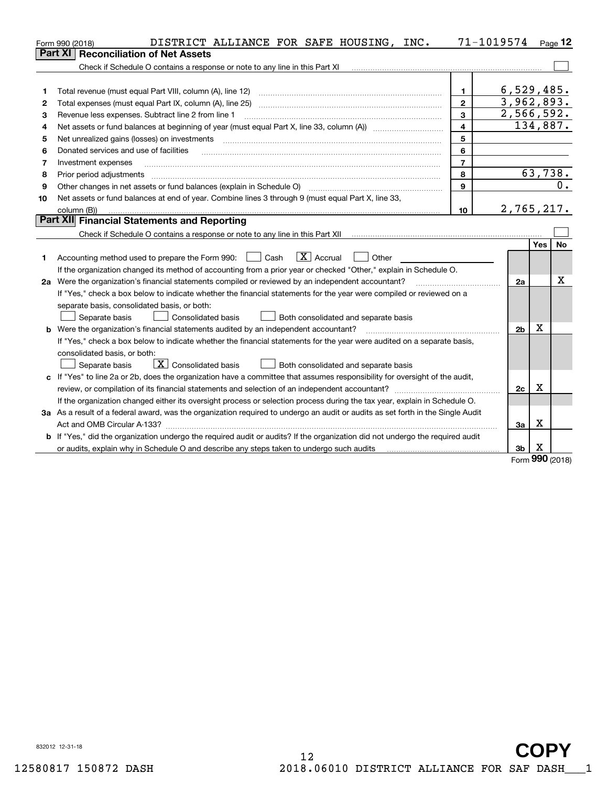|    | DISTRICT ALLIANCE FOR SAFE HOUSING, INC.<br>Form 990 (2018)                                                                     | 71-1019574 Page 12      |                |             |           |
|----|---------------------------------------------------------------------------------------------------------------------------------|-------------------------|----------------|-------------|-----------|
|    | <b>Reconciliation of Net Assets</b><br>Part XI                                                                                  |                         |                |             |           |
|    | Check if Schedule O contains a response or note to any line in this Part XI                                                     |                         |                |             |           |
|    |                                                                                                                                 |                         |                |             |           |
| 1  | Total revenue (must equal Part VIII, column (A), line 12)                                                                       | $\mathbf{1}$            | 6,529,485.     |             |           |
| 2  |                                                                                                                                 | $\mathbf{2}$            | 3,962,893.     |             |           |
| з  | Revenue less expenses. Subtract line 2 from line 1                                                                              | $\overline{\mathbf{3}}$ | 2,566,592.     |             |           |
| 4  |                                                                                                                                 | $\overline{4}$          |                |             | 134,887.  |
| 5  | Net unrealized gains (losses) on investments                                                                                    | 5                       |                |             |           |
| 6  | Donated services and use of facilities                                                                                          | 6                       |                |             |           |
| 7  | Investment expenses                                                                                                             | $\overline{7}$          |                |             |           |
| 8  | Prior period adjustments                                                                                                        | 8                       |                |             | 63,738.   |
| 9  |                                                                                                                                 | 9                       |                |             | 0.        |
| 10 | Net assets or fund balances at end of year. Combine lines 3 through 9 (must equal Part X, line 33,                              |                         |                |             |           |
|    | column (B))                                                                                                                     | 10                      | 2,765,217.     |             |           |
|    | Part XII Financial Statements and Reporting                                                                                     |                         |                |             |           |
|    |                                                                                                                                 |                         |                |             |           |
|    |                                                                                                                                 |                         |                | Yes         | <b>No</b> |
| 1  | $\boxed{\mathbf{X}}$ Accrual<br>Accounting method used to prepare the Form 990: <u>June</u> Cash<br>Other                       |                         |                |             |           |
|    | If the organization changed its method of accounting from a prior year or checked "Other," explain in Schedule O.               |                         |                |             |           |
|    | 2a Were the organization's financial statements compiled or reviewed by an independent accountant?                              |                         | 2a             |             | х         |
|    | If "Yes," check a box below to indicate whether the financial statements for the year were compiled or reviewed on a            |                         |                |             |           |
|    | separate basis, consolidated basis, or both:                                                                                    |                         |                |             |           |
|    | Separate basis<br>Consolidated basis<br>Both consolidated and separate basis                                                    |                         |                |             |           |
|    | <b>b</b> Were the organization's financial statements audited by an independent accountant?                                     |                         | 2 <sub>b</sub> | X           |           |
|    | If "Yes," check a box below to indicate whether the financial statements for the year were audited on a separate basis,         |                         |                |             |           |
|    | consolidated basis, or both:                                                                                                    |                         |                |             |           |
|    | $\overline{X}$ Consolidated basis<br>Separate basis<br>Both consolidated and separate basis                                     |                         |                |             |           |
|    | c If "Yes" to line 2a or 2b, does the organization have a committee that assumes responsibility for oversight of the audit,     |                         |                |             |           |
|    |                                                                                                                                 |                         | 2c             | $\mathbf X$ |           |
|    | If the organization changed either its oversight process or selection process during the tax year, explain in Schedule O.       |                         |                |             |           |
|    | 3a As a result of a federal award, was the organization required to undergo an audit or audits as set forth in the Single Audit |                         |                |             |           |
|    |                                                                                                                                 |                         | За             | x           |           |
|    | b If "Yes," did the organization undergo the required audit or audits? If the organization did not undergo the required audit   |                         |                |             |           |
|    | or audits, explain why in Schedule O and describe any steps taken to undergo such audits                                        |                         | 3b             | X<br>nnn    |           |

Form (2018) **990**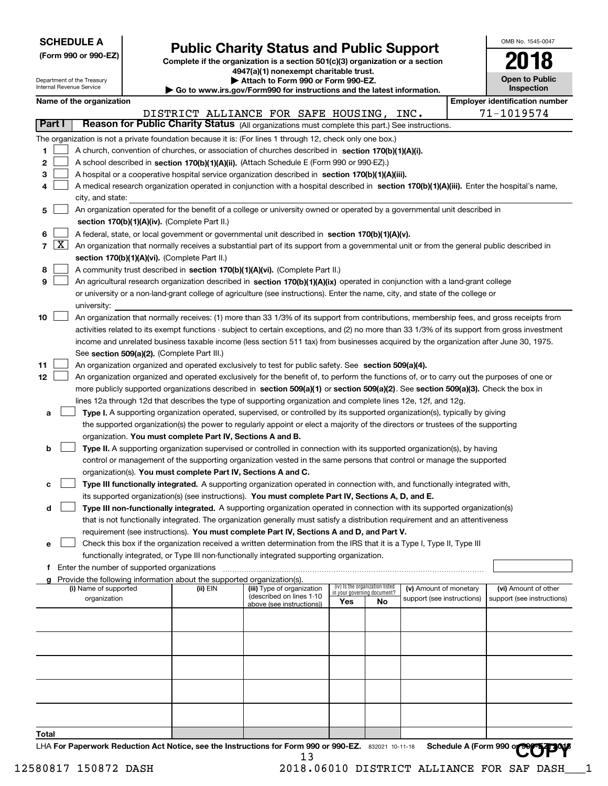| <b>SCHEDULE A</b> |  |
|-------------------|--|
|-------------------|--|

Department of the Treasury Internal Revenue Service

**(Form 990 or 990-EZ)**

# **Public Charity Status and Public Support**

**Complete if the organization is a section 501(c)(3) organization or a section 4947(a)(1) nonexempt charitable trust. | Attach to Form 990 or Form 990-EZ.** 

**| Go to www.irs.gov/Form990 for instructions and the latest information.**

| OMB No. 1545-0047     |
|-----------------------|
| 2018                  |
| <b>Open to Public</b> |

**Inspection**

|  |  |  |  | Name of the organization |
|--|--|--|--|--------------------------|
|--|--|--|--|--------------------------|

|        | Name of the organization                                                                                                                                   |          |                                          |                             |                                 |                            |  | <b>Employer identification number</b> |  |  |  |  |  |
|--------|------------------------------------------------------------------------------------------------------------------------------------------------------------|----------|------------------------------------------|-----------------------------|---------------------------------|----------------------------|--|---------------------------------------|--|--|--|--|--|
|        |                                                                                                                                                            |          | DISTRICT ALLIANCE FOR SAFE HOUSING, INC. |                             |                                 |                            |  | 71-1019574                            |  |  |  |  |  |
| Part I | Reason for Public Charity Status (All organizations must complete this part.) See instructions.                                                            |          |                                          |                             |                                 |                            |  |                                       |  |  |  |  |  |
|        | The organization is not a private foundation because it is: (For lines 1 through 12, check only one box.)                                                  |          |                                          |                             |                                 |                            |  |                                       |  |  |  |  |  |
| 1.     | A church, convention of churches, or association of churches described in section 170(b)(1)(A)(i).                                                         |          |                                          |                             |                                 |                            |  |                                       |  |  |  |  |  |
| 2      | A school described in section 170(b)(1)(A)(ii). (Attach Schedule E (Form 990 or 990-EZ).)                                                                  |          |                                          |                             |                                 |                            |  |                                       |  |  |  |  |  |
| 3      | A hospital or a cooperative hospital service organization described in section 170(b)(1)(A)(iii).                                                          |          |                                          |                             |                                 |                            |  |                                       |  |  |  |  |  |
| 4      | A medical research organization operated in conjunction with a hospital described in section 170(b)(1)(A)(iii). Enter the hospital's name,                 |          |                                          |                             |                                 |                            |  |                                       |  |  |  |  |  |
|        | city, and state:                                                                                                                                           |          |                                          |                             |                                 |                            |  |                                       |  |  |  |  |  |
| 5      | An organization operated for the benefit of a college or university owned or operated by a governmental unit described in                                  |          |                                          |                             |                                 |                            |  |                                       |  |  |  |  |  |
|        | section 170(b)(1)(A)(iv). (Complete Part II.)                                                                                                              |          |                                          |                             |                                 |                            |  |                                       |  |  |  |  |  |
| 6      | A federal, state, or local government or governmental unit described in section 170(b)(1)(A)(v).                                                           |          |                                          |                             |                                 |                            |  |                                       |  |  |  |  |  |
|        | $7 \overline{X}$ An organization that normally receives a substantial part of its support from a governmental unit or from the general public described in |          |                                          |                             |                                 |                            |  |                                       |  |  |  |  |  |
|        | section 170(b)(1)(A)(vi). (Complete Part II.)                                                                                                              |          |                                          |                             |                                 |                            |  |                                       |  |  |  |  |  |
| 8      | A community trust described in section 170(b)(1)(A)(vi). (Complete Part II.)                                                                               |          |                                          |                             |                                 |                            |  |                                       |  |  |  |  |  |
| 9      | An agricultural research organization described in section 170(b)(1)(A)(ix) operated in conjunction with a land-grant college                              |          |                                          |                             |                                 |                            |  |                                       |  |  |  |  |  |
|        | or university or a non-land-grant college of agriculture (see instructions). Enter the name, city, and state of the college or                             |          |                                          |                             |                                 |                            |  |                                       |  |  |  |  |  |
|        | university:                                                                                                                                                |          |                                          |                             |                                 |                            |  |                                       |  |  |  |  |  |
| 10     | An organization that normally receives: (1) more than 33 1/3% of its support from contributions, membership fees, and gross receipts from                  |          |                                          |                             |                                 |                            |  |                                       |  |  |  |  |  |
|        | activities related to its exempt functions - subject to certain exceptions, and (2) no more than 33 1/3% of its support from gross investment              |          |                                          |                             |                                 |                            |  |                                       |  |  |  |  |  |
|        | income and unrelated business taxable income (less section 511 tax) from businesses acquired by the organization after June 30, 1975.                      |          |                                          |                             |                                 |                            |  |                                       |  |  |  |  |  |
|        | See section 509(a)(2). (Complete Part III.)                                                                                                                |          |                                          |                             |                                 |                            |  |                                       |  |  |  |  |  |
| 11     | An organization organized and operated exclusively to test for public safety. See section 509(a)(4).                                                       |          |                                          |                             |                                 |                            |  |                                       |  |  |  |  |  |
| 12     | An organization organized and operated exclusively for the benefit of, to perform the functions of, or to carry out the purposes of one or                 |          |                                          |                             |                                 |                            |  |                                       |  |  |  |  |  |
|        | more publicly supported organizations described in section 509(a)(1) or section 509(a)(2). See section 509(a)(3). Check the box in                         |          |                                          |                             |                                 |                            |  |                                       |  |  |  |  |  |
|        | lines 12a through 12d that describes the type of supporting organization and complete lines 12e, 12f, and 12g.                                             |          |                                          |                             |                                 |                            |  |                                       |  |  |  |  |  |
| а      | Type I. A supporting organization operated, supervised, or controlled by its supported organization(s), typically by giving                                |          |                                          |                             |                                 |                            |  |                                       |  |  |  |  |  |
|        | the supported organization(s) the power to regularly appoint or elect a majority of the directors or trustees of the supporting                            |          |                                          |                             |                                 |                            |  |                                       |  |  |  |  |  |
|        | organization. You must complete Part IV, Sections A and B.                                                                                                 |          |                                          |                             |                                 |                            |  |                                       |  |  |  |  |  |
| b      | Type II. A supporting organization supervised or controlled in connection with its supported organization(s), by having                                    |          |                                          |                             |                                 |                            |  |                                       |  |  |  |  |  |
|        | control or management of the supporting organization vested in the same persons that control or manage the supported                                       |          |                                          |                             |                                 |                            |  |                                       |  |  |  |  |  |
|        | organization(s). You must complete Part IV, Sections A and C.                                                                                              |          |                                          |                             |                                 |                            |  |                                       |  |  |  |  |  |
| с      | Type III functionally integrated. A supporting organization operated in connection with, and functionally integrated with,                                 |          |                                          |                             |                                 |                            |  |                                       |  |  |  |  |  |
|        | its supported organization(s) (see instructions). You must complete Part IV, Sections A, D, and E.                                                         |          |                                          |                             |                                 |                            |  |                                       |  |  |  |  |  |
| d      | Type III non-functionally integrated. A supporting organization operated in connection with its supported organization(s)                                  |          |                                          |                             |                                 |                            |  |                                       |  |  |  |  |  |
|        | that is not functionally integrated. The organization generally must satisfy a distribution requirement and an attentiveness                               |          |                                          |                             |                                 |                            |  |                                       |  |  |  |  |  |
|        | requirement (see instructions). You must complete Part IV, Sections A and D, and Part V.                                                                   |          |                                          |                             |                                 |                            |  |                                       |  |  |  |  |  |
|        | Check this box if the organization received a written determination from the IRS that it is a Type I, Type II, Type III                                    |          |                                          |                             |                                 |                            |  |                                       |  |  |  |  |  |
|        | functionally integrated, or Type III non-functionally integrated supporting organization.                                                                  |          |                                          |                             |                                 |                            |  |                                       |  |  |  |  |  |
| f      | Enter the number of supported organizations                                                                                                                |          |                                          |                             |                                 |                            |  |                                       |  |  |  |  |  |
|        | g Provide the following information about the supported organization(s).<br>(i) Name of supported                                                          | (ii) EIN | (iii) Type of organization               |                             | (iv) Is the organization listed | (v) Amount of monetary     |  | (vi) Amount of other                  |  |  |  |  |  |
|        | organization                                                                                                                                               |          | (described on lines 1-10                 | in your governing document? |                                 | support (see instructions) |  | support (see instructions)            |  |  |  |  |  |
|        |                                                                                                                                                            |          | above (see instructions))                | Yes                         | No                              |                            |  |                                       |  |  |  |  |  |
|        |                                                                                                                                                            |          |                                          |                             |                                 |                            |  |                                       |  |  |  |  |  |
|        |                                                                                                                                                            |          |                                          |                             |                                 |                            |  |                                       |  |  |  |  |  |
|        |                                                                                                                                                            |          |                                          |                             |                                 |                            |  |                                       |  |  |  |  |  |
|        |                                                                                                                                                            |          |                                          |                             |                                 |                            |  |                                       |  |  |  |  |  |
|        |                                                                                                                                                            |          |                                          |                             |                                 |                            |  |                                       |  |  |  |  |  |
|        |                                                                                                                                                            |          |                                          |                             |                                 |                            |  |                                       |  |  |  |  |  |
|        |                                                                                                                                                            |          |                                          |                             |                                 |                            |  |                                       |  |  |  |  |  |
|        |                                                                                                                                                            |          |                                          |                             |                                 |                            |  |                                       |  |  |  |  |  |
|        |                                                                                                                                                            |          |                                          |                             |                                 |                            |  |                                       |  |  |  |  |  |
| Total  |                                                                                                                                                            |          |                                          |                             |                                 |                            |  |                                       |  |  |  |  |  |

LHA For Paperwork Reduction Act Notice, see the Instructions for Form 990 or 990-EZ. 832021 10-11-18 Schedule A (Form 990 or 990-EXP)OV 13 Schedule A (Form 990 or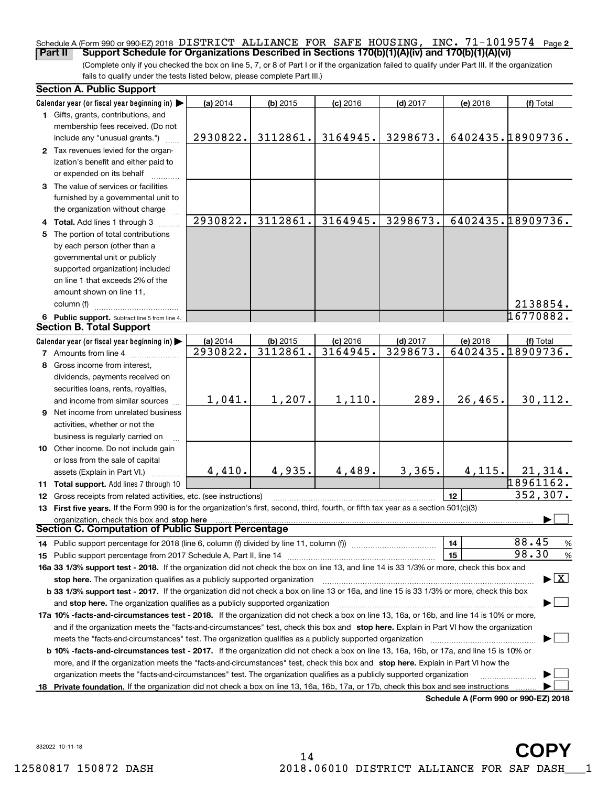# Schedule A (Form 990 or 990-EZ) 2018 DISTRICT ALLIANCE FOR SAFE HOUSING, INC. 71–1019574 <sub>Page 2</sub><br>Part II Support Schedule for Organizations Described in Sections 170(b)(1)(A)(iv) and 170(b)(1)(A)(vi) **Part II Support Schedule for Organizations Described in Sections 170(b)(1)(A)(iv) and 170(b)(1)(A)(vi)**

(Complete only if you checked the box on line 5, 7, or 8 of Part I or if the organization failed to qualify under Part III. If the organization fails to qualify under the tests listed below, please complete Part III.)

| <b>Section A. Public Support</b>                                                                                                               |          |            |            |            |          |                                          |
|------------------------------------------------------------------------------------------------------------------------------------------------|----------|------------|------------|------------|----------|------------------------------------------|
| Calendar year (or fiscal year beginning in) $\blacktriangleright$                                                                              | (a) 2014 | $(b)$ 2015 | $(c)$ 2016 | $(d)$ 2017 | (e) 2018 | (f) Total                                |
| 1 Gifts, grants, contributions, and                                                                                                            |          |            |            |            |          |                                          |
| membership fees received. (Do not                                                                                                              |          |            |            |            |          |                                          |
| include any "unusual grants.")                                                                                                                 | 2930822. | 3112861.   | 3164945.   | 3298673.   |          | 6402435.18909736.                        |
| 2 Tax revenues levied for the organ-                                                                                                           |          |            |            |            |          |                                          |
| ization's benefit and either paid to                                                                                                           |          |            |            |            |          |                                          |
| or expended on its behalf                                                                                                                      |          |            |            |            |          |                                          |
| 3 The value of services or facilities                                                                                                          |          |            |            |            |          |                                          |
| furnished by a governmental unit to                                                                                                            |          |            |            |            |          |                                          |
| the organization without charge                                                                                                                |          |            |            |            |          |                                          |
| 4 Total. Add lines 1 through 3                                                                                                                 | 2930822. | 3112861.   | 3164945.   | 3298673.   |          | 6402435.18909736.                        |
| 5 The portion of total contributions                                                                                                           |          |            |            |            |          |                                          |
| by each person (other than a                                                                                                                   |          |            |            |            |          |                                          |
| governmental unit or publicly                                                                                                                  |          |            |            |            |          |                                          |
| supported organization) included                                                                                                               |          |            |            |            |          |                                          |
| on line 1 that exceeds 2% of the                                                                                                               |          |            |            |            |          |                                          |
| amount shown on line 11,                                                                                                                       |          |            |            |            |          |                                          |
| column (f)                                                                                                                                     |          |            |            |            |          | 2138854.                                 |
| 6 Public support. Subtract line 5 from line 4.                                                                                                 |          |            |            |            |          | 16770882.                                |
| <b>Section B. Total Support</b>                                                                                                                |          |            |            |            |          |                                          |
| Calendar year (or fiscal year beginning in)                                                                                                    | (a) 2014 | $(b)$ 2015 | $(c)$ 2016 | $(d)$ 2017 | (e) 2018 | (f) Total                                |
| <b>7</b> Amounts from line 4                                                                                                                   | 2930822. | 3112861.   | 3164945.   | 3298673.   |          | 6402435.18909736.                        |
|                                                                                                                                                |          |            |            |            |          |                                          |
| 8 Gross income from interest,                                                                                                                  |          |            |            |            |          |                                          |
| dividends, payments received on                                                                                                                |          |            |            |            |          |                                          |
| securities loans, rents, royalties,                                                                                                            |          | 1,207.     | 1,110.     | 289.       | 26,465.  |                                          |
| and income from similar sources                                                                                                                | 1,041.   |            |            |            |          | 30, 112.                                 |
| 9 Net income from unrelated business                                                                                                           |          |            |            |            |          |                                          |
| activities, whether or not the                                                                                                                 |          |            |            |            |          |                                          |
| business is regularly carried on                                                                                                               |          |            |            |            |          |                                          |
| 10 Other income. Do not include gain                                                                                                           |          |            |            |            |          |                                          |
| or loss from the sale of capital                                                                                                               |          |            |            |            |          |                                          |
| assets (Explain in Part VI.)                                                                                                                   | 4,410.   | 4,935.     | 4,489.     | 3,365.     | 4,115.   | 21,314.                                  |
| 11 Total support. Add lines 7 through 10                                                                                                       |          |            |            |            |          | 18961162.                                |
| 12 Gross receipts from related activities, etc. (see instructions)                                                                             |          |            |            |            | 12       | 352, 307.                                |
| 13 First five years. If the Form 990 is for the organization's first, second, third, fourth, or fifth tax year as a section 501(c)(3)          |          |            |            |            |          |                                          |
| organization, check this box and stop here                                                                                                     |          |            |            |            |          |                                          |
| Section C. Computation of Public Support Percentage                                                                                            |          |            |            |            |          |                                          |
|                                                                                                                                                |          |            |            |            | 14       | 88.45<br>%                               |
|                                                                                                                                                |          |            |            |            | 15       | 98.30<br>$\%$                            |
| 16a 33 1/3% support test - 2018. If the organization did not check the box on line 13, and line 14 is 33 1/3% or more, check this box and      |          |            |            |            |          |                                          |
| stop here. The organization qualifies as a publicly supported organization                                                                     |          |            |            |            |          | $\blacktriangleright$ $\boxed{\text{X}}$ |
| b 33 1/3% support test - 2017. If the organization did not check a box on line 13 or 16a, and line 15 is 33 1/3% or more, check this box       |          |            |            |            |          |                                          |
|                                                                                                                                                |          |            |            |            |          |                                          |
| 17a 10% -facts-and-circumstances test - 2018. If the organization did not check a box on line 13, 16a, or 16b, and line 14 is 10% or more,     |          |            |            |            |          |                                          |
| and if the organization meets the "facts-and-circumstances" test, check this box and stop here. Explain in Part VI how the organization        |          |            |            |            |          |                                          |
|                                                                                                                                                |          |            |            |            |          |                                          |
| <b>b 10% -facts-and-circumstances test - 2017.</b> If the organization did not check a box on line 13, 16a, 16b, or 17a, and line 15 is 10% or |          |            |            |            |          |                                          |
| more, and if the organization meets the "facts-and-circumstances" test, check this box and stop here. Explain in Part VI how the               |          |            |            |            |          |                                          |
| organization meets the "facts-and-circumstances" test. The organization qualifies as a publicly supported organization                         |          |            |            |            |          |                                          |
| 18 Private foundation. If the organization did not check a box on line 13, 16a, 16b, 17a, or 17b, check this box and see instructions          |          |            |            |            |          |                                          |
|                                                                                                                                                |          |            |            |            |          | Schedule A (Form 990 or 990-F7) 2018     |

**Schedule A (Form 990 or 990-EZ) 2018**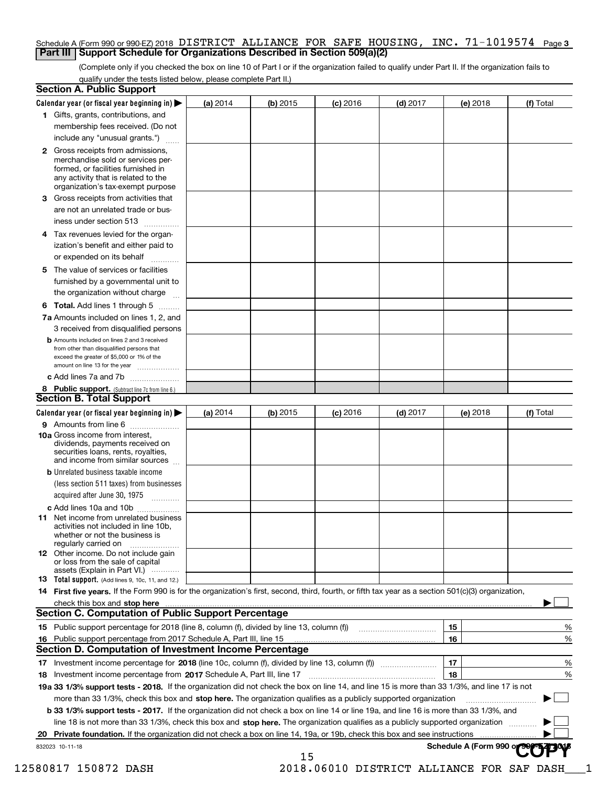### Schedule A (Form 990 or 990-EZ) 2018 DISTRICT ALLIANCE FOR SAFE HOUSING , INC • 71–1019574 Page 3<br>| Part III | Support Schedule for Organizations Described in Section 509(a)(2) **Part III** | Support Schedule for Organizations Described in Section 509(a)(2)

(Complete only if you checked the box on line 10 of Part I or if the organization failed to qualify under Part II. If the organization fails to qualify under the tests listed below, please complete Part II.)

| <b>Section A. Public Support</b>                                                                                                                                                                                                                                                      |            |            |            |            |                         |           |
|---------------------------------------------------------------------------------------------------------------------------------------------------------------------------------------------------------------------------------------------------------------------------------------|------------|------------|------------|------------|-------------------------|-----------|
| Calendar year (or fiscal year beginning in)                                                                                                                                                                                                                                           | $(a)$ 2014 | $(b)$ 2015 | $(c)$ 2016 | $(d)$ 2017 | (e) 2018                | (f) Total |
| 1 Gifts, grants, contributions, and                                                                                                                                                                                                                                                   |            |            |            |            |                         |           |
| membership fees received. (Do not                                                                                                                                                                                                                                                     |            |            |            |            |                         |           |
| include any "unusual grants.")                                                                                                                                                                                                                                                        |            |            |            |            |                         |           |
| <b>2</b> Gross receipts from admissions,<br>merchandise sold or services per-<br>formed, or facilities furnished in<br>any activity that is related to the<br>organization's tax-exempt purpose                                                                                       |            |            |            |            |                         |           |
| 3 Gross receipts from activities that<br>are not an unrelated trade or bus-                                                                                                                                                                                                           |            |            |            |            |                         |           |
| iness under section 513                                                                                                                                                                                                                                                               |            |            |            |            |                         |           |
| 4 Tax revenues levied for the organ-<br>ization's benefit and either paid to                                                                                                                                                                                                          |            |            |            |            |                         |           |
| or expended on its behalf                                                                                                                                                                                                                                                             |            |            |            |            |                         |           |
| 5 The value of services or facilities<br>furnished by a governmental unit to                                                                                                                                                                                                          |            |            |            |            |                         |           |
| the organization without charge                                                                                                                                                                                                                                                       |            |            |            |            |                         |           |
| <b>6 Total.</b> Add lines 1 through 5                                                                                                                                                                                                                                                 |            |            |            |            |                         |           |
| 7a Amounts included on lines 1, 2, and<br>3 received from disqualified persons                                                                                                                                                                                                        |            |            |            |            |                         |           |
| <b>b</b> Amounts included on lines 2 and 3 received<br>from other than disqualified persons that<br>exceed the greater of \$5,000 or 1% of the<br>amount on line 13 for the year                                                                                                      |            |            |            |            |                         |           |
| c Add lines 7a and 7b                                                                                                                                                                                                                                                                 |            |            |            |            |                         |           |
| 8 Public support. (Subtract line 7c from line 6.)<br><b>Section B. Total Support</b>                                                                                                                                                                                                  |            |            |            |            |                         |           |
| Calendar year (or fiscal year beginning in)                                                                                                                                                                                                                                           | (a) $2014$ | (b) 2015   | $(c)$ 2016 | $(d)$ 2017 | (e) 2018                | (f) Total |
| 9 Amounts from line 6                                                                                                                                                                                                                                                                 |            |            |            |            |                         |           |
| 10a Gross income from interest,<br>dividends, payments received on<br>securities loans, rents, royalties,<br>and income from similar sources                                                                                                                                          |            |            |            |            |                         |           |
| <b>b</b> Unrelated business taxable income<br>(less section 511 taxes) from businesses                                                                                                                                                                                                |            |            |            |            |                         |           |
| acquired after June 30, 1975                                                                                                                                                                                                                                                          |            |            |            |            |                         |           |
| c Add lines 10a and 10b                                                                                                                                                                                                                                                               |            |            |            |            |                         |           |
| 11 Net income from unrelated business<br>activities not included in line 10b,<br>whether or not the business is<br>regularly carried on                                                                                                                                               |            |            |            |            |                         |           |
| <b>12</b> Other income. Do not include gain<br>or loss from the sale of capital<br>assets (Explain in Part VI.)                                                                                                                                                                       |            |            |            |            |                         |           |
| <b>13</b> Total support. (Add lines 9, 10c, 11, and 12.)                                                                                                                                                                                                                              |            |            |            |            |                         |           |
| 14 First five years. If the Form 990 is for the organization's first, second, third, fourth, or fifth tax year as a section 501(c)(3) organization,                                                                                                                                   |            |            |            |            |                         |           |
| check this box and stop here measurements and content to the state of the state of the state of the state of the state of the state of the state of the state of the state of the state of the state of the state of the state<br>Section C. Computation of Public Support Percentage |            |            |            |            |                         |           |
|                                                                                                                                                                                                                                                                                       |            |            |            |            |                         |           |
| 15 Public support percentage for 2018 (line 8, column (f), divided by line 13, column (f))                                                                                                                                                                                            |            |            |            |            | 15<br>16                | %         |
| 16 Public support percentage from 2017 Schedule A, Part III, line 15<br><b>Section D. Computation of Investment Income Percentage</b>                                                                                                                                                 |            |            |            |            |                         | %         |
| 17 Investment income percentage for 2018 (line 10c, column (f), divided by line 13, column (f))                                                                                                                                                                                       |            |            |            |            | 17                      | %         |
| 18 Investment income percentage from 2017 Schedule A, Part III, line 17                                                                                                                                                                                                               |            |            |            |            | 18                      | %         |
| 19a 33 1/3% support tests - 2018. If the organization did not check the box on line 14, and line 15 is more than 33 1/3%, and line 17 is not                                                                                                                                          |            |            |            |            |                         |           |
| more than 33 1/3%, check this box and stop here. The organization qualifies as a publicly supported organization                                                                                                                                                                      |            |            |            |            |                         |           |
| <b>b 33 1/3% support tests - 2017.</b> If the organization did not check a box on line 14 or line 19a, and line 16 is more than 33 1/3%, and                                                                                                                                          |            |            |            |            |                         |           |
| line 18 is not more than 33 1/3%, check this box and stop here. The organization qualifies as a publicly supported organization                                                                                                                                                       |            |            |            |            |                         |           |
| <b>Private foundation.</b> If the organization did not check a box on line 14, 19a, or 19b, check this box and see instructions<br>20                                                                                                                                                 |            |            |            |            |                         |           |
| 832023 10-11-18                                                                                                                                                                                                                                                                       |            |            |            |            | Schedule A (Form 990 or |           |
|                                                                                                                                                                                                                                                                                       |            | 15         |            |            |                         |           |

12580817 150872 DASH 2018.06010 DISTRICT ALLIANCE FOR SAF DASH\_\_\_1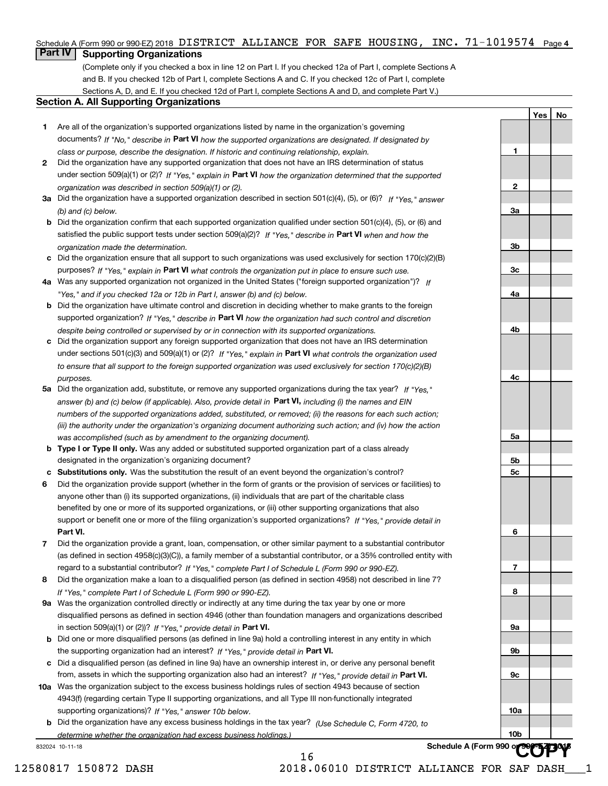# Schedule A (Form 990 or 990-EZ) 2018 DISTRICT ALLIANCE FOR SAFE HOUSING, INC. 71-1019574 <sub>Page 4</sub><br>L**Part IV** L. Suppo**rting Organizations**

# **Part IV Supporting Organizations**

(Complete only if you checked a box in line 12 on Part I. If you checked 12a of Part I, complete Sections A and B. If you checked 12b of Part I, complete Sections A and C. If you checked 12c of Part I, complete Sections A, D, and E. If you checked 12d of Part I, complete Sections A and D, and complete Part V.)

# **Section A. All Supporting Organizations**

- **1** Are all of the organization's supported organizations listed by name in the organization's governing documents? If "No," describe in **Part VI** how the supported organizations are designated. If designated by *class or purpose, describe the designation. If historic and continuing relationship, explain.*
- **2** Did the organization have any supported organization that does not have an IRS determination of status under section 509(a)(1) or (2)? If "Yes," explain in Part VI how the organization determined that the supported *organization was described in section 509(a)(1) or (2).*
- **3a** Did the organization have a supported organization described in section 501(c)(4), (5), or (6)? If "Yes," answer *(b) and (c) below.*
- **b** Did the organization confirm that each supported organization qualified under section 501(c)(4), (5), or (6) and satisfied the public support tests under section 509(a)(2)? If "Yes," describe in **Part VI** when and how the *organization made the determination.*
- **c**Did the organization ensure that all support to such organizations was used exclusively for section 170(c)(2)(B) purposes? If "Yes," explain in **Part VI** what controls the organization put in place to ensure such use.
- **4a***If* Was any supported organization not organized in the United States ("foreign supported organization")? *"Yes," and if you checked 12a or 12b in Part I, answer (b) and (c) below.*
- **b** Did the organization have ultimate control and discretion in deciding whether to make grants to the foreign supported organization? If "Yes," describe in **Part VI** how the organization had such control and discretion *despite being controlled or supervised by or in connection with its supported organizations.*
- **c** Did the organization support any foreign supported organization that does not have an IRS determination under sections 501(c)(3) and 509(a)(1) or (2)? If "Yes," explain in **Part VI** what controls the organization used *to ensure that all support to the foreign supported organization was used exclusively for section 170(c)(2)(B) purposes.*
- **5a** Did the organization add, substitute, or remove any supported organizations during the tax year? If "Yes," answer (b) and (c) below (if applicable). Also, provide detail in **Part VI,** including (i) the names and EIN *numbers of the supported organizations added, substituted, or removed; (ii) the reasons for each such action; (iii) the authority under the organization's organizing document authorizing such action; and (iv) how the action was accomplished (such as by amendment to the organizing document).*
- **b** Type I or Type II only. Was any added or substituted supported organization part of a class already designated in the organization's organizing document?
- **cSubstitutions only.**  Was the substitution the result of an event beyond the organization's control?
- **6** Did the organization provide support (whether in the form of grants or the provision of services or facilities) to **Part VI.** *If "Yes," provide detail in* support or benefit one or more of the filing organization's supported organizations? anyone other than (i) its supported organizations, (ii) individuals that are part of the charitable class benefited by one or more of its supported organizations, or (iii) other supporting organizations that also
- **7**Did the organization provide a grant, loan, compensation, or other similar payment to a substantial contributor *If "Yes," complete Part I of Schedule L (Form 990 or 990-EZ).* regard to a substantial contributor? (as defined in section 4958(c)(3)(C)), a family member of a substantial contributor, or a 35% controlled entity with
- **8** Did the organization make a loan to a disqualified person (as defined in section 4958) not described in line 7? *If "Yes," complete Part I of Schedule L (Form 990 or 990-EZ).*
- **9a** Was the organization controlled directly or indirectly at any time during the tax year by one or more in section 509(a)(1) or (2))? If "Yes," *provide detail in* <code>Part VI.</code> disqualified persons as defined in section 4946 (other than foundation managers and organizations described
- **b** Did one or more disqualified persons (as defined in line 9a) hold a controlling interest in any entity in which the supporting organization had an interest? If "Yes," provide detail in P**art VI**.
- **c**Did a disqualified person (as defined in line 9a) have an ownership interest in, or derive any personal benefit from, assets in which the supporting organization also had an interest? If "Yes," provide detail in P**art VI.**
- **10a** Was the organization subject to the excess business holdings rules of section 4943 because of section supporting organizations)? If "Yes," answer 10b below. 4943(f) (regarding certain Type II supporting organizations, and all Type III non-functionally integrated
- **b** Did the organization have any excess business holdings in the tax year? (Use Schedule C, Form 4720, to Schedule A (Form 990 or *determine whether the organization had excess business holdings.)*

16

832024 10-11-18

 12580817 150872 DASH 2018.06010 DISTRICT ALLIANCE FOR SAF DASH\_\_\_1 **COPY**

**Yes No**

**1**

**2**

**3a**

**3b**

**3c**

**4a**

**4b**

**4c**

**5a**

**5b5c**

**6**

**7**

**8**

**9a**

**9b**

**9c**

**10a**

**10b**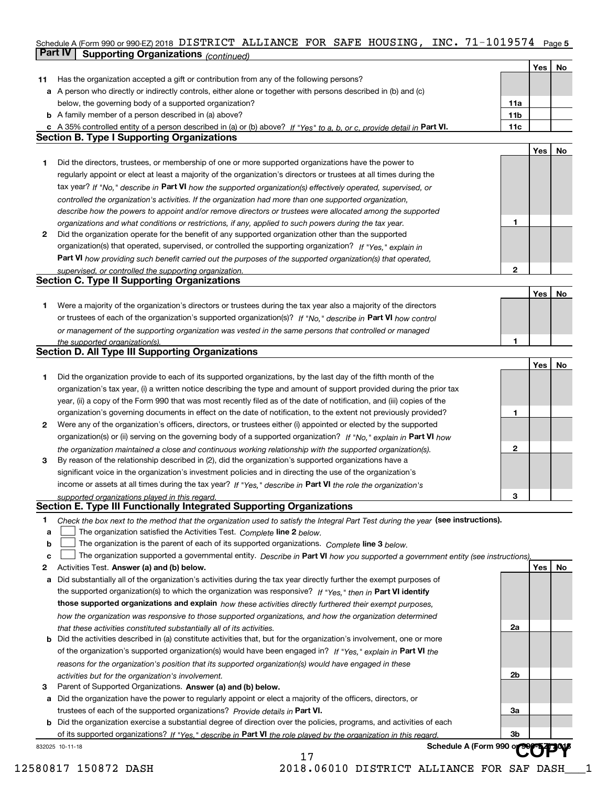# Schedule A (Form 990 or 990-EZ) 2018 DISTRICT ALLIANCE FOR SAFE HOUSING, INC. 71-1019574 Page 5<br>L**Part IV L. Supporting Organizations** / www.h **Part IV** Supporting Organizations (*continued*)

|    |                                                                                                                                   |                 | Yes | No |
|----|-----------------------------------------------------------------------------------------------------------------------------------|-----------------|-----|----|
| 11 | Has the organization accepted a gift or contribution from any of the following persons?                                           |                 |     |    |
|    | a A person who directly or indirectly controls, either alone or together with persons described in (b) and (c)                    |                 |     |    |
|    | below, the governing body of a supported organization?                                                                            | 11a             |     |    |
|    | <b>b</b> A family member of a person described in (a) above?                                                                      | 11 <sub>b</sub> |     |    |
|    | c A 35% controlled entity of a person described in (a) or (b) above? If "Yes" to a, b, or c, provide detail in Part VI.           | 11c             |     |    |
|    | <b>Section B. Type I Supporting Organizations</b>                                                                                 |                 |     |    |
|    |                                                                                                                                   |                 |     |    |
|    |                                                                                                                                   |                 | Yes | No |
| 1. | Did the directors, trustees, or membership of one or more supported organizations have the power to                               |                 |     |    |
|    | regularly appoint or elect at least a majority of the organization's directors or trustees at all times during the                |                 |     |    |
|    | tax year? If "No," describe in Part VI how the supported organization(s) effectively operated, supervised, or                     |                 |     |    |
|    | controlled the organization's activities. If the organization had more than one supported organization,                           |                 |     |    |
|    | describe how the powers to appoint and/or remove directors or trustees were allocated among the supported                         |                 |     |    |
|    | organizations and what conditions or restrictions, if any, applied to such powers during the tax year.                            | 1               |     |    |
| 2  | Did the organization operate for the benefit of any supported organization other than the supported                               |                 |     |    |
|    | organization(s) that operated, supervised, or controlled the supporting organization? If "Yes," explain in                        |                 |     |    |
|    | Part VI how providing such benefit carried out the purposes of the supported organization(s) that operated,                       |                 |     |    |
|    | supervised, or controlled the supporting organization.                                                                            | $\overline{2}$  |     |    |
|    | <b>Section C. Type II Supporting Organizations</b>                                                                                |                 |     |    |
|    |                                                                                                                                   |                 | Yes | No |
| 1. | Were a majority of the organization's directors or trustees during the tax year also a majority of the directors                  |                 |     |    |
|    | or trustees of each of the organization's supported organization(s)? If "No." describe in Part VI how control                     |                 |     |    |
|    | or management of the supporting organization was vested in the same persons that controlled or managed                            |                 |     |    |
|    | the supported organization(s).                                                                                                    |                 |     |    |
|    | Section D. All Type III Supporting Organizations                                                                                  |                 |     |    |
|    |                                                                                                                                   |                 | Yes | No |
|    |                                                                                                                                   |                 |     |    |
| 1  | Did the organization provide to each of its supported organizations, by the last day of the fifth month of the                    |                 |     |    |
|    | organization's tax year, (i) a written notice describing the type and amount of support provided during the prior tax             |                 |     |    |
|    | year, (ii) a copy of the Form 990 that was most recently filed as of the date of notification, and (iii) copies of the            |                 |     |    |
|    | organization's governing documents in effect on the date of notification, to the extent not previously provided?                  | 1               |     |    |
| 2  | Were any of the organization's officers, directors, or trustees either (i) appointed or elected by the supported                  |                 |     |    |
|    | organization(s) or (ii) serving on the governing body of a supported organization? If "No," explain in Part VI how                |                 |     |    |
|    | the organization maintained a close and continuous working relationship with the supported organization(s).                       | 2               |     |    |
| 3  | By reason of the relationship described in (2), did the organization's supported organizations have a                             |                 |     |    |
|    | significant voice in the organization's investment policies and in directing the use of the organization's                        |                 |     |    |
|    | income or assets at all times during the tax year? If "Yes," describe in Part VI the role the organization's                      |                 |     |    |
|    | supported organizations played in this regard.                                                                                    | 3               |     |    |
|    | Section E. Type III Functionally Integrated Supporting Organizations                                                              |                 |     |    |
| 1  | Check the box next to the method that the organization used to satisfy the Integral Part Test during the year (see instructions). |                 |     |    |
| a  | The organization satisfied the Activities Test. Complete line 2 below.                                                            |                 |     |    |
| b  | The organization is the parent of each of its supported organizations. Complete line 3 below.                                     |                 |     |    |
| c  | The organization supported a governmental entity. Describe in Part VI how you supported a government entity (see instructions),   |                 |     |    |
| 2  | Activities Test. Answer (a) and (b) below.                                                                                        |                 | Yes | No |
| а  | Did substantially all of the organization's activities during the tax year directly further the exempt purposes of                |                 |     |    |
|    | the supported organization(s) to which the organization was responsive? If "Yes," then in Part VI identify                        |                 |     |    |
|    | those supported organizations and explain how these activities directly furthered their exempt purposes,                          |                 |     |    |
|    |                                                                                                                                   |                 |     |    |
|    | how the organization was responsive to those supported organizations, and how the organization determined                         |                 |     |    |
|    | that these activities constituted substantially all of its activities.                                                            | 2a              |     |    |
| b  | Did the activities described in (a) constitute activities that, but for the organization's involvement, one or more               |                 |     |    |
|    | of the organization's supported organization(s) would have been engaged in? If "Yes," explain in Part VI the                      |                 |     |    |
|    | reasons for the organization's position that its supported organization(s) would have engaged in these                            |                 |     |    |
|    | activities but for the organization's involvement.                                                                                | 2b              |     |    |
| з  | Parent of Supported Organizations. Answer (a) and (b) below.                                                                      |                 |     |    |
|    | a Did the organization have the power to regularly appoint or elect a majority of the officers, directors, or                     |                 |     |    |
|    | trustees of each of the supported organizations? Provide details in Part VI.                                                      | За              |     |    |
|    | <b>b</b> Did the organization exercise a substantial degree of direction over the policies, programs, and activities of each      |                 |     |    |
|    | of its supported organizations? If "Yes." describe in Part VI the role played by the organization in this regard                  | 3b              |     |    |
|    | Schedule A (Form 990 o<br>832025 10-11-18                                                                                         |                 |     |    |
|    | 17                                                                                                                                |                 |     |    |

12580817 150872 DASH 2018.06010 DISTRICT ALLIANCE FOR SAF DASH\_\_\_1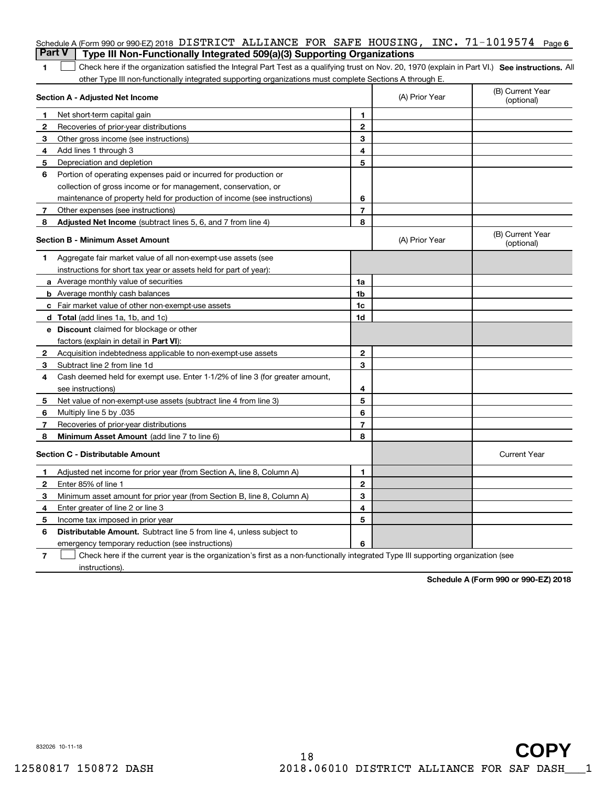| <b>Part V</b>  | Schedule A (Form 990 or 990-EZ) 2018 DISTRICT ALLIANCE FOR SAFE HOUSING, INC. 71-1019574 Page 6<br>Type III Non-Functionally Integrated 509(a)(3) Supporting Organizations |                |                |                                |
|----------------|----------------------------------------------------------------------------------------------------------------------------------------------------------------------------|----------------|----------------|--------------------------------|
| 1              | Check here if the organization satisfied the Integral Part Test as a qualifying trust on Nov. 20, 1970 (explain in Part VI.) See instructions. All                         |                |                |                                |
|                | other Type III non-functionally integrated supporting organizations must complete Sections A through E.                                                                    |                |                |                                |
|                | Section A - Adjusted Net Income                                                                                                                                            |                | (A) Prior Year | (B) Current Year<br>(optional) |
| 1              | Net short-term capital gain                                                                                                                                                | 1.             |                |                                |
| $\overline{2}$ | Recoveries of prior-year distributions                                                                                                                                     | $\mathbf{2}$   |                |                                |
| З              | Other gross income (see instructions)                                                                                                                                      | 3              |                |                                |
| 4              | Add lines 1 through 3                                                                                                                                                      | 4              |                |                                |
| 5              | Depreciation and depletion                                                                                                                                                 | 5              |                |                                |
| 6              | Portion of operating expenses paid or incurred for production or                                                                                                           |                |                |                                |
|                | collection of gross income or for management, conservation, or                                                                                                             |                |                |                                |
|                | maintenance of property held for production of income (see instructions)                                                                                                   | 6              |                |                                |
| 7              | Other expenses (see instructions)                                                                                                                                          | $\overline{7}$ |                |                                |
| 8              | Adjusted Net Income (subtract lines 5, 6, and 7 from line 4)                                                                                                               | 8              |                |                                |
|                | Section B - Minimum Asset Amount                                                                                                                                           |                | (A) Prior Year | (B) Current Year<br>(optional) |
| 1              | Aggregate fair market value of all non-exempt-use assets (see                                                                                                              |                |                |                                |
|                | instructions for short tax year or assets held for part of year):                                                                                                          |                |                |                                |
|                | <b>a</b> Average monthly value of securities                                                                                                                               | 1a             |                |                                |
|                | <b>b</b> Average monthly cash balances                                                                                                                                     | 1b             |                |                                |
|                | c Fair market value of other non-exempt-use assets                                                                                                                         | 1c             |                |                                |
|                | d Total (add lines 1a, 1b, and 1c)                                                                                                                                         | 1d             |                |                                |
|                | <b>e</b> Discount claimed for blockage or other                                                                                                                            |                |                |                                |
|                | factors (explain in detail in Part VI):                                                                                                                                    |                |                |                                |
| 2              | Acquisition indebtedness applicable to non-exempt-use assets                                                                                                               | $\mathbf{2}$   |                |                                |
| 3              | Subtract line 2 from line 1d                                                                                                                                               | 3              |                |                                |
| 4              | Cash deemed held for exempt use. Enter 1-1/2% of line 3 (for greater amount,                                                                                               |                |                |                                |
|                | see instructions)                                                                                                                                                          | 4              |                |                                |
| 5              | Net value of non-exempt-use assets (subtract line 4 from line 3)                                                                                                           | 5              |                |                                |
| 6              | Multiply line 5 by .035                                                                                                                                                    | 6              |                |                                |
| 7              | Recoveries of prior-year distributions                                                                                                                                     | $\overline{7}$ |                |                                |
| 8              | Minimum Asset Amount (add line 7 to line 6)                                                                                                                                | 8              |                |                                |
|                | <b>Section C - Distributable Amount</b>                                                                                                                                    |                |                | <b>Current Year</b>            |
|                | Adjusted net income for prior year (from Section A, line 8, Column A)                                                                                                      | 1              |                |                                |
|                | Enter 85% of line 1                                                                                                                                                        | 2              |                |                                |
| 3              | Minimum asset amount for prior year (from Section B, line 8, Column A)                                                                                                     | 3              |                |                                |
| 4              | Enter greater of line 2 or line 3                                                                                                                                          | 4              |                |                                |
| 5              | Income tax imposed in prior year                                                                                                                                           | 5              |                |                                |
| 6              | <b>Distributable Amount.</b> Subtract line 5 from line 4, unless subject to                                                                                                |                |                |                                |
|                | emergency temporary reduction (see instructions)                                                                                                                           | 6              |                |                                |
| 7              | Check here if the current year is the organization's first as a non-functionally integrated Type III supporting organization (see                                          |                |                |                                |

**Schedule A (Form 990 or 990-EZ) 2018**

832026 10-11-18

instructions).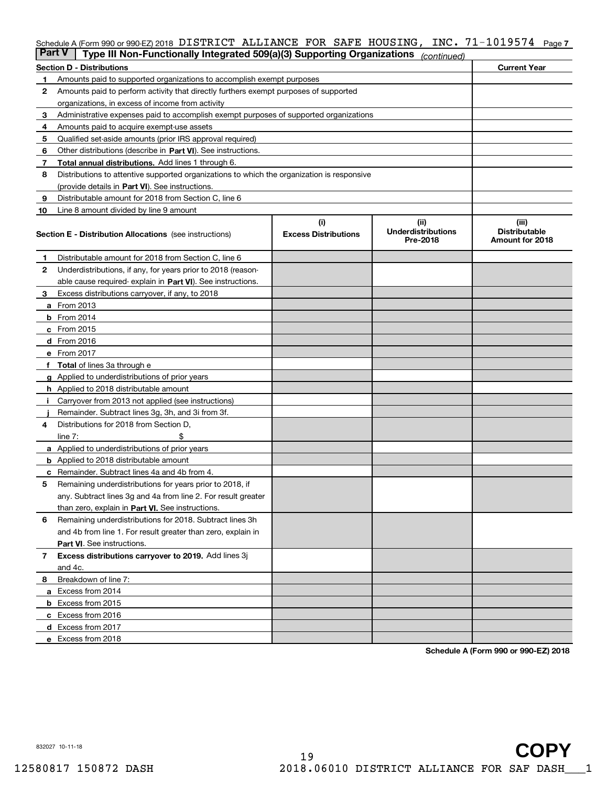# Schedule A (Form 990 or 990-EZ) 2018 DISTRICT ALLIANCE FOR SAFE HOUSING, INC. 71-1019574 <sub>Page 7</sub><br>L**Part V** L Type III Non Eunotionally Integrated 509(a)(3) Supporting Organizations

| <b>Part V</b> | Type III Non-Functionally Integrated 509(a)(3) Supporting Organizations                    |                             | (continued)                           |                                         |  |
|---------------|--------------------------------------------------------------------------------------------|-----------------------------|---------------------------------------|-----------------------------------------|--|
|               | <b>Section D - Distributions</b>                                                           |                             |                                       | <b>Current Year</b>                     |  |
| 1             | Amounts paid to supported organizations to accomplish exempt purposes                      |                             |                                       |                                         |  |
| 2             | Amounts paid to perform activity that directly furthers exempt purposes of supported       |                             |                                       |                                         |  |
|               | organizations, in excess of income from activity                                           |                             |                                       |                                         |  |
| з             | Administrative expenses paid to accomplish exempt purposes of supported organizations      |                             |                                       |                                         |  |
| 4             | Amounts paid to acquire exempt-use assets                                                  |                             |                                       |                                         |  |
| 5             | Qualified set-aside amounts (prior IRS approval required)                                  |                             |                                       |                                         |  |
| 6             | Other distributions (describe in Part VI). See instructions.                               |                             |                                       |                                         |  |
| 7             | Total annual distributions. Add lines 1 through 6.                                         |                             |                                       |                                         |  |
| 8             | Distributions to attentive supported organizations to which the organization is responsive |                             |                                       |                                         |  |
|               | (provide details in Part VI). See instructions.                                            |                             |                                       |                                         |  |
| 9             | Distributable amount for 2018 from Section C, line 6                                       |                             |                                       |                                         |  |
| 10            | Line 8 amount divided by line 9 amount                                                     |                             |                                       |                                         |  |
|               |                                                                                            | (i)                         | (iii)                                 | (iii)                                   |  |
|               | <b>Section E - Distribution Allocations</b> (see instructions)                             | <b>Excess Distributions</b> | <b>Underdistributions</b><br>Pre-2018 | <b>Distributable</b><br>Amount for 2018 |  |
| 1             | Distributable amount for 2018 from Section C, line 6                                       |                             |                                       |                                         |  |
| 2             | Underdistributions, if any, for years prior to 2018 (reason-                               |                             |                                       |                                         |  |
|               | able cause required- explain in Part VI). See instructions.                                |                             |                                       |                                         |  |
| з             | Excess distributions carryover, if any, to 2018                                            |                             |                                       |                                         |  |
|               | <b>a</b> From 2013                                                                         |                             |                                       |                                         |  |
|               | <b>b</b> From $2014$                                                                       |                             |                                       |                                         |  |
|               | $c$ From 2015                                                                              |                             |                                       |                                         |  |
|               | <b>d</b> From 2016                                                                         |                             |                                       |                                         |  |
|               | e From 2017                                                                                |                             |                                       |                                         |  |
|               | Total of lines 3a through e                                                                |                             |                                       |                                         |  |
|               | <b>g</b> Applied to underdistributions of prior years                                      |                             |                                       |                                         |  |
|               | <b>h</b> Applied to 2018 distributable amount                                              |                             |                                       |                                         |  |
|               | Carryover from 2013 not applied (see instructions)                                         |                             |                                       |                                         |  |
|               | Remainder. Subtract lines 3g, 3h, and 3i from 3f.                                          |                             |                                       |                                         |  |
| 4             | Distributions for 2018 from Section D,                                                     |                             |                                       |                                         |  |
|               | line $7:$                                                                                  |                             |                                       |                                         |  |
|               | <b>a</b> Applied to underdistributions of prior years                                      |                             |                                       |                                         |  |
|               | <b>b</b> Applied to 2018 distributable amount                                              |                             |                                       |                                         |  |
| с             | Remainder. Subtract lines 4a and 4b from 4.                                                |                             |                                       |                                         |  |
| 5             | Remaining underdistributions for years prior to 2018, if                                   |                             |                                       |                                         |  |
|               | any. Subtract lines 3g and 4a from line 2. For result greater                              |                             |                                       |                                         |  |
|               | than zero, explain in Part VI. See instructions.                                           |                             |                                       |                                         |  |
| 6             | Remaining underdistributions for 2018. Subtract lines 3h                                   |                             |                                       |                                         |  |
|               | and 4b from line 1. For result greater than zero, explain in                               |                             |                                       |                                         |  |
|               | Part VI. See instructions.                                                                 |                             |                                       |                                         |  |
| 7             | Excess distributions carryover to 2019. Add lines 3j                                       |                             |                                       |                                         |  |
|               | and 4c.                                                                                    |                             |                                       |                                         |  |
| 8             | Breakdown of line 7:                                                                       |                             |                                       |                                         |  |
|               | a Excess from 2014                                                                         |                             |                                       |                                         |  |
|               | <b>b</b> Excess from 2015                                                                  |                             |                                       |                                         |  |
|               | c Excess from 2016                                                                         |                             |                                       |                                         |  |
|               | d Excess from 2017                                                                         |                             |                                       |                                         |  |
|               | e Excess from 2018                                                                         |                             |                                       |                                         |  |
|               |                                                                                            |                             |                                       |                                         |  |

**Schedule A (Form 990 or 990-EZ) 2018**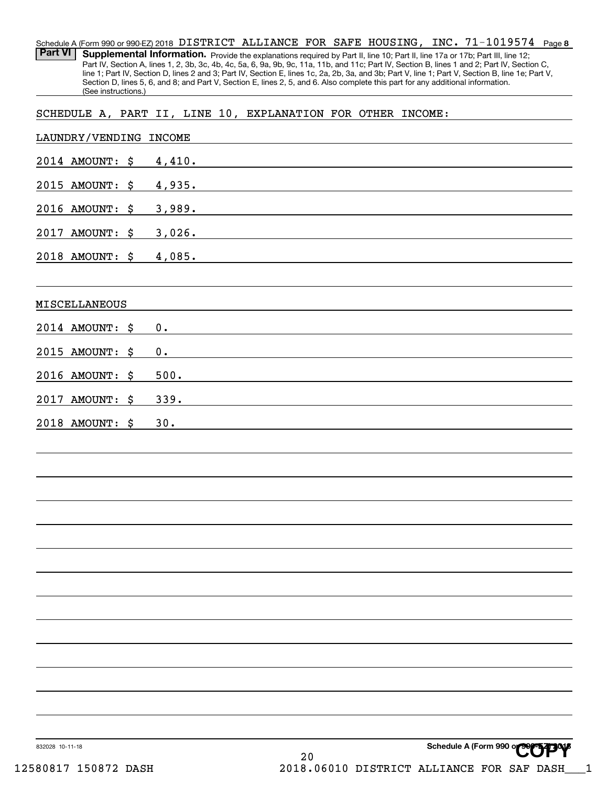**8** 71-1019574 Schedule A (Form 990 or 990-EZ) 2018 <code>DISTRICT ALLIANCE FOR SAFE HOUSING</code> , <code>INC. 71–1019574 Page</code> Part VI | Supplemental Information. Provide the explanations required by Part II, line 10; Part II, line 17a or 17b; Part III, line 12; Part IV, Section A, lines 1, 2, 3b, 3c, 4b, 4c, 5a, 6, 9a, 9b, 9c, 11a, 11b, and 11c; Part IV, Section B, lines 1 and 2; Part IV, Section C, line 1; Part IV, Section D, lines 2 and 3; Part IV, Section E, lines 1c, 2a, 2b, 3a, and 3b; Part V, line 1; Part V, Section B, line 1e; Part V, Section D, lines 5, 6, and 8; and Part V, Section E, lines 2, 5, and 6. Also complete this part for any additional information. (See instructions.) LAUNDRY/VENDING INCOME SCHEDULE A, PART II, LINE 10, EXPLANATION FOR OTHER INCOME:

| <b>THOMPHIA</b> ABMATNG INCOMB |        |
|--------------------------------|--------|
| 2014 AMOUNT: \$ 4,410.         |        |
| 2015 AMOUNT: \$ 4,935.         |        |
| 2016 AMOUNT: \$                | 3,989. |
| 2017 AMOUNT: \$                | 3,026. |
| 2018 AMOUNT: \$ 4,085.         |        |
| MISCELLANEOUS                  |        |
| 2014 AMOUNT: \$                | 0.     |
| 2015 AMOUNT: \$                | 0.     |
| 2016 AMOUNT: \$                | 500.   |
| 2017 AMOUNT: \$                | 339.   |
| 2018 AMOUNT: \$                | 30.    |
|                                |        |
|                                |        |
|                                |        |
|                                |        |
|                                |        |
|                                |        |
|                                |        |
|                                |        |
|                                |        |
|                                |        |
|                                |        |
|                                |        |
|                                |        |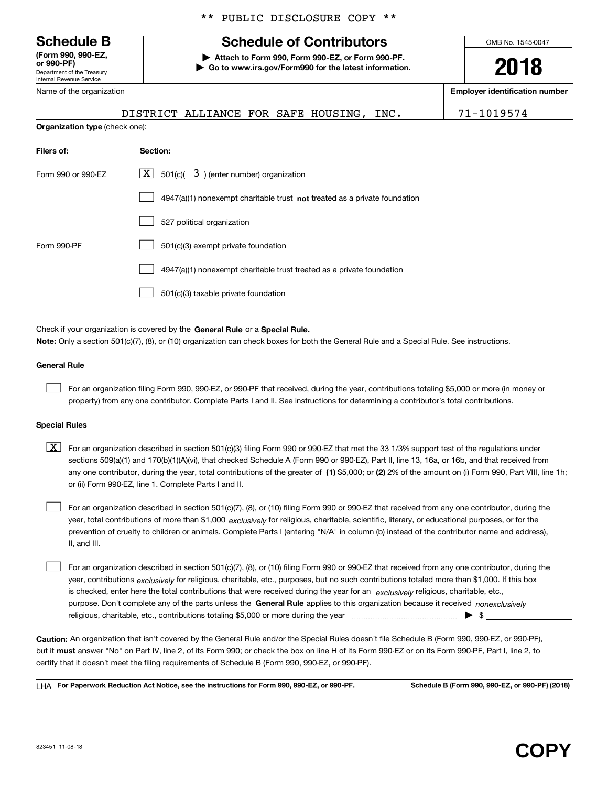Department of the Treasury Internal Revenue Service **(Form 990, 990-EZ, or 990-PF)**

Name of the organization

**Organization type** (check one):

\*\* PUBLIC DISCLOSURE COPY \*\*

# **Schedule B Schedule of Contributors**

**| Attach to Form 990, Form 990-EZ, or Form 990-PF. | Go to www.irs.gov/Form990 for the latest information.** OMB No. 1545-0047

**2018**

**Employer identification number**

| DISTRICT ALLIANCE FOR SAFE HOUSING, INC. |  |  | 71-1019574 |
|------------------------------------------|--|--|------------|
|                                          |  |  |            |

| Filers of:         | Section:                                                                           |
|--------------------|------------------------------------------------------------------------------------|
| Form 990 or 990-FZ | $\lfloor x \rfloor$ 501(c)( 3) (enter number) organization                         |
|                    | $4947(a)(1)$ nonexempt charitable trust <b>not</b> treated as a private foundation |
|                    | 527 political organization                                                         |
| Form 990-PF        | 501(c)(3) exempt private foundation                                                |
|                    | 4947(a)(1) nonexempt charitable trust treated as a private foundation              |
|                    | 501(c)(3) taxable private foundation                                               |

Check if your organization is covered by the **General Rule** or a **Special Rule.**<br>Nota: Only a section 501(c)(7), (8), or (10) erganization can chock boxes for be **Note:**  Only a section 501(c)(7), (8), or (10) organization can check boxes for both the General Rule and a Special Rule. See instructions.

#### **General Rule**

 $\mathcal{L}^{\text{max}}$ 

For an organization filing Form 990, 990-EZ, or 990-PF that received, during the year, contributions totaling \$5,000 or more (in money or property) from any one contributor. Complete Parts I and II. See instructions for determining a contributor's total contributions.

#### **Special Rules**

any one contributor, during the year, total contributions of the greater of  $\,$  (1) \$5,000; or **(2)** 2% of the amount on (i) Form 990, Part VIII, line 1h;  $\boxed{\textbf{X}}$  For an organization described in section 501(c)(3) filing Form 990 or 990-EZ that met the 33 1/3% support test of the regulations under sections 509(a)(1) and 170(b)(1)(A)(vi), that checked Schedule A (Form 990 or 990-EZ), Part II, line 13, 16a, or 16b, and that received from or (ii) Form 990-EZ, line 1. Complete Parts I and II.

year, total contributions of more than \$1,000 *exclusively* for religious, charitable, scientific, literary, or educational purposes, or for the For an organization described in section 501(c)(7), (8), or (10) filing Form 990 or 990-EZ that received from any one contributor, during the prevention of cruelty to children or animals. Complete Parts I (entering "N/A" in column (b) instead of the contributor name and address), II, and III.  $\mathcal{L}^{\text{max}}$ 

purpose. Don't complete any of the parts unless the **General Rule** applies to this organization because it received *nonexclusively* year, contributions <sub>exclusively</sub> for religious, charitable, etc., purposes, but no such contributions totaled more than \$1,000. If this box is checked, enter here the total contributions that were received during the year for an  $\;$ exclusively religious, charitable, etc., For an organization described in section 501(c)(7), (8), or (10) filing Form 990 or 990-EZ that received from any one contributor, during the religious, charitable, etc., contributions totaling \$5,000 or more during the year  $\Box$ — $\Box$   $\Box$  $\mathcal{L}^{\text{max}}$ 

**Caution:**  An organization that isn't covered by the General Rule and/or the Special Rules doesn't file Schedule B (Form 990, 990-EZ, or 990-PF), but it **must** answer "No" on Part IV, line 2, of its Form 990; or check the box on line H of its Form 990-EZ or on its Form 990-PF, Part I, line 2, to<br>cortify that it doesn't meet the filipe requirements of Schodule B (Fer certify that it doesn't meet the filing requirements of Schedule B (Form 990, 990-EZ, or 990-PF).

**For Paperwork Reduction Act Notice, see the instructions for Form 990, 990-EZ, or 990-PF. Schedule B (Form 990, 990-EZ, or 990-PF) (2018)** LHA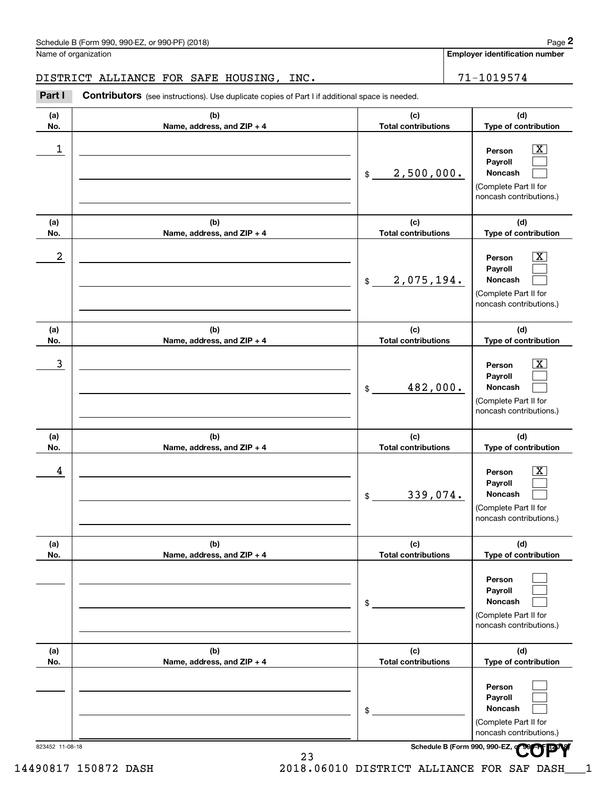# DISTRICT ALLIANCE FOR SAFE HOUSING, INC. 2012 21-1019574

| Part I     | DISTRICT ALLIANCE FOR SAFE HOUSING, INC.<br>Contributors (see instructions). Use duplicate copies of Part I if additional space is needed. |                                   | 71-1019574                                                                                                  |
|------------|--------------------------------------------------------------------------------------------------------------------------------------------|-----------------------------------|-------------------------------------------------------------------------------------------------------------|
| (a)<br>No. | (b)<br>Name, address, and ZIP + 4                                                                                                          | (c)<br><b>Total contributions</b> | (d)<br>Type of contribution                                                                                 |
| 1          |                                                                                                                                            | 2,500,000.<br>\$                  | $\boxed{\text{X}}$<br>Person<br>Payroll<br>Noncash<br>(Complete Part II for<br>noncash contributions.)      |
| (a)<br>No. | (b)<br>Name, address, and ZIP + 4                                                                                                          | (c)<br><b>Total contributions</b> | (d)<br>Type of contribution                                                                                 |
| 2          |                                                                                                                                            | 2,075,194.<br>\$                  | $\overline{\mathbf{x}}$<br>Person<br>Payroll<br>Noncash<br>(Complete Part II for<br>noncash contributions.) |
| (a)<br>No. | (b)<br>Name, address, and ZIP + 4                                                                                                          | (c)<br><b>Total contributions</b> | (d)<br>Type of contribution                                                                                 |
| 3          |                                                                                                                                            | 482,000.<br>\$                    | $\overline{\mathbf{X}}$<br>Person<br>Payroll<br>Noncash<br>(Complete Part II for<br>noncash contributions.) |
| (a)<br>No. | (b)<br>Name, address, and ZIP + 4                                                                                                          | (c)<br><b>Total contributions</b> | (d)<br>Type of contribution                                                                                 |
| 4          |                                                                                                                                            | 339,074.<br>\$                    | $\overline{\mathbf{X}}$<br>Person<br>Payroll<br>Noncash<br>(Complete Part II for<br>noncash contributions.) |
| (a)<br>No. | (b)<br>Name, address, and ZIP + 4                                                                                                          | (c)<br><b>Total contributions</b> | (d)<br>Type of contribution                                                                                 |
|            |                                                                                                                                            | \$                                | Person<br>Payroll<br>Noncash<br>(Complete Part II for<br>noncash contributions.)                            |
| (a)<br>No. | (b)<br>Name, address, and ZIP + 4                                                                                                          | (c)<br><b>Total contributions</b> | (d)<br>Type of contribution                                                                                 |
|            |                                                                                                                                            | \$                                | Person<br>Payroll<br>Noncash<br>(Complete Part II for<br>noncash contributions.)                            |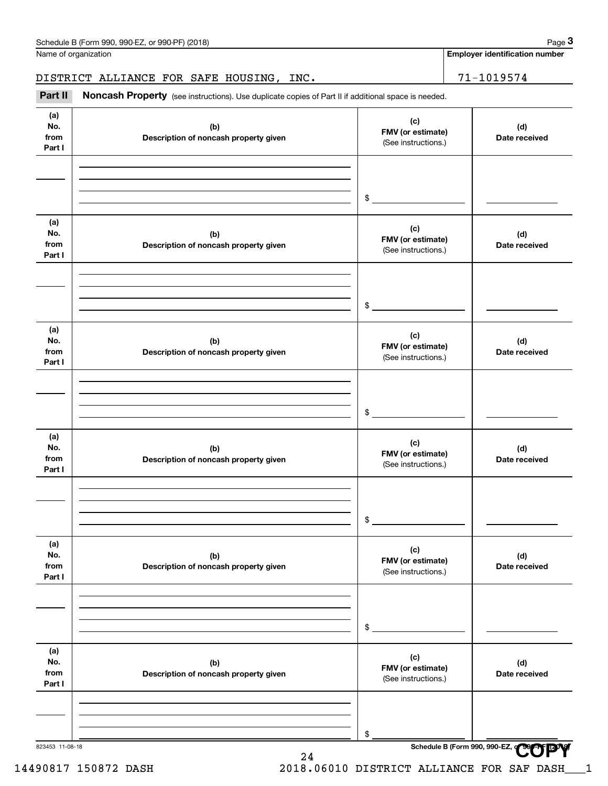Name of organization

**(a) No.fromPart I**

Employer identification<br>
Iame of organization<br> **3PARICT ALLIANCE FOR SAFE HOUSING, INC.**<br>
Part II Noncash Property (see instructions). Use duplicate copies of Part II if additional space is needed. DISTRICT ALLIANCE FOR SAFE HOUSING, INC. | 71-1019574

> **(b) Description of noncash property given**

Noncash Property (see instructions). Use duplicate copies of Part II if additional space is needed.

**823453 11-08-18 Schedule B (Form 990, 990-EZ, or 990, 990-EZ, or 990, 990-EZ, or 990, 990-EZ, or 990, 990-EZ, or 990, 990-EZ, or 990, 990-EZ,**  $\frac{1}{2}$ 

|                              |                                              | $$\circ$$                                       |                      |
|------------------------------|----------------------------------------------|-------------------------------------------------|----------------------|
| (a)<br>No.<br>from<br>Part I | (b)<br>Description of noncash property given | (c)<br>FMV (or estimate)<br>(See instructions.) | (d)<br>Date received |
|                              |                                              | \$                                              |                      |
| (a)<br>No.<br>from<br>Part I | (b)<br>Description of noncash property given | (c)<br>FMV (or estimate)<br>(See instructions.) | (d)<br>Date received |
|                              |                                              | $$\tilde{\phantom{a}}$$                         |                      |
| (a)<br>No.<br>from<br>Part I | (b)<br>Description of noncash property given | (c)<br>FMV (or estimate)<br>(See instructions.) | (d)<br>Date received |
|                              |                                              | \$                                              |                      |
| (a)<br>No.<br>from<br>Part I | (b)<br>Description of noncash property given | (c)<br>FMV (or estimate)<br>(See instructions.) | (d)<br>Date received |
|                              |                                              | \$                                              |                      |
| (a)<br>No.<br>from<br>Part I | (b)<br>Description of noncash property given | (c)<br>FMV (or estimate)<br>(See instructions.) | (d)<br>Date received |
|                              |                                              |                                                 |                      |

**COPY**

**Employer identification number**

**(d) Date received**

**(c) FMV (or estimate)**

(See instructions.)

14490817 150872 DASH 2018.06010 DISTRICT ALLIANCE FOR SAF DASH\_\_\_1

\$

24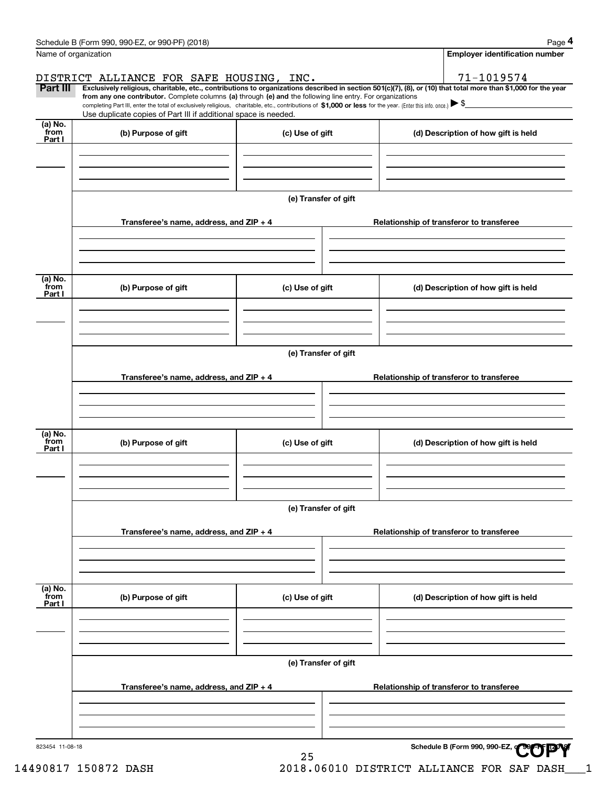|                           | Schedule B (Form 990, 990-EZ, or 990-PF) (2018)                                                                                                                                                                                                                              |                      |                                          | Page 4                                   |  |  |  |
|---------------------------|------------------------------------------------------------------------------------------------------------------------------------------------------------------------------------------------------------------------------------------------------------------------------|----------------------|------------------------------------------|------------------------------------------|--|--|--|
|                           | Name of organization                                                                                                                                                                                                                                                         |                      |                                          | <b>Employer identification number</b>    |  |  |  |
|                           | DISTRICT ALLIANCE FOR SAFE HOUSING, INC.                                                                                                                                                                                                                                     |                      |                                          | 71-1019574                               |  |  |  |
| Part III                  | Exclusively religious, charitable, etc., contributions to organizations described in section 501(c)(7), (8), or (10) that total more than \$1,000 for the year<br>from any one contributor. Complete columns (a) through (e) and the following line entry. For organizations |                      |                                          |                                          |  |  |  |
|                           | completing Part III, enter the total of exclusively religious, charitable, etc., contributions of \$1,000 or less for the year. (Enter this info. once.) $\blacktriangleright$ \$<br>Use duplicate copies of Part III if additional space is needed.                         |                      |                                          |                                          |  |  |  |
| $(a)$ No.<br>from         | (b) Purpose of gift                                                                                                                                                                                                                                                          | (c) Use of gift      |                                          | (d) Description of how gift is held      |  |  |  |
| Part I                    |                                                                                                                                                                                                                                                                              |                      |                                          |                                          |  |  |  |
|                           |                                                                                                                                                                                                                                                                              |                      |                                          |                                          |  |  |  |
|                           |                                                                                                                                                                                                                                                                              |                      |                                          |                                          |  |  |  |
|                           |                                                                                                                                                                                                                                                                              | (e) Transfer of gift |                                          |                                          |  |  |  |
|                           |                                                                                                                                                                                                                                                                              |                      |                                          |                                          |  |  |  |
|                           | Transferee's name, address, and ZIP + 4                                                                                                                                                                                                                                      |                      |                                          | Relationship of transferor to transferee |  |  |  |
|                           |                                                                                                                                                                                                                                                                              |                      |                                          |                                          |  |  |  |
|                           |                                                                                                                                                                                                                                                                              |                      |                                          |                                          |  |  |  |
|                           |                                                                                                                                                                                                                                                                              |                      |                                          |                                          |  |  |  |
| (a) No.<br>from<br>Part I | (b) Purpose of gift                                                                                                                                                                                                                                                          | (c) Use of gift      |                                          | (d) Description of how gift is held      |  |  |  |
|                           |                                                                                                                                                                                                                                                                              |                      |                                          |                                          |  |  |  |
|                           |                                                                                                                                                                                                                                                                              |                      |                                          |                                          |  |  |  |
|                           |                                                                                                                                                                                                                                                                              |                      |                                          |                                          |  |  |  |
|                           |                                                                                                                                                                                                                                                                              | (e) Transfer of gift |                                          |                                          |  |  |  |
|                           | Transferee's name, address, and ZIP + 4                                                                                                                                                                                                                                      |                      | Relationship of transferor to transferee |                                          |  |  |  |
|                           |                                                                                                                                                                                                                                                                              |                      |                                          |                                          |  |  |  |
|                           |                                                                                                                                                                                                                                                                              |                      |                                          |                                          |  |  |  |
|                           |                                                                                                                                                                                                                                                                              |                      |                                          |                                          |  |  |  |
| (a) No.<br>from           | (b) Purpose of gift                                                                                                                                                                                                                                                          | (c) Use of gift      |                                          | (d) Description of how gift is held      |  |  |  |
| Part I                    |                                                                                                                                                                                                                                                                              |                      |                                          |                                          |  |  |  |
|                           |                                                                                                                                                                                                                                                                              |                      |                                          |                                          |  |  |  |
|                           |                                                                                                                                                                                                                                                                              |                      |                                          |                                          |  |  |  |
|                           |                                                                                                                                                                                                                                                                              | (e) Transfer of gift |                                          |                                          |  |  |  |
|                           |                                                                                                                                                                                                                                                                              |                      |                                          |                                          |  |  |  |
|                           | Transferee's name, address, and ZIP + 4                                                                                                                                                                                                                                      |                      |                                          | Relationship of transferor to transferee |  |  |  |
|                           |                                                                                                                                                                                                                                                                              |                      |                                          |                                          |  |  |  |
|                           |                                                                                                                                                                                                                                                                              |                      |                                          |                                          |  |  |  |
| (a) No.<br>from           |                                                                                                                                                                                                                                                                              |                      |                                          |                                          |  |  |  |
| Part I                    | (b) Purpose of gift                                                                                                                                                                                                                                                          | (c) Use of gift      |                                          | (d) Description of how gift is held      |  |  |  |
|                           |                                                                                                                                                                                                                                                                              |                      |                                          |                                          |  |  |  |
|                           |                                                                                                                                                                                                                                                                              |                      |                                          |                                          |  |  |  |
|                           |                                                                                                                                                                                                                                                                              |                      |                                          |                                          |  |  |  |
|                           |                                                                                                                                                                                                                                                                              | (e) Transfer of gift |                                          |                                          |  |  |  |
|                           | Transferee's name, address, and $ZIP + 4$                                                                                                                                                                                                                                    |                      |                                          | Relationship of transferor to transferee |  |  |  |
|                           |                                                                                                                                                                                                                                                                              |                      |                                          |                                          |  |  |  |
|                           |                                                                                                                                                                                                                                                                              |                      |                                          |                                          |  |  |  |
|                           |                                                                                                                                                                                                                                                                              |                      |                                          |                                          |  |  |  |
| 823454 11-08-18           |                                                                                                                                                                                                                                                                              |                      |                                          | Schedule B (Form 990, 990-EZ,            |  |  |  |
|                           |                                                                                                                                                                                                                                                                              | 25                   |                                          |                                          |  |  |  |

14490817 150872 DASH 2018.06010 DISTRICT ALLIANCE FOR SAF DASH\_\_\_1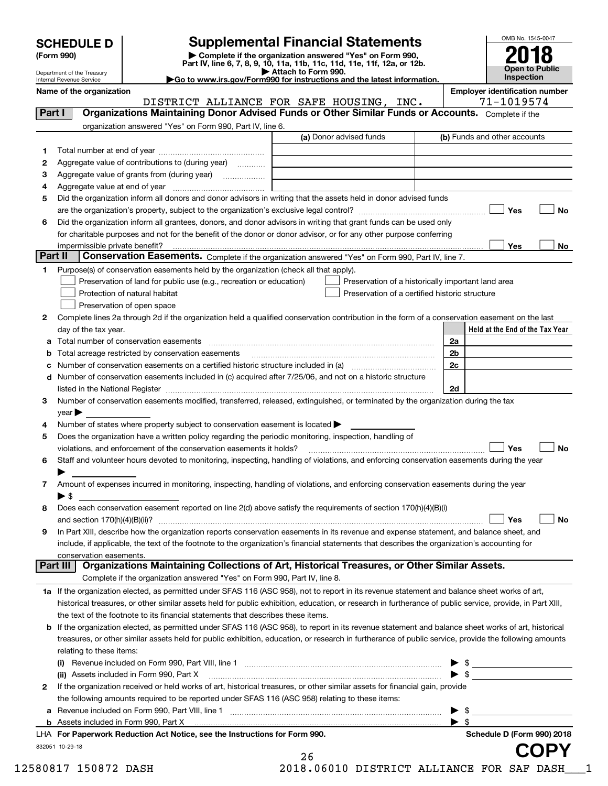| <b>SCHEDULE D</b> |  |
|-------------------|--|
|-------------------|--|

| (Form 990) |  |
|------------|--|
|------------|--|

# **Supplemental Financial Statements**

(Form 990)<br>
Pepartment of the Treasury<br>
Department of the Treasury<br>
Department of the Treasury<br>
Department of the Treasury<br> **Co to www.irs.gov/Form990 for instructions and the latest information.**<br> **Co to www.irs.gov/Form9** 



Department of the Treasury Internal Revenue Service

**Name of the organization Employer identification number**

|         |                                                                                                                                                                                                                                | DISTRICT ALLIANCE FOR SAFE HOUSING, INC. | 71-1019574                                             |
|---------|--------------------------------------------------------------------------------------------------------------------------------------------------------------------------------------------------------------------------------|------------------------------------------|--------------------------------------------------------|
| Part I  | Organizations Maintaining Donor Advised Funds or Other Similar Funds or Accounts. Complete if the                                                                                                                              |                                          |                                                        |
|         | organization answered "Yes" on Form 990, Part IV, line 6.                                                                                                                                                                      |                                          |                                                        |
|         |                                                                                                                                                                                                                                | (a) Donor advised funds                  | (b) Funds and other accounts                           |
| 1       |                                                                                                                                                                                                                                |                                          |                                                        |
| 2       | Aggregate value of contributions to (during year)                                                                                                                                                                              |                                          |                                                        |
| з       | Aggregate value of grants from (during year)                                                                                                                                                                                   |                                          |                                                        |
| 4       |                                                                                                                                                                                                                                |                                          |                                                        |
| 5       | Did the organization inform all donors and donor advisors in writing that the assets held in donor advised funds                                                                                                               |                                          |                                                        |
|         |                                                                                                                                                                                                                                |                                          | Yes<br>No                                              |
| 6       | Did the organization inform all grantees, donors, and donor advisors in writing that grant funds can be used only                                                                                                              |                                          |                                                        |
|         | for charitable purposes and not for the benefit of the donor or donor advisor, or for any other purpose conferring                                                                                                             |                                          |                                                        |
|         | impermissible private benefit?                                                                                                                                                                                                 |                                          | Yes<br>No                                              |
| Part II | Conservation Easements. Complete if the organization answered "Yes" on Form 990, Part IV, line 7.                                                                                                                              |                                          |                                                        |
|         |                                                                                                                                                                                                                                |                                          |                                                        |
| 1       | Purpose(s) of conservation easements held by the organization (check all that apply).                                                                                                                                          |                                          |                                                        |
|         | Preservation of land for public use (e.g., recreation or education)                                                                                                                                                            |                                          | Preservation of a historically important land area     |
|         | Protection of natural habitat                                                                                                                                                                                                  |                                          | Preservation of a certified historic structure         |
|         | Preservation of open space                                                                                                                                                                                                     |                                          |                                                        |
| 2       | Complete lines 2a through 2d if the organization held a qualified conservation contribution in the form of a conservation easement on the last                                                                                 |                                          |                                                        |
|         | day of the tax year.                                                                                                                                                                                                           |                                          | Held at the End of the Tax Year                        |
| а       | Total number of conservation easements                                                                                                                                                                                         |                                          | 2a                                                     |
| b       | Total acreage restricted by conservation easements                                                                                                                                                                             |                                          | 2b                                                     |
|         |                                                                                                                                                                                                                                |                                          | 2c                                                     |
| d       | Number of conservation easements included in (c) acquired after 7/25/06, and not on a historic structure                                                                                                                       |                                          |                                                        |
|         | listed in the National Register [111] [12] The National Register [11] Manuscritt, Manuscritt, Manuscritt, Manuscritt, Manuscritt, Manuscritt, Manuscritt, Manuscritt, Manuscritt, Manuscritt, Manuscritt, Manuscritt, Manuscri |                                          | 2d                                                     |
| 3       | Number of conservation easements modified, transferred, released, extinguished, or terminated by the organization during the tax                                                                                               |                                          |                                                        |
|         | year                                                                                                                                                                                                                           |                                          |                                                        |
| 4       | Number of states where property subject to conservation easement is located >                                                                                                                                                  |                                          |                                                        |
| 5       | Does the organization have a written policy regarding the periodic monitoring, inspection, handling of                                                                                                                         |                                          |                                                        |
|         | violations, and enforcement of the conservation easements it holds?                                                                                                                                                            |                                          | Yes<br>No                                              |
| 6       | Staff and volunteer hours devoted to monitoring, inspecting, handling of violations, and enforcing conservation easements during the year                                                                                      |                                          |                                                        |
|         |                                                                                                                                                                                                                                |                                          |                                                        |
| 7       | Amount of expenses incurred in monitoring, inspecting, handling of violations, and enforcing conservation easements during the year                                                                                            |                                          |                                                        |
|         | $\blacktriangleright$ \$                                                                                                                                                                                                       |                                          |                                                        |
| 8       | Does each conservation easement reported on line 2(d) above satisfy the requirements of section 170(h)(4)(B)(i)                                                                                                                |                                          |                                                        |
|         |                                                                                                                                                                                                                                |                                          | Yes<br>No                                              |
| 9       | In Part XIII, describe how the organization reports conservation easements in its revenue and expense statement, and balance sheet, and                                                                                        |                                          |                                                        |
|         | include, if applicable, the text of the footnote to the organization's financial statements that describes the organization's accounting for                                                                                   |                                          |                                                        |
|         | conservation easements.                                                                                                                                                                                                        |                                          |                                                        |
|         | Organizations Maintaining Collections of Art, Historical Treasures, or Other Similar Assets.<br>Part III                                                                                                                       |                                          |                                                        |
|         | Complete if the organization answered "Yes" on Form 990, Part IV, line 8.                                                                                                                                                      |                                          |                                                        |
|         | 1a If the organization elected, as permitted under SFAS 116 (ASC 958), not to report in its revenue statement and balance sheet works of art,                                                                                  |                                          |                                                        |
|         | historical treasures, or other similar assets held for public exhibition, education, or research in furtherance of public service, provide, in Part XIII,                                                                      |                                          |                                                        |
|         | the text of the footnote to its financial statements that describes these items.                                                                                                                                               |                                          |                                                        |
| b       | If the organization elected, as permitted under SFAS 116 (ASC 958), to report in its revenue statement and balance sheet works of art, historical                                                                              |                                          |                                                        |
|         | treasures, or other similar assets held for public exhibition, education, or research in furtherance of public service, provide the following amounts                                                                          |                                          |                                                        |
|         | relating to these items:                                                                                                                                                                                                       |                                          |                                                        |
|         | Revenue included on Form 990, Part VIII, line 1 manual content content content in the content of the Revenue o                                                                                                                 |                                          |                                                        |
|         | (ii) Assets included in Form 990, Part X                                                                                                                                                                                       |                                          | $\triangleright$ \$                                    |
| 2       | If the organization received or held works of art, historical treasures, or other similar assets for financial gain, provide                                                                                                   |                                          |                                                        |
|         |                                                                                                                                                                                                                                |                                          |                                                        |
|         | the following amounts required to be reported under SFAS 116 (ASC 958) relating to these items:                                                                                                                                |                                          |                                                        |
| а       |                                                                                                                                                                                                                                |                                          | - \$<br>▶                                              |
| b       | LHA For Departments Reduction Act Notice, see the Instructions for Form 000                                                                                                                                                    |                                          | $\blacktriangleright$ \$<br>Cabadule D (Farm 000) 2010 |

832051 10-29-18 **For Paperwork Reduction Act Notice, see the Instructions for Form 990. Schedule D (Form 990) 2018** LHA

| 26  |         |  |
|-----|---------|--|
| 1 ດ | n c n 1 |  |

**COPY**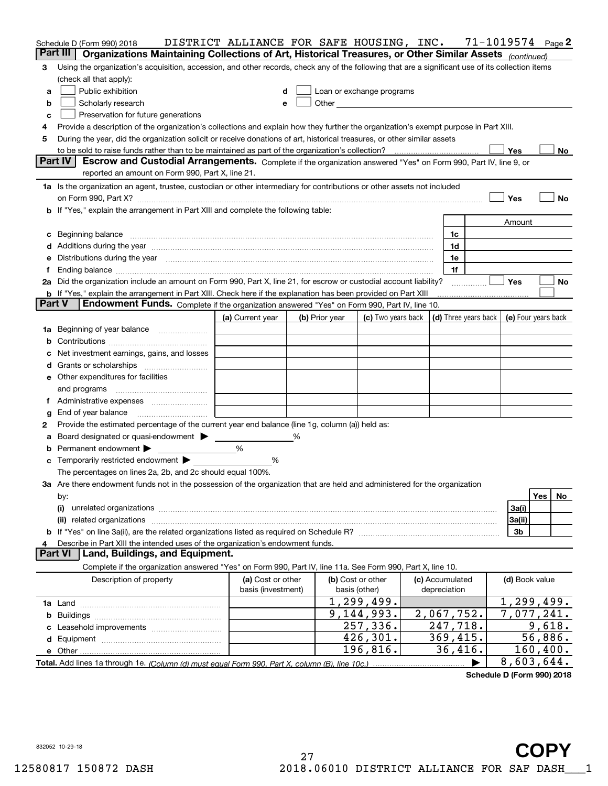|               | Schedule D (Form 990) 2018                                                                                                                                                                                                     | DISTRICT ALLIANCE FOR SAFE HOUSING, INC. |                |                                                                                                                                                                                                                               |                 |   | 71-1019574          | Page 2               |
|---------------|--------------------------------------------------------------------------------------------------------------------------------------------------------------------------------------------------------------------------------|------------------------------------------|----------------|-------------------------------------------------------------------------------------------------------------------------------------------------------------------------------------------------------------------------------|-----------------|---|---------------------|----------------------|
|               | Part III<br>Organizations Maintaining Collections of Art, Historical Treasures, or Other Similar Assets (continued)                                                                                                            |                                          |                |                                                                                                                                                                                                                               |                 |   |                     |                      |
| 3             | Using the organization's acquisition, accession, and other records, check any of the following that are a significant use of its collection items                                                                              |                                          |                |                                                                                                                                                                                                                               |                 |   |                     |                      |
|               | (check all that apply):                                                                                                                                                                                                        |                                          |                |                                                                                                                                                                                                                               |                 |   |                     |                      |
| а             | Public exhibition                                                                                                                                                                                                              | d                                        |                | Loan or exchange programs                                                                                                                                                                                                     |                 |   |                     |                      |
| b             | Scholarly research                                                                                                                                                                                                             | е                                        |                | Other and the contract of the contract of the contract of the contract of the contract of the contract of the contract of the contract of the contract of the contract of the contract of the contract of the contract of the |                 |   |                     |                      |
| c             | Preservation for future generations                                                                                                                                                                                            |                                          |                |                                                                                                                                                                                                                               |                 |   |                     |                      |
| 4             | Provide a description of the organization's collections and explain how they further the organization's exempt purpose in Part XIII.                                                                                           |                                          |                |                                                                                                                                                                                                                               |                 |   |                     |                      |
| 5             | During the year, did the organization solicit or receive donations of art, historical treasures, or other similar assets                                                                                                       |                                          |                |                                                                                                                                                                                                                               |                 |   |                     |                      |
|               |                                                                                                                                                                                                                                |                                          |                |                                                                                                                                                                                                                               |                 |   | Yes                 | No                   |
|               | Part IV<br>Escrow and Custodial Arrangements. Complete if the organization answered "Yes" on Form 990, Part IV, line 9, or<br>reported an amount on Form 990, Part X, line 21.                                                 |                                          |                |                                                                                                                                                                                                                               |                 |   |                     |                      |
|               | 1a Is the organization an agent, trustee, custodian or other intermediary for contributions or other assets not included                                                                                                       |                                          |                |                                                                                                                                                                                                                               |                 |   |                     |                      |
|               | on Form 990, Part X? [11] matter and the contract of the contract of the contract of the contract of the contract of the contract of the contract of the contract of the contract of the contract of the contract of the contr |                                          |                |                                                                                                                                                                                                                               |                 |   | Yes                 | No                   |
|               | b If "Yes," explain the arrangement in Part XIII and complete the following table:                                                                                                                                             |                                          |                |                                                                                                                                                                                                                               |                 |   |                     |                      |
|               |                                                                                                                                                                                                                                |                                          |                |                                                                                                                                                                                                                               |                 |   | Amount              |                      |
| c             | Beginning balance <b>contract to the contract of the contract of the contract of the contract of the contract of t</b>                                                                                                         |                                          |                |                                                                                                                                                                                                                               | 1c              |   |                     |                      |
|               |                                                                                                                                                                                                                                |                                          |                |                                                                                                                                                                                                                               | 1d              |   |                     |                      |
| е             | Distributions during the year measurement contains and the year of the set of the set of the set of the set of                                                                                                                 |                                          |                |                                                                                                                                                                                                                               | 1e              |   |                     |                      |
| Ť.            | Ending balance manufactured and contract the contract of the contract of the contract of the contract of the contract of the contract of the contract of the contract of the contract of the contract of the contract of the c |                                          |                |                                                                                                                                                                                                                               | 1f              |   |                     |                      |
|               | 2a Did the organization include an amount on Form 990, Part X, line 21, for escrow or custodial account liability?                                                                                                             |                                          |                |                                                                                                                                                                                                                               |                 |   | Yes                 | No                   |
|               | <b>b</b> If "Yes," explain the arrangement in Part XIII. Check here if the explanation has been provided on Part XIII                                                                                                          |                                          |                |                                                                                                                                                                                                                               |                 |   |                     |                      |
| <b>Part V</b> | Endowment Funds. Complete if the organization answered "Yes" on Form 990, Part IV, line 10.                                                                                                                                    |                                          |                |                                                                                                                                                                                                                               |                 |   |                     |                      |
|               |                                                                                                                                                                                                                                | (a) Current year                         | (b) Prior year | (c) Two years back $\vert$ (d) Three years back $\vert$                                                                                                                                                                       |                 |   | (e) Four years back |                      |
|               | 1a Beginning of year balance                                                                                                                                                                                                   |                                          |                |                                                                                                                                                                                                                               |                 |   |                     |                      |
| b             |                                                                                                                                                                                                                                |                                          |                |                                                                                                                                                                                                                               |                 |   |                     |                      |
|               | Net investment earnings, gains, and losses                                                                                                                                                                                     |                                          |                |                                                                                                                                                                                                                               |                 |   |                     |                      |
| d             |                                                                                                                                                                                                                                |                                          |                |                                                                                                                                                                                                                               |                 |   |                     |                      |
|               | <b>e</b> Other expenditures for facilities                                                                                                                                                                                     |                                          |                |                                                                                                                                                                                                                               |                 |   |                     |                      |
|               | and programs                                                                                                                                                                                                                   |                                          |                |                                                                                                                                                                                                                               |                 |   |                     |                      |
| Ť.            |                                                                                                                                                                                                                                |                                          |                |                                                                                                                                                                                                                               |                 |   |                     |                      |
| g             | End of year balance                                                                                                                                                                                                            |                                          |                |                                                                                                                                                                                                                               |                 |   |                     |                      |
| 2             | Provide the estimated percentage of the current year end balance (line 1g, column (a)) held as:                                                                                                                                |                                          |                |                                                                                                                                                                                                                               |                 |   |                     |                      |
| а             | Board designated or quasi-endowment > _____                                                                                                                                                                                    |                                          |                |                                                                                                                                                                                                                               |                 |   |                     |                      |
| b             | Permanent endowment                                                                                                                                                                                                            | %                                        |                |                                                                                                                                                                                                                               |                 |   |                     |                      |
| с             | Temporarily restricted endowment ▶                                                                                                                                                                                             | %                                        |                |                                                                                                                                                                                                                               |                 |   |                     |                      |
|               | The percentages on lines 2a, 2b, and 2c should equal 100%.                                                                                                                                                                     |                                          |                |                                                                                                                                                                                                                               |                 |   |                     |                      |
|               | 3a Are there endowment funds not in the possession of the organization that are held and administered for the organization                                                                                                     |                                          |                |                                                                                                                                                                                                                               |                 |   |                     |                      |
|               | by:                                                                                                                                                                                                                            |                                          |                |                                                                                                                                                                                                                               |                 |   |                     | Yes<br>No.           |
|               | (i)                                                                                                                                                                                                                            |                                          |                |                                                                                                                                                                                                                               |                 |   | 3a(i)               |                      |
|               |                                                                                                                                                                                                                                |                                          |                |                                                                                                                                                                                                                               |                 |   | 3a(ii)<br>3b        |                      |
| 4             | Describe in Part XIII the intended uses of the organization's endowment funds.                                                                                                                                                 |                                          |                |                                                                                                                                                                                                                               |                 |   |                     |                      |
|               | Land, Buildings, and Equipment.<br><b>Part VI</b>                                                                                                                                                                              |                                          |                |                                                                                                                                                                                                                               |                 |   |                     |                      |
|               | Complete if the organization answered "Yes" on Form 990, Part IV, line 11a. See Form 990, Part X, line 10.                                                                                                                     |                                          |                |                                                                                                                                                                                                                               |                 |   |                     |                      |
|               | Description of property                                                                                                                                                                                                        | (a) Cost or other                        |                | (b) Cost or other                                                                                                                                                                                                             | (c) Accumulated |   | (d) Book value      |                      |
|               |                                                                                                                                                                                                                                | basis (investment)                       |                | basis (other)                                                                                                                                                                                                                 | depreciation    |   |                     |                      |
|               |                                                                                                                                                                                                                                |                                          |                | 1,299,499.                                                                                                                                                                                                                    |                 |   | 1, 299, 499.        |                      |
|               |                                                                                                                                                                                                                                |                                          |                | 9,144,993.                                                                                                                                                                                                                    | 2,067,752.      |   | 7,077,241.          |                      |
|               |                                                                                                                                                                                                                                |                                          |                | 257, 336.                                                                                                                                                                                                                     | 247,718.        |   |                     | $\overline{9,618}$ . |
|               |                                                                                                                                                                                                                                |                                          |                | 426, 301.                                                                                                                                                                                                                     | 369,415.        |   |                     | 56,886.              |
|               |                                                                                                                                                                                                                                |                                          |                | 196, 816.                                                                                                                                                                                                                     | 36,416.         |   |                     | 160, 400.            |
|               |                                                                                                                                                                                                                                |                                          |                |                                                                                                                                                                                                                               |                 | ▶ | 8,603,644.          |                      |

**Schedule D (Form 990) 2018**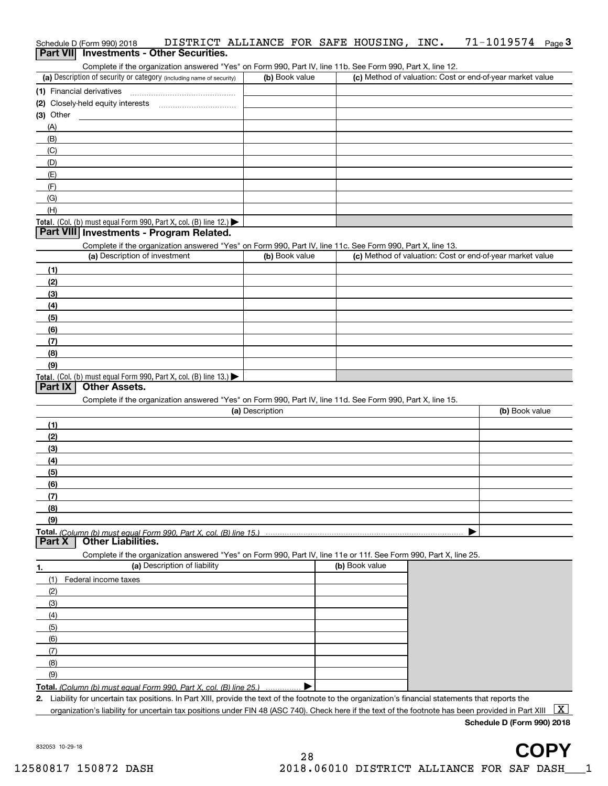|                                                                                                            | Schedule D (Form 990) 2018 | DISTRICT ALLIANCE FOR SAFE HOUSING, INC.        |  |  |  |  |  | $71 - 1019574$ Page 3 |  |
|------------------------------------------------------------------------------------------------------------|----------------------------|-------------------------------------------------|--|--|--|--|--|-----------------------|--|
|                                                                                                            |                            | <b>Part VII</b> Investments - Other Securities. |  |  |  |  |  |                       |  |
| Complete if the organization answered "Yes" on Form 990, Part IV, line 11b. See Form 990, Part X, line 12. |                            |                                                 |  |  |  |  |  |                       |  |

| (a) Description of security or category (including name of security) | (b) Book value | (c) Method of valuation: Cost or end-of-year market value |
|----------------------------------------------------------------------|----------------|-----------------------------------------------------------|
| (1) Financial derivatives                                            |                |                                                           |
| (2) Closely-held equity interests                                    |                |                                                           |
| $(3)$ Other                                                          |                |                                                           |
| (A)                                                                  |                |                                                           |
| (B)                                                                  |                |                                                           |
| (C)                                                                  |                |                                                           |
| (D)                                                                  |                |                                                           |
| (E)                                                                  |                |                                                           |
| (F)                                                                  |                |                                                           |
| (G)                                                                  |                |                                                           |
| (H)                                                                  |                |                                                           |
| Total. (Col. (b) must equal Form 990, Part X, col. (B) line $12$ .)  |                |                                                           |

#### **Part VIII Investments - Program Related.**

Complete if the organization answered "Yes" on Form 990, Part IV, line 11c. See Form 990, Part X, line 13.

| (a) Description of investment                                       | (b) Book value | (c) Method of valuation: Cost or end-of-year market value |
|---------------------------------------------------------------------|----------------|-----------------------------------------------------------|
| (1)                                                                 |                |                                                           |
| (2)                                                                 |                |                                                           |
| (3)                                                                 |                |                                                           |
| (4)                                                                 |                |                                                           |
| $\frac{1}{2}$                                                       |                |                                                           |
| (6)                                                                 |                |                                                           |
| (7)                                                                 |                |                                                           |
| (8)                                                                 |                |                                                           |
| (9)                                                                 |                |                                                           |
| Total. (Col. (b) must equal Form 990, Part X, col. (B) line $13.$ ) |                |                                                           |

# **Part IX Other Assets.**

Complete if the organization answered "Yes" on Form 990, Part IV, line 11d. See Form 990, Part X, line 15.

| (a) Description      | (b) Book value |
|----------------------|----------------|
| (1)                  |                |
| (2)                  |                |
| $\frac{1}{2}$        |                |
| (4)                  |                |
| $\frac{1}{\sqrt{5}}$ |                |
| (6)                  |                |
| (7)                  |                |
| (8)                  |                |
| (9)                  |                |
|                      |                |

#### **Part X Other Liabilities.**

Complete if the organization answered "Yes" on Form 990, Part IV, line 11e or 11f. See Form 990, Part X, line 25.

| -1. | (a) Description of liability                                            | (b) Book value |  |
|-----|-------------------------------------------------------------------------|----------------|--|
|     | Federal income taxes                                                    |                |  |
| (2) |                                                                         |                |  |
| (3) |                                                                         |                |  |
| (4) |                                                                         |                |  |
| (5) |                                                                         |                |  |
| (6) |                                                                         |                |  |
|     |                                                                         |                |  |
| (8) |                                                                         |                |  |
| (9) |                                                                         |                |  |
|     | Total. (Column (b) must equal Form 990, Part X, col. (B) line 25.)<br>. |                |  |

**2.**| Liability for uncertain tax positions. In Part XIII, provide the text of the footnote to the organization's financial statements that reports the

organization's liability for uncertain tax positions under FIN 48 (ASC 740). Check here if the text of the footnote has been provided in Part XIII  $~\boxed{\rm X}$ 

**Schedule D (Form 990) 2018**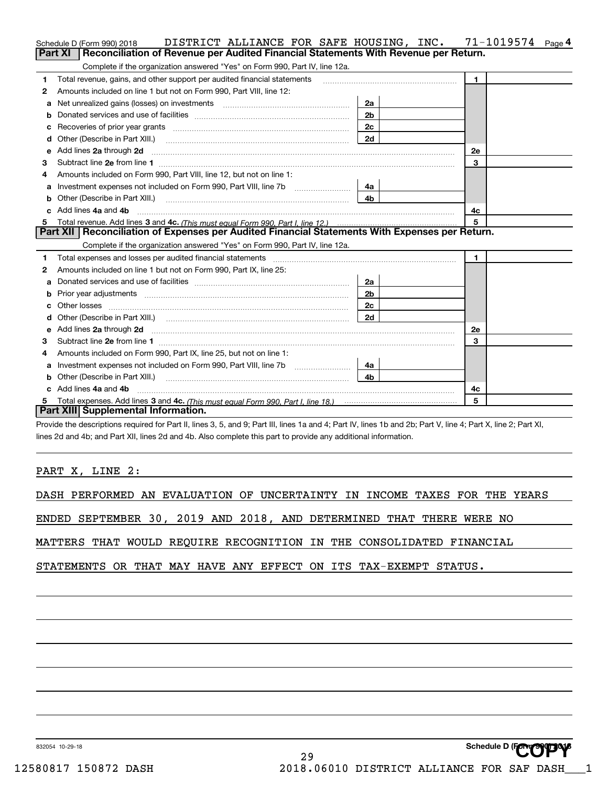|   | DISTRICT ALLIANCE FOR SAFE HOUSING, INC.<br>Schedule D (Form 990) 2018                                                                                         |                | 71-1019574<br>Page 4 |
|---|----------------------------------------------------------------------------------------------------------------------------------------------------------------|----------------|----------------------|
|   | Reconciliation of Revenue per Audited Financial Statements With Revenue per Return.<br>Part XI                                                                 |                |                      |
|   | Complete if the organization answered "Yes" on Form 990, Part IV, line 12a.                                                                                    |                |                      |
| 1 | Total revenue, gains, and other support per audited financial statements                                                                                       |                | 1.                   |
| 2 | Amounts included on line 1 but not on Form 990, Part VIII, line 12:                                                                                            |                |                      |
| а | Net unrealized gains (losses) on investments [11] matter contracts and the unrealized gains (losses) on investments                                            | 2a             |                      |
| b |                                                                                                                                                                | 2 <sub>b</sub> |                      |
|   |                                                                                                                                                                | 2c             |                      |
|   | Other (Describe in Part XIII.) <b>Construction Contract Construction</b> (Describe in Part XIII.)                                                              | 2d             |                      |
| е | Add lines 2a through 2d                                                                                                                                        |                | <b>2e</b>            |
| З |                                                                                                                                                                |                | 3                    |
| 4 | Amounts included on Form 990, Part VIII, line 12, but not on line 1:                                                                                           |                |                      |
| а |                                                                                                                                                                | 4a l           |                      |
| b | Other (Describe in Part XIII.) <b>Construction Contract Construction</b> Chemistry Chemistry Chemistry Chemistry Chemistry                                     | 4b.            |                      |
|   | Add lines 4a and 4b                                                                                                                                            |                | 4c                   |
|   |                                                                                                                                                                |                | 5                    |
|   | Part XII   Reconciliation of Expenses per Audited Financial Statements With Expenses per Return.                                                               |                |                      |
|   | Complete if the organization answered "Yes" on Form 990, Part IV, line 12a.                                                                                    |                |                      |
| 1 |                                                                                                                                                                |                | $\mathbf{1}$         |
| 2 | Amounts included on line 1 but not on Form 990, Part IX, line 25:                                                                                              |                |                      |
| a |                                                                                                                                                                | 2a             |                      |
|   |                                                                                                                                                                | 2 <sub>b</sub> |                      |
|   |                                                                                                                                                                | 2c             |                      |
| d |                                                                                                                                                                | 2d             |                      |
| e | Add lines 2a through 2d                                                                                                                                        |                | <b>2e</b>            |
| З |                                                                                                                                                                |                | 3                    |
| 4 | Amounts included on Form 990, Part IX, line 25, but not on line 1:                                                                                             |                |                      |
| a |                                                                                                                                                                | 4a             |                      |
| b | Other (Describe in Part XIII.) <b>2006</b> 2006 2010 2010 2010 2010 2011 2013 2014 2015 2016 2017 2018 2019 2016 2017                                          | 4h.            |                      |
|   | Add lines 4a and 4b                                                                                                                                            |                | 4c                   |
| 5 |                                                                                                                                                                |                | 5                    |
|   | Part XIII Supplemental Information.                                                                                                                            |                |                      |
|   | Provide the descriptions required for Part II, lines 3, 5, and 9; Part III, lines 1a and 4; Part IV, lines 1b and 2b; Part V, line 4; Part X, line 2; Part XI, |                |                      |

lines 2d and 4b; and Part XII, lines 2d and 4b. Also complete this part to provide any additional information.

PART X, LINE 2:

DASH PERFORMED AN EVALUATION OF UNCERTAINTY IN INCOME TAXES FOR THE YEARS

ENDED SEPTEMBER 30, 2019 AND 2018, AND DETERMINED THAT THERE WERE NO

MATTERS THAT WOULD REQUIRE RECOGNITION IN THE CONSOLIDATED FINANCIAL

STATEMENTS OR THAT MAY HAVE ANY EFFECT ON ITS TAX-EXEMPT STATUS.

832054 10-29-18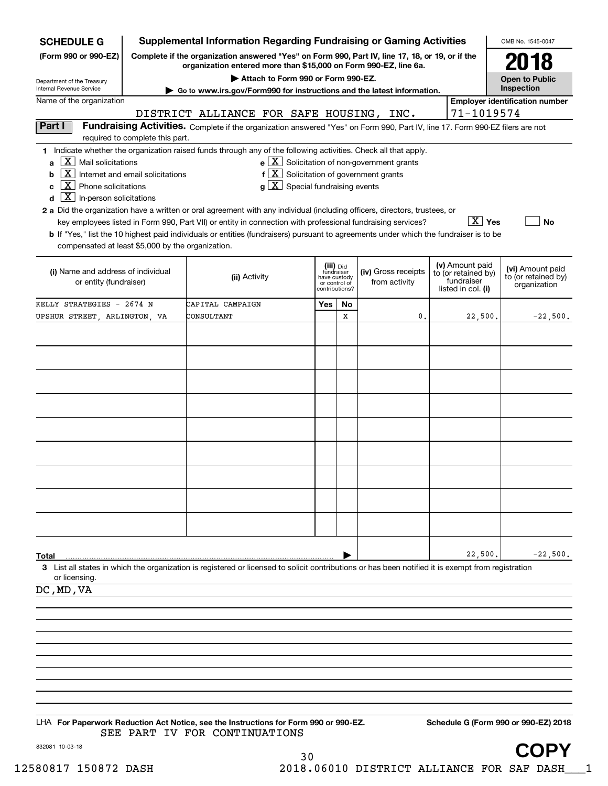| <b>SCHEDULE G</b>                                                                                                                             |                                                                                                                                                                     | <b>Supplemental Information Regarding Fundraising or Gaming Activities</b>                                                                                                                                                                                                                                                        |                                                          |                |                                                       |  |                                                                            | OMB No. 1545-0047                                       |
|-----------------------------------------------------------------------------------------------------------------------------------------------|---------------------------------------------------------------------------------------------------------------------------------------------------------------------|-----------------------------------------------------------------------------------------------------------------------------------------------------------------------------------------------------------------------------------------------------------------------------------------------------------------------------------|----------------------------------------------------------|----------------|-------------------------------------------------------|--|----------------------------------------------------------------------------|---------------------------------------------------------|
| (Form 990 or 990-EZ)                                                                                                                          | Complete if the organization answered "Yes" on Form 990, Part IV, line 17, 18, or 19, or if the<br>organization entered more than \$15,000 on Form 990-EZ, line 6a. |                                                                                                                                                                                                                                                                                                                                   |                                                          |                |                                                       |  |                                                                            |                                                         |
| Department of the Treasury<br>Internal Revenue Service                                                                                        |                                                                                                                                                                     | Attach to Form 990 or Form 990-EZ.                                                                                                                                                                                                                                                                                                |                                                          |                |                                                       |  |                                                                            | <b>Open to Public</b><br>Inspection                     |
| Name of the organization                                                                                                                      |                                                                                                                                                                     | Go to www.irs.gov/Form990 for instructions and the latest information.                                                                                                                                                                                                                                                            |                                                          |                |                                                       |  |                                                                            | <b>Employer identification number</b>                   |
|                                                                                                                                               |                                                                                                                                                                     | DISTRICT ALLIANCE FOR SAFE HOUSING, INC.                                                                                                                                                                                                                                                                                          |                                                          |                |                                                       |  | 71-1019574                                                                 |                                                         |
| Part I                                                                                                                                        | required to complete this part.                                                                                                                                     | Fundraising Activities. Complete if the organization answered "Yes" on Form 990, Part IV, line 17. Form 990-EZ filers are not                                                                                                                                                                                                     |                                                          |                |                                                       |  |                                                                            |                                                         |
| $X$ Mail solicitations<br>a<br>  X  <br>b<br>$\boxed{\text{X}}$ Phone solicitations<br>c<br>$\boxed{\textbf{X}}$ In-person solicitations<br>d | Internet and email solicitations                                                                                                                                    | 1 Indicate whether the organization raised funds through any of the following activities. Check all that apply.<br>$f[X]$ Solicitation of government grants<br>$g\mid X$ Special fundraising events<br>2 a Did the organization have a written or oral agreement with any individual (including officers, directors, trustees, or |                                                          |                | $e$ $\boxed{X}$ Solicitation of non-government grants |  |                                                                            |                                                         |
| compensated at least \$5,000 by the organization.                                                                                             |                                                                                                                                                                     | key employees listed in Form 990, Part VII) or entity in connection with professional fundraising services?<br><b>b</b> If "Yes," list the 10 highest paid individuals or entities (fundraisers) pursuant to agreements under which the fundraiser is to be                                                                       |                                                          |                |                                                       |  | $X$ Yes                                                                    | No                                                      |
| (i) Name and address of individual<br>or entity (fundraiser)                                                                                  |                                                                                                                                                                     | (ii) Activity                                                                                                                                                                                                                                                                                                                     | (iii) Did<br>fundraiser<br>have custody<br>or control of | contributions? | (iv) Gross receipts<br>from activity                  |  | (v) Amount paid<br>to (or retained by)<br>fundraiser<br>listed in col. (i) | (vi) Amount paid<br>to (or retained by)<br>organization |
| KELLY STRATEGIES - 2674 N                                                                                                                     |                                                                                                                                                                     | CAPITAL CAMPAIGN                                                                                                                                                                                                                                                                                                                  | Yes                                                      | No             |                                                       |  |                                                                            |                                                         |
| UPSHUR STREET, ARLINGTON, VA                                                                                                                  |                                                                                                                                                                     | CONSULTANT                                                                                                                                                                                                                                                                                                                        |                                                          | X              | 0.                                                    |  | 22,500.                                                                    | $-22,500.$                                              |
|                                                                                                                                               |                                                                                                                                                                     |                                                                                                                                                                                                                                                                                                                                   |                                                          |                |                                                       |  |                                                                            |                                                         |
|                                                                                                                                               |                                                                                                                                                                     |                                                                                                                                                                                                                                                                                                                                   |                                                          |                |                                                       |  |                                                                            |                                                         |
|                                                                                                                                               |                                                                                                                                                                     |                                                                                                                                                                                                                                                                                                                                   |                                                          |                |                                                       |  |                                                                            |                                                         |
|                                                                                                                                               |                                                                                                                                                                     |                                                                                                                                                                                                                                                                                                                                   |                                                          |                |                                                       |  |                                                                            |                                                         |
|                                                                                                                                               |                                                                                                                                                                     |                                                                                                                                                                                                                                                                                                                                   |                                                          |                |                                                       |  |                                                                            |                                                         |
|                                                                                                                                               |                                                                                                                                                                     |                                                                                                                                                                                                                                                                                                                                   |                                                          |                |                                                       |  |                                                                            |                                                         |
|                                                                                                                                               |                                                                                                                                                                     |                                                                                                                                                                                                                                                                                                                                   |                                                          |                |                                                       |  |                                                                            |                                                         |
|                                                                                                                                               |                                                                                                                                                                     |                                                                                                                                                                                                                                                                                                                                   |                                                          |                |                                                       |  |                                                                            |                                                         |
|                                                                                                                                               |                                                                                                                                                                     |                                                                                                                                                                                                                                                                                                                                   |                                                          |                |                                                       |  |                                                                            |                                                         |
|                                                                                                                                               |                                                                                                                                                                     |                                                                                                                                                                                                                                                                                                                                   |                                                          |                |                                                       |  |                                                                            |                                                         |
|                                                                                                                                               |                                                                                                                                                                     |                                                                                                                                                                                                                                                                                                                                   |                                                          |                |                                                       |  |                                                                            |                                                         |
|                                                                                                                                               |                                                                                                                                                                     |                                                                                                                                                                                                                                                                                                                                   |                                                          |                |                                                       |  |                                                                            |                                                         |
|                                                                                                                                               |                                                                                                                                                                     |                                                                                                                                                                                                                                                                                                                                   |                                                          |                |                                                       |  |                                                                            |                                                         |
| Total                                                                                                                                         |                                                                                                                                                                     | 3 List all states in which the organization is registered or licensed to solicit contributions or has been notified it is exempt from registration                                                                                                                                                                                |                                                          |                |                                                       |  | 22,500.                                                                    | $-22,500.$                                              |
| or licensing.                                                                                                                                 |                                                                                                                                                                     |                                                                                                                                                                                                                                                                                                                                   |                                                          |                |                                                       |  |                                                                            |                                                         |
| DC, MD, VA                                                                                                                                    |                                                                                                                                                                     |                                                                                                                                                                                                                                                                                                                                   |                                                          |                |                                                       |  |                                                                            |                                                         |
|                                                                                                                                               |                                                                                                                                                                     |                                                                                                                                                                                                                                                                                                                                   |                                                          |                |                                                       |  |                                                                            |                                                         |
|                                                                                                                                               |                                                                                                                                                                     |                                                                                                                                                                                                                                                                                                                                   |                                                          |                |                                                       |  |                                                                            |                                                         |
|                                                                                                                                               |                                                                                                                                                                     |                                                                                                                                                                                                                                                                                                                                   |                                                          |                |                                                       |  |                                                                            |                                                         |
|                                                                                                                                               |                                                                                                                                                                     |                                                                                                                                                                                                                                                                                                                                   |                                                          |                |                                                       |  |                                                                            |                                                         |
|                                                                                                                                               |                                                                                                                                                                     |                                                                                                                                                                                                                                                                                                                                   |                                                          |                |                                                       |  |                                                                            |                                                         |
|                                                                                                                                               |                                                                                                                                                                     |                                                                                                                                                                                                                                                                                                                                   |                                                          |                |                                                       |  |                                                                            |                                                         |
|                                                                                                                                               |                                                                                                                                                                     |                                                                                                                                                                                                                                                                                                                                   |                                                          |                |                                                       |  |                                                                            |                                                         |
|                                                                                                                                               |                                                                                                                                                                     | LHA For Paperwork Reduction Act Notice, see the Instructions for Form 990 or 990-EZ.<br>SEE PART IV FOR CONTINUATIONS                                                                                                                                                                                                             |                                                          |                |                                                       |  |                                                                            | Schedule G (Form 990 or 990-EZ) 2018                    |
| 832081 10-03-18                                                                                                                               |                                                                                                                                                                     | ٦Λ                                                                                                                                                                                                                                                                                                                                |                                                          |                |                                                       |  |                                                                            | COPY                                                    |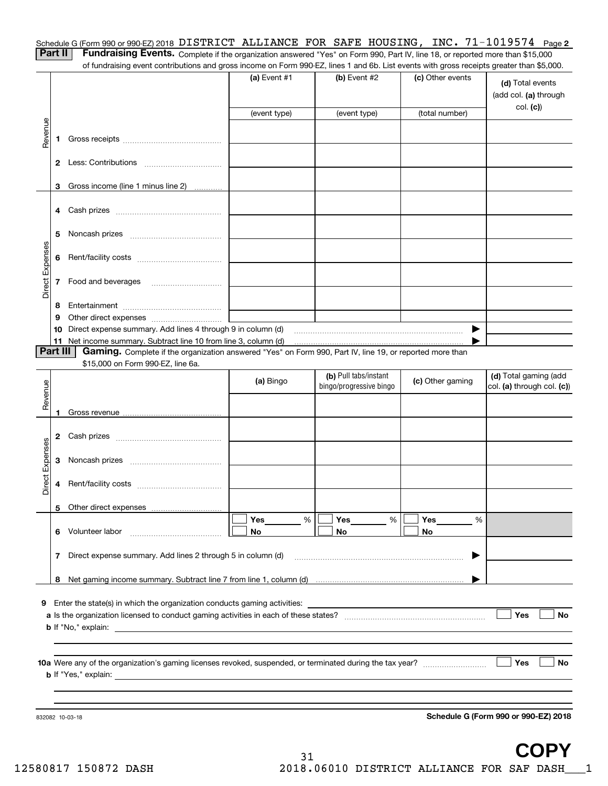| Schedule G (Form 990 or 990-EZ) 2018 DISTRICT ALLIANCE FOR SAFE HOUSING, INC. $71-1019574$ Page 2                            |  |  |  |  |
|------------------------------------------------------------------------------------------------------------------------------|--|--|--|--|
| <b>Dart II. Eundraising Evants</b> Complete this constitution assessed this the Case Rest W. the 49 connected associated 200 |  |  |  |  |

|  | <b>Contract Contract Contract</b> |  |
|--|-----------------------------------|--|
|  |                                   |  |

**Part II Fundraising Events.** Complete if the organization answered "Yes" on Form 990, Part IV, line 18, or reported more than \$15,000<br>15.000 of fundraising event contributions and gross income on Form 990-EZ. lines 1 an of fundraising event contributions and gross income on Form 990-EZ, lines 1 and 6b. List events with gross receipts greater than \$5,000.

|                 |          |                                                                                                                                               | (a) Event #1 | (b) Event #2                                     | (c) Other events | (d) Total events<br>(add col. (a) through<br>col. (c) |
|-----------------|----------|-----------------------------------------------------------------------------------------------------------------------------------------------|--------------|--------------------------------------------------|------------------|-------------------------------------------------------|
|                 |          |                                                                                                                                               | (event type) | (event type)                                     | (total number)   |                                                       |
| Revenue         | 1.       |                                                                                                                                               |              |                                                  |                  |                                                       |
|                 |          |                                                                                                                                               |              |                                                  |                  |                                                       |
|                 |          | 3 Gross income (line 1 minus line 2)                                                                                                          |              |                                                  |                  |                                                       |
|                 |          |                                                                                                                                               |              |                                                  |                  |                                                       |
|                 | 5        |                                                                                                                                               |              |                                                  |                  |                                                       |
|                 |          |                                                                                                                                               |              |                                                  |                  |                                                       |
| Direct Expenses |          | 7 Food and beverages                                                                                                                          |              |                                                  |                  |                                                       |
|                 | 8        |                                                                                                                                               |              |                                                  |                  |                                                       |
|                 | 9        |                                                                                                                                               |              |                                                  |                  |                                                       |
|                 | 10       | Direct expense summary. Add lines 4 through 9 in column (d)                                                                                   |              |                                                  | ▶                |                                                       |
|                 | Part III | 11 Net income summary. Subtract line 10 from line 3, column (d)                                                                               |              |                                                  |                  |                                                       |
|                 |          | Gaming. Complete if the organization answered "Yes" on Form 990, Part IV, line 19, or reported more than<br>\$15,000 on Form 990-EZ, line 6a. |              |                                                  |                  |                                                       |
|                 |          |                                                                                                                                               | (a) Bingo    | (b) Pull tabs/instant<br>bingo/progressive bingo | (c) Other gaming | (d) Total gaming (add<br>col. (a) through col. (c))   |
| Revenue         |          |                                                                                                                                               |              |                                                  |                  |                                                       |
|                 |          |                                                                                                                                               |              |                                                  |                  |                                                       |
|                 |          |                                                                                                                                               |              |                                                  |                  |                                                       |
| Direct Expenses | 3        |                                                                                                                                               |              |                                                  |                  |                                                       |
|                 | 4        |                                                                                                                                               |              |                                                  |                  |                                                       |
|                 |          |                                                                                                                                               |              |                                                  |                  |                                                       |
|                 |          |                                                                                                                                               | Yes<br>%     | Yes<br>%                                         | Yes<br>%         |                                                       |
|                 | 6        | Volunteer labor                                                                                                                               | No           | No                                               | No               |                                                       |
|                 | 7        | Direct expense summary. Add lines 2 through 5 in column (d)                                                                                   |              |                                                  | ▶                |                                                       |
|                 |          |                                                                                                                                               |              |                                                  |                  |                                                       |
|                 |          |                                                                                                                                               |              |                                                  |                  |                                                       |
|                 |          | 9 Enter the state(s) in which the organization conducts gaming activities:                                                                    |              |                                                  |                  |                                                       |
|                 |          | <b>b</b> If "No," explain:                                                                                                                    |              |                                                  |                  | Yes<br><b>No</b>                                      |
|                 |          |                                                                                                                                               |              |                                                  |                  |                                                       |
|                 |          |                                                                                                                                               |              |                                                  |                  |                                                       |
|                 |          | <b>b</b> If "Yes," explain:                                                                                                                   |              |                                                  |                  | Yes<br><b>No</b>                                      |
|                 |          |                                                                                                                                               |              |                                                  |                  |                                                       |
|                 |          |                                                                                                                                               |              |                                                  |                  |                                                       |
|                 |          | 832082 10-03-18                                                                                                                               |              |                                                  |                  | Schedule G (Form 990 or 990-EZ) 2018                  |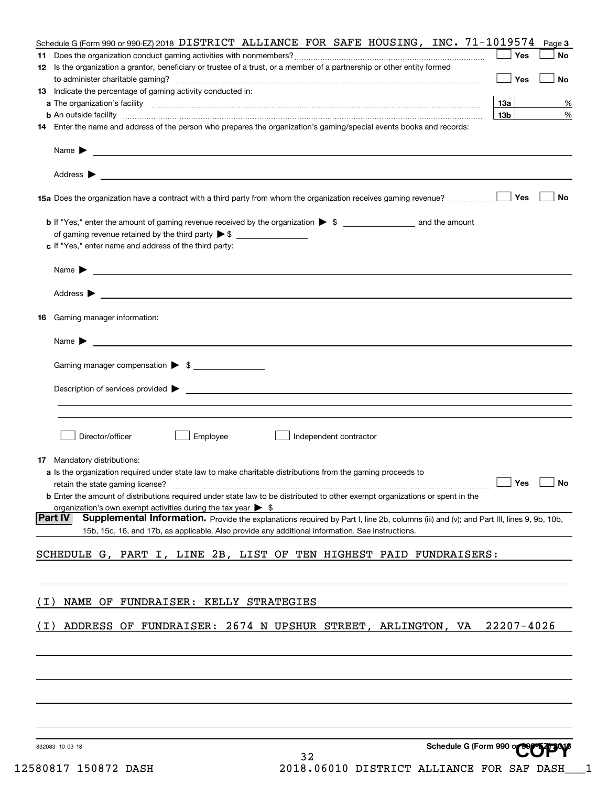|                 | Schedule G (Form 990 or 990-EZ) 2018 DISTRICT ALLIANCE FOR SAFE HOUSING, INC. $71-1019574$                                                                                                                                                                                                                                                         |                 | Page 3    |
|-----------------|----------------------------------------------------------------------------------------------------------------------------------------------------------------------------------------------------------------------------------------------------------------------------------------------------------------------------------------------------|-----------------|-----------|
|                 |                                                                                                                                                                                                                                                                                                                                                    | Yes             | No        |
|                 | 12 Is the organization a grantor, beneficiary or trustee of a trust, or a member of a partnership or other entity formed                                                                                                                                                                                                                           |                 |           |
|                 |                                                                                                                                                                                                                                                                                                                                                    | Yes             | No        |
|                 | 13 Indicate the percentage of gaming activity conducted in:                                                                                                                                                                                                                                                                                        |                 |           |
|                 |                                                                                                                                                                                                                                                                                                                                                    | 13а             | %         |
|                 | <b>b</b> An outside facility <b>contained and the contract of the contract of the contract of the contract of the contract of the contract of the contract of the contract of the contract of the contract of the contract of the con</b>                                                                                                          | 13 <sub>b</sub> | %         |
|                 | 14 Enter the name and address of the person who prepares the organization's gaming/special events books and records:                                                                                                                                                                                                                               |                 |           |
|                 | Name $\blacktriangleright$<br><u>se construir a comparador de la comparador de la comparador de la comparador de la comparador de la comparador de la comparador de la comparador de la comparador de la comparador de la comparador de la comparador de la co</u>                                                                                 |                 |           |
|                 |                                                                                                                                                                                                                                                                                                                                                    |                 |           |
|                 |                                                                                                                                                                                                                                                                                                                                                    | Yes             | No        |
|                 |                                                                                                                                                                                                                                                                                                                                                    |                 |           |
|                 | of gaming revenue retained by the third party $\triangleright$ \$                                                                                                                                                                                                                                                                                  |                 |           |
|                 | c If "Yes," enter name and address of the third party:                                                                                                                                                                                                                                                                                             |                 |           |
|                 |                                                                                                                                                                                                                                                                                                                                                    |                 |           |
|                 | <u> 1989 - Johann Harry Harry Harry Harry Harry Harry Harry Harry Harry Harry Harry Harry Harry Harry Harry Harry</u><br>Name $\blacktriangleright$                                                                                                                                                                                                |                 |           |
|                 |                                                                                                                                                                                                                                                                                                                                                    |                 |           |
|                 |                                                                                                                                                                                                                                                                                                                                                    |                 |           |
| 16              | Gaming manager information:                                                                                                                                                                                                                                                                                                                        |                 |           |
|                 |                                                                                                                                                                                                                                                                                                                                                    |                 |           |
|                 | Name $\blacktriangleright$ $\lrcorner$ $\lrcorner$ $\lrcorner$ $\lrcorner$ $\lrcorner$ $\lrcorner$ $\lrcorner$ $\lrcorner$ $\lrcorner$ $\lrcorner$ $\lrcorner$ $\lrcorner$ $\lrcorner$ $\lrcorner$ $\lrcorner$ $\lrcorner$ $\lrcorner$ $\lrcorner$ $\lrcorner$ $\lrcorner$ $\lrcorner$ $\lrcorner$ $\lrcorner$ $\lrcorner$ $\lrcorner$ $\lrcorner$ |                 |           |
|                 |                                                                                                                                                                                                                                                                                                                                                    |                 |           |
|                 | Gaming manager compensation > \$                                                                                                                                                                                                                                                                                                                   |                 |           |
|                 | Description of services provided $\blacktriangleright$ $\bot$                                                                                                                                                                                                                                                                                      |                 |           |
|                 |                                                                                                                                                                                                                                                                                                                                                    |                 |           |
|                 |                                                                                                                                                                                                                                                                                                                                                    |                 |           |
|                 |                                                                                                                                                                                                                                                                                                                                                    |                 |           |
|                 | Director/officer<br>Employee<br>Independent contractor                                                                                                                                                                                                                                                                                             |                 |           |
|                 |                                                                                                                                                                                                                                                                                                                                                    |                 |           |
|                 | <b>17</b> Mandatory distributions:                                                                                                                                                                                                                                                                                                                 |                 |           |
|                 | a Is the organization required under state law to make charitable distributions from the gaming proceeds to                                                                                                                                                                                                                                        |                 | <b>No</b> |
|                 | <b>b</b> Enter the amount of distributions required under state law to be distributed to other exempt organizations or spent in the                                                                                                                                                                                                                |                 |           |
|                 | organization's own exempt activities during the tax year $\triangleright$ \$                                                                                                                                                                                                                                                                       |                 |           |
| Part IV         | Supplemental Information. Provide the explanations required by Part I, line 2b, columns (iii) and (v); and Part III, lines 9, 9b, 10b,                                                                                                                                                                                                             |                 |           |
|                 | 15b, 15c, 16, and 17b, as applicable. Also provide any additional information. See instructions.                                                                                                                                                                                                                                                   |                 |           |
|                 |                                                                                                                                                                                                                                                                                                                                                    |                 |           |
|                 | SCHEDULE G, PART I, LINE 2B, LIST OF TEN HIGHEST PAID FUNDRAISERS:                                                                                                                                                                                                                                                                                 |                 |           |
|                 |                                                                                                                                                                                                                                                                                                                                                    |                 |           |
|                 |                                                                                                                                                                                                                                                                                                                                                    |                 |           |
| ( L )           | NAME OF FUNDRAISER: KELLY STRATEGIES                                                                                                                                                                                                                                                                                                               |                 |           |
|                 |                                                                                                                                                                                                                                                                                                                                                    |                 |           |
| (1)             | ADDRESS OF FUNDRAISER: 2674 N UPSHUR STREET, ARLINGTON, VA                                                                                                                                                                                                                                                                                         | 22207-4026      |           |
|                 |                                                                                                                                                                                                                                                                                                                                                    |                 |           |
|                 |                                                                                                                                                                                                                                                                                                                                                    |                 |           |
|                 |                                                                                                                                                                                                                                                                                                                                                    |                 |           |
|                 |                                                                                                                                                                                                                                                                                                                                                    |                 |           |
|                 |                                                                                                                                                                                                                                                                                                                                                    |                 |           |
|                 |                                                                                                                                                                                                                                                                                                                                                    |                 |           |
|                 |                                                                                                                                                                                                                                                                                                                                                    |                 |           |
|                 |                                                                                                                                                                                                                                                                                                                                                    |                 |           |
| 832083 10-03-18 | Schedule G (Form 990 or 997 1200                                                                                                                                                                                                                                                                                                                   |                 |           |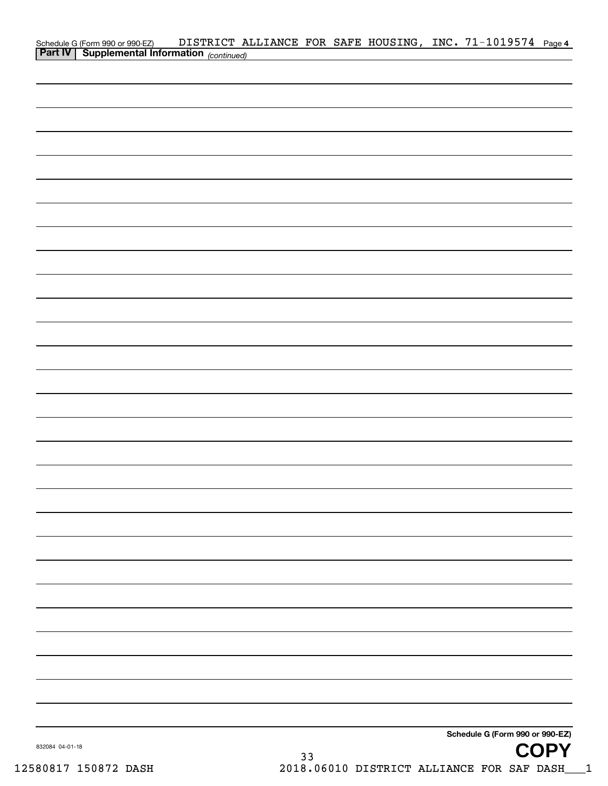|                 | Schedule G (Form 990 or 990-EZ) DISTRICT ALLIANCE FOR SAFE HOUSING, INC. 71-1019574 Page 4<br><b>Part IV</b> Supplemental Information <sub>(continued)</sub> |  |    |  |                                 |             |
|-----------------|--------------------------------------------------------------------------------------------------------------------------------------------------------------|--|----|--|---------------------------------|-------------|
|                 |                                                                                                                                                              |  |    |  |                                 |             |
|                 |                                                                                                                                                              |  |    |  |                                 |             |
|                 |                                                                                                                                                              |  |    |  |                                 |             |
|                 |                                                                                                                                                              |  |    |  |                                 |             |
|                 |                                                                                                                                                              |  |    |  |                                 |             |
|                 |                                                                                                                                                              |  |    |  |                                 |             |
|                 |                                                                                                                                                              |  |    |  |                                 |             |
|                 |                                                                                                                                                              |  |    |  |                                 |             |
|                 |                                                                                                                                                              |  |    |  |                                 |             |
|                 |                                                                                                                                                              |  |    |  |                                 |             |
|                 |                                                                                                                                                              |  |    |  |                                 |             |
|                 |                                                                                                                                                              |  |    |  |                                 |             |
|                 |                                                                                                                                                              |  |    |  |                                 |             |
|                 |                                                                                                                                                              |  |    |  |                                 |             |
|                 |                                                                                                                                                              |  |    |  |                                 |             |
|                 |                                                                                                                                                              |  |    |  |                                 |             |
|                 |                                                                                                                                                              |  |    |  |                                 |             |
|                 |                                                                                                                                                              |  |    |  |                                 |             |
|                 |                                                                                                                                                              |  |    |  |                                 |             |
|                 |                                                                                                                                                              |  |    |  |                                 |             |
|                 |                                                                                                                                                              |  |    |  |                                 |             |
|                 |                                                                                                                                                              |  |    |  |                                 |             |
|                 |                                                                                                                                                              |  |    |  |                                 |             |
|                 |                                                                                                                                                              |  |    |  |                                 |             |
|                 |                                                                                                                                                              |  |    |  |                                 |             |
|                 |                                                                                                                                                              |  |    |  |                                 |             |
|                 |                                                                                                                                                              |  |    |  |                                 |             |
|                 |                                                                                                                                                              |  |    |  |                                 |             |
|                 |                                                                                                                                                              |  |    |  |                                 |             |
|                 |                                                                                                                                                              |  |    |  |                                 |             |
|                 |                                                                                                                                                              |  |    |  |                                 |             |
|                 |                                                                                                                                                              |  |    |  | Schedule G (Form 990 or 990-EZ) |             |
| 832084 04-01-18 |                                                                                                                                                              |  | 33 |  |                                 | <b>COPY</b> |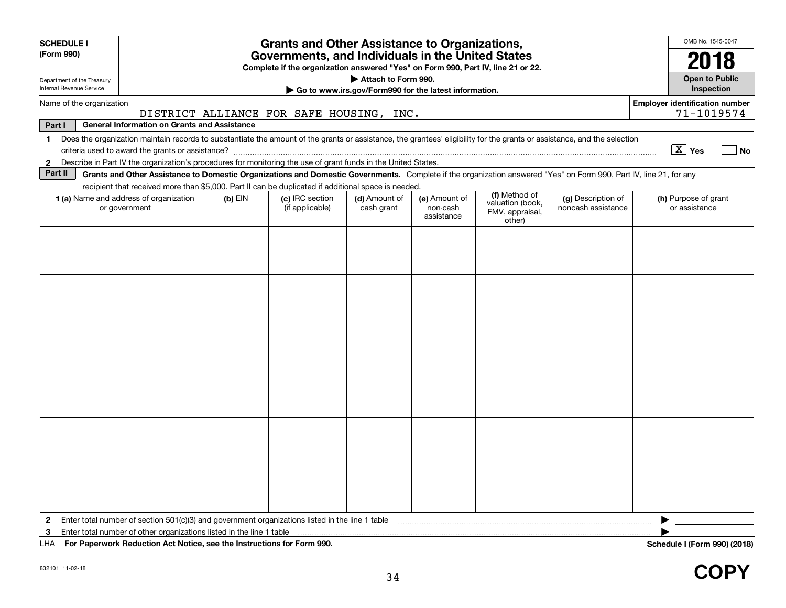| <b>SCHEDULE I</b>                                      |                                                                                                                                                                          |           | <b>Grants and Other Assistance to Organizations,</b> |                             |                                         |                                               |                                          | OMB No. 1545-0047                                   |  |  |
|--------------------------------------------------------|--------------------------------------------------------------------------------------------------------------------------------------------------------------------------|-----------|------------------------------------------------------|-----------------------------|-----------------------------------------|-----------------------------------------------|------------------------------------------|-----------------------------------------------------|--|--|
| (Form 990)                                             | Governments, and Individuals in the United States<br>Complete if the organization answered "Yes" on Form 990, Part IV, line 21 or 22.                                    |           |                                                      |                             |                                         |                                               |                                          |                                                     |  |  |
| Department of the Treasury<br>Internal Revenue Service | Attach to Form 990.<br>Go to www.irs.gov/Form990 for the latest information.                                                                                             |           |                                                      |                             |                                         |                                               |                                          |                                                     |  |  |
| Name of the organization                               |                                                                                                                                                                          |           | DISTRICT ALLIANCE FOR SAFE HOUSING, INC.             |                             |                                         |                                               |                                          | <b>Employer identification number</b><br>71-1019574 |  |  |
| Part I                                                 | <b>General Information on Grants and Assistance</b>                                                                                                                      |           |                                                      |                             |                                         |                                               |                                          |                                                     |  |  |
| 1.                                                     | Does the organization maintain records to substantiate the amount of the grants or assistance, the grantees' eligibility for the grants or assistance, and the selection |           |                                                      |                             |                                         |                                               |                                          | $\boxed{\text{X}}$ Yes<br>  No                      |  |  |
| $\mathbf{2}$                                           | Describe in Part IV the organization's procedures for monitoring the use of grant funds in the United States.                                                            |           |                                                      |                             |                                         |                                               |                                          |                                                     |  |  |
| Part II                                                | Grants and Other Assistance to Domestic Organizations and Domestic Governments. Complete if the organization answered "Yes" on Form 990, Part IV, line 21, for any       |           |                                                      |                             |                                         |                                               |                                          |                                                     |  |  |
|                                                        | recipient that received more than \$5,000. Part II can be duplicated if additional space is needed.                                                                      |           |                                                      |                             |                                         | (f) Method of                                 |                                          |                                                     |  |  |
|                                                        | 1 (a) Name and address of organization<br>or government                                                                                                                  | $(b)$ EIN | (c) IRC section<br>(if applicable)                   | (d) Amount of<br>cash grant | (e) Amount of<br>non-cash<br>assistance | valuation (book,<br>FMV, appraisal,<br>other) | (g) Description of<br>noncash assistance | (h) Purpose of grant<br>or assistance               |  |  |
|                                                        |                                                                                                                                                                          |           |                                                      |                             |                                         |                                               |                                          |                                                     |  |  |
|                                                        |                                                                                                                                                                          |           |                                                      |                             |                                         |                                               |                                          |                                                     |  |  |
|                                                        |                                                                                                                                                                          |           |                                                      |                             |                                         |                                               |                                          |                                                     |  |  |
|                                                        |                                                                                                                                                                          |           |                                                      |                             |                                         |                                               |                                          |                                                     |  |  |
|                                                        |                                                                                                                                                                          |           |                                                      |                             |                                         |                                               |                                          |                                                     |  |  |
|                                                        |                                                                                                                                                                          |           |                                                      |                             |                                         |                                               |                                          |                                                     |  |  |
|                                                        |                                                                                                                                                                          |           |                                                      |                             |                                         |                                               |                                          |                                                     |  |  |
|                                                        |                                                                                                                                                                          |           |                                                      |                             |                                         |                                               |                                          |                                                     |  |  |
|                                                        |                                                                                                                                                                          |           |                                                      |                             |                                         |                                               |                                          |                                                     |  |  |
|                                                        |                                                                                                                                                                          |           |                                                      |                             |                                         |                                               |                                          |                                                     |  |  |
|                                                        |                                                                                                                                                                          |           |                                                      |                             |                                         |                                               |                                          |                                                     |  |  |
| $\mathbf{2}$<br>3                                      | Enter total number of section 501(c)(3) and government organizations listed in the line 1 table<br>Enter total number of other organizations listed in the line 1 table  |           |                                                      |                             |                                         |                                               |                                          |                                                     |  |  |
| LHA                                                    | For Paperwork Reduction Act Notice, see the Instructions for Form 990.                                                                                                   |           |                                                      |                             |                                         |                                               |                                          | Schedule I (Form 990) (2018)                        |  |  |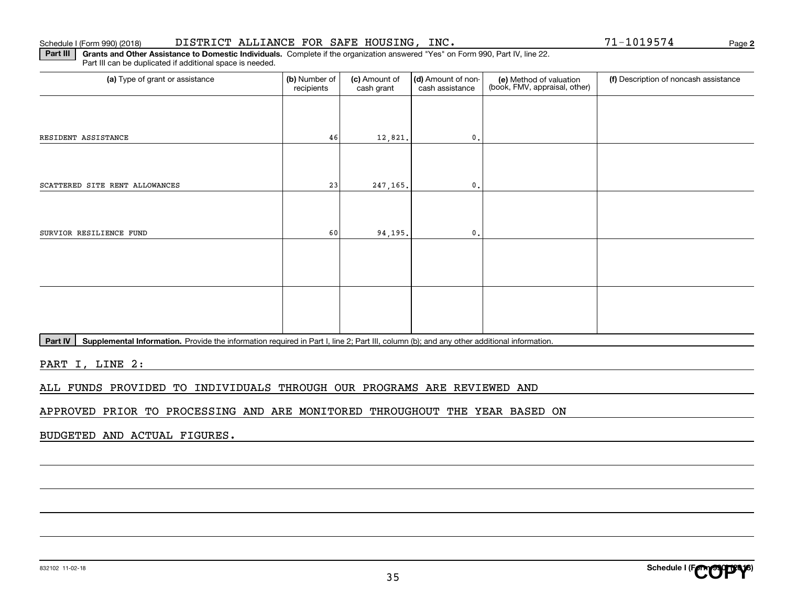#### Schedule I (Form 990) (2018) Page DISTRICT ALLIANCE FOR SAFE HOUSING, INC. 71-1019574

**Part III** | Grants and Other Assistance to Domestic Individuals. Complete if the organization answered "Yes" on Form 990, Part IV, line 22. Part III can be duplicated if additional space is needed.

| (a) Type of grant or assistance | (b) Number of<br>recipients | (c) Amount of<br>cash grant | (d) Amount of non-<br>cash assistance | (e) Method of valuation<br>(book, FMV, appraisal, other) | (f) Description of noncash assistance |
|---------------------------------|-----------------------------|-----------------------------|---------------------------------------|----------------------------------------------------------|---------------------------------------|
|                                 |                             |                             |                                       |                                                          |                                       |
| RESIDENT ASSISTANCE             | 46                          | 12,821.                     | $\mathfrak{o}$ .                      |                                                          |                                       |
|                                 |                             |                             |                                       |                                                          |                                       |
| SCATTERED SITE RENT ALLOWANCES  | 23                          | 247,165.                    | $\mathfrak o$ .                       |                                                          |                                       |
|                                 |                             |                             |                                       |                                                          |                                       |
| SURVIOR RESILIENCE FUND         | 60                          | 94,195.                     | $\mathfrak o$ .                       |                                                          |                                       |
|                                 |                             |                             |                                       |                                                          |                                       |
|                                 |                             |                             |                                       |                                                          |                                       |
|                                 |                             |                             |                                       |                                                          |                                       |
|                                 |                             |                             |                                       |                                                          |                                       |

**Part IV** | Supplemental Information. Provide the information required in Part I, line 2; Part III, column (b); and any other additional information.<br>

PART I, LINE 2:

ALL FUNDS PROVIDED TO INDIVIDUALS THROUGH OUR PROGRAMS ARE REVIEWED AND

APPROVED PRIOR TO PROCESSING AND ARE MONITORED THROUGHOUT THE YEAR BASED ON

BUDGETED AND ACTUAL FIGURES.

**2**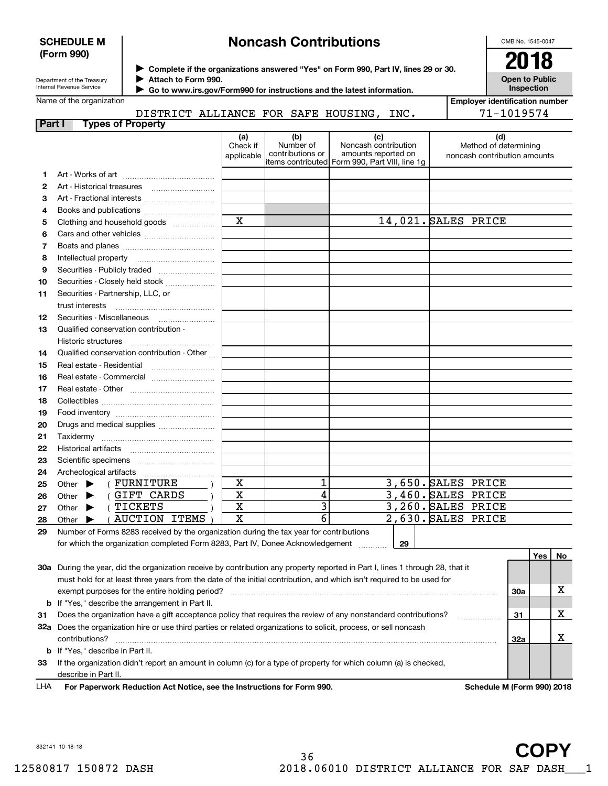# **SCHEDULE M (Form 990)**

# **Noncash Contributions**

OMB No. 1545-0047

| Department of the Treasury |  |
|----------------------------|--|
| Internal Revenue Service   |  |

**Complete if the organizations answered "Yes" on Form 990, Part IV, lines 29 or 30.** <sup>J</sup>**2018 Attach to Form 990.** J

**Open to Public Inspection**

**Employer identification number**

|  | Name of the organization |
|--|--------------------------|
|--|--------------------------|

 **Go to www.irs.gov/Form990 for instructions and the latest information.** J

| DISTRICT ALLIANCE FOR SAFE HOUSING, |  |  | INC. | 71-1019574 |
|-------------------------------------|--|--|------|------------|
|                                     |  |  |      |            |

| Part I | <b>Types of Property</b>                                                                                                      |                               |                                      |                                                                                                      |                                                              |           |
|--------|-------------------------------------------------------------------------------------------------------------------------------|-------------------------------|--------------------------------------|------------------------------------------------------------------------------------------------------|--------------------------------------------------------------|-----------|
|        |                                                                                                                               | (a)<br>Check if<br>applicable | (b)<br>Number of<br>contributions or | (c)<br>Noncash contribution<br>amounts reported on<br>items contributed Form 990, Part VIII, line 1g | (d)<br>Method of determining<br>noncash contribution amounts |           |
| 1      |                                                                                                                               |                               |                                      |                                                                                                      |                                                              |           |
| 2      |                                                                                                                               |                               |                                      |                                                                                                      |                                                              |           |
| 3      |                                                                                                                               |                               |                                      |                                                                                                      |                                                              |           |
| 4      |                                                                                                                               |                               |                                      |                                                                                                      |                                                              |           |
| 5      | Clothing and household goods                                                                                                  | $\mathbf x$                   |                                      |                                                                                                      | 14,021. SALES PRICE                                          |           |
| 6      |                                                                                                                               |                               |                                      |                                                                                                      |                                                              |           |
| 7      |                                                                                                                               |                               |                                      |                                                                                                      |                                                              |           |
| 8      |                                                                                                                               |                               |                                      |                                                                                                      |                                                              |           |
| 9      | Securities - Publicly traded                                                                                                  |                               |                                      |                                                                                                      |                                                              |           |
| 10     | Securities - Closely held stock                                                                                               |                               |                                      |                                                                                                      |                                                              |           |
| 11     | Securities - Partnership, LLC, or                                                                                             |                               |                                      |                                                                                                      |                                                              |           |
|        | trust interests                                                                                                               |                               |                                      |                                                                                                      |                                                              |           |
| 12     |                                                                                                                               |                               |                                      |                                                                                                      |                                                              |           |
| 13     | Qualified conservation contribution -                                                                                         |                               |                                      |                                                                                                      |                                                              |           |
|        | Historic structures                                                                                                           |                               |                                      |                                                                                                      |                                                              |           |
| 14     | Qualified conservation contribution - Other                                                                                   |                               |                                      |                                                                                                      |                                                              |           |
| 15     | Real estate - Residential                                                                                                     |                               |                                      |                                                                                                      |                                                              |           |
| 16     |                                                                                                                               |                               |                                      |                                                                                                      |                                                              |           |
| 17     |                                                                                                                               |                               |                                      |                                                                                                      |                                                              |           |
| 18     |                                                                                                                               |                               |                                      |                                                                                                      |                                                              |           |
| 19     |                                                                                                                               |                               |                                      |                                                                                                      |                                                              |           |
| 20     | Drugs and medical supplies                                                                                                    |                               |                                      |                                                                                                      |                                                              |           |
| 21     |                                                                                                                               |                               |                                      |                                                                                                      |                                                              |           |
| 22     |                                                                                                                               |                               |                                      |                                                                                                      |                                                              |           |
| 23     |                                                                                                                               |                               |                                      |                                                                                                      |                                                              |           |
| 24     |                                                                                                                               |                               |                                      |                                                                                                      |                                                              |           |
| 25     | ( FURNITURE<br>Other $\blacktriangleright$                                                                                    | x                             | 1                                    |                                                                                                      | 3,650. SALES PRICE                                           |           |
| 26     | (GIFT CARDS<br>Other $\blacktriangleright$                                                                                    | $\mathbf X$                   | 4                                    |                                                                                                      | 3,460. SALES PRICE                                           |           |
| 27     | (TICKETS<br>Other $\blacktriangleright$                                                                                       | X                             | $\overline{\mathbf{3}}$              |                                                                                                      | 3,260. SALES PRICE                                           |           |
| 28     | (AUCTION ITEMS<br>Other $\blacktriangleright$                                                                                 | $\mathbf x$                   | $\overline{6}$                       |                                                                                                      | 2,630. SALES PRICE                                           |           |
| 29     | Number of Forms 8283 received by the organization during the tax year for contributions                                       |                               |                                      |                                                                                                      |                                                              |           |
|        | for which the organization completed Form 8283, Part IV, Donee Acknowledgement                                                |                               |                                      | 29                                                                                                   |                                                              |           |
|        |                                                                                                                               |                               |                                      |                                                                                                      |                                                              | Yes<br>No |
|        | 30a. During the vear, did the organization receive by contribution any property reported in Part Llines 1 through 28, that it |                               |                                      |                                                                                                      |                                                              |           |

| 30a | During the year, did the organization receive by contribution any property reported in Part I, lines 1 through 28, that it |                             |  |
|-----|----------------------------------------------------------------------------------------------------------------------------|-----------------------------|--|
|     | must hold for at least three years from the date of the initial contribution, and which isn't required to be used for      |                             |  |
|     | exempt purposes for the entire holding period?                                                                             | 30a                         |  |
|     | <b>b</b> If "Yes," describe the arrangement in Part II.                                                                    |                             |  |
| 31  | Does the organization have a gift acceptance policy that requires the review of any nonstandard contributions?             | 31                          |  |
| 32a | Does the organization hire or use third parties or related organizations to solicit, process, or sell noncash              |                             |  |
|     | contributions?                                                                                                             | 32a                         |  |
|     | <b>b</b> If "Yes," describe in Part II.                                                                                    |                             |  |
| 33  | If the organization didn't report an amount in column (c) for a type of property for which column (a) is checked,          |                             |  |
|     | describe in Part II.                                                                                                       |                             |  |
|     |                                                                                                                            | Cabadule M (Faunt 000) 0040 |  |

**For Paperwork Reduction Act Notice, see the Instructions for Form 990. Schedule M (Form 990) 2018** LHA

832141 10-18-18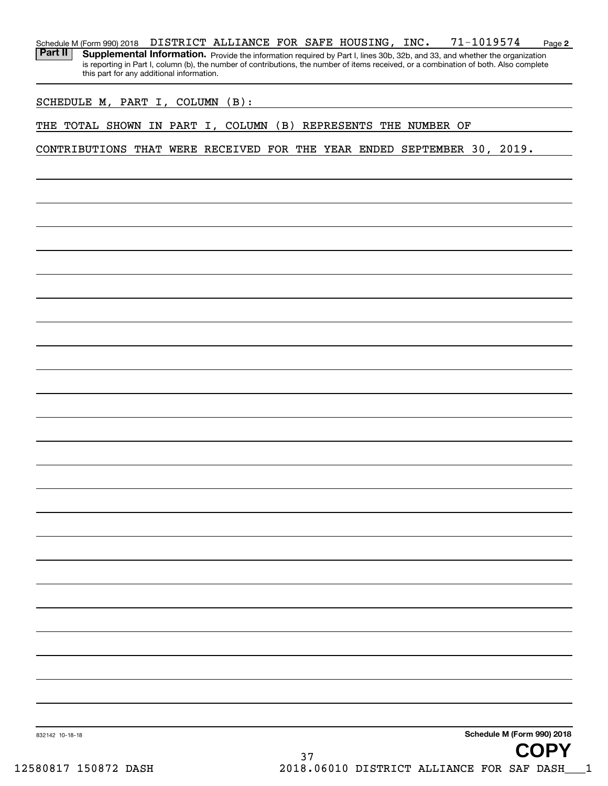**2** Schedule M (Form 990) 2018 Page DISTRICT ALLIANCE FOR SAFE HOUSING, INC. 71-1019574 Part II | Supplemental Information. Provide the information required by Part I, lines 30b, 32b, and 33, and whether the organization

is reporting in Part I, column (b), the number of contributions, the number of items received, or a combination of both. Also complete this part for any additional information.

SCHEDULE M, PART I, COLUMN (B):

THE TOTAL SHOWN IN PART I, COLUMN (B) REPRESENTS THE NUMBER OF

CONTRIBUTIONS THAT WERE RECEIVED FOR THE YEAR ENDED SEPTEMBER 30, 2019.

**Schedule M (Form 990) 2018**

832142 10-18-18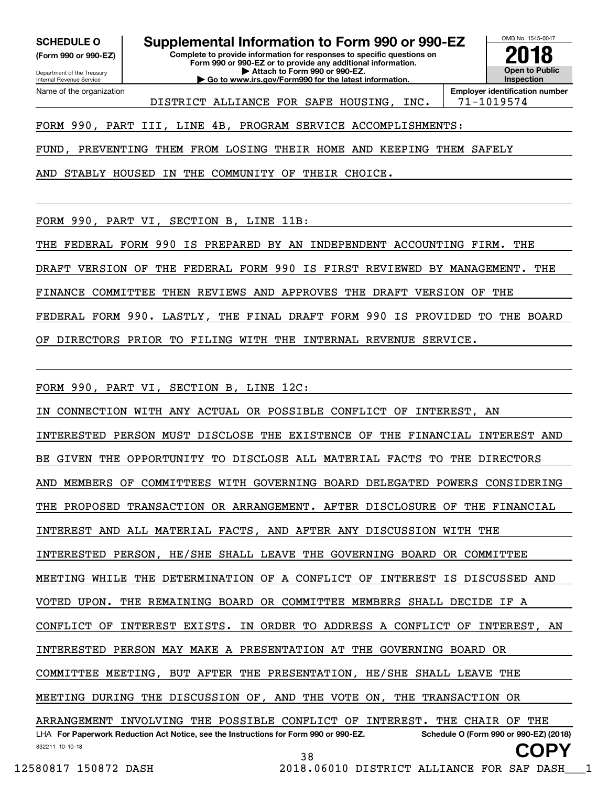**(Form 990 or 990-EZ)**

Department of the Treasury Internal Revenue Service Name of the organization

**SCHEDULE O Supplemental Information to Form 990 or 990-EZ**

**Complete to provide information for responses to specific questions on Form 990 or 990-EZ or to provide any additional information. | Attach to Form 990 or 990-EZ. | Go to www.irs.gov/Form990 for the latest information.**

**Open to Public InspectionEmployer identification number 2018**

OMB No. 1545-0047

DISTRICT ALLIANCE FOR SAFE HOUSING, INC. | 71-1019574

FORM 990, PART III, LINE 4B, PROGRAM SERVICE ACCOMPLISHMENTS:

FUND, PREVENTING THEM FROM LOSING THEIR HOME AND KEEPING THEM SAFELY

AND STABLY HOUSED IN THE COMMUNITY OF THEIR CHOICE.

FORM 990, PART VI, SECTION B, LINE 11B:

THE FEDERAL FORM 990 IS PREPARED BY AN INDEPENDENT ACCOUNTING FIRM. THE DRAFT VERSION OF THE FEDERAL FORM 990 IS FIRST REVIEWED BY MANAGEMENT. THE

FINANCE COMMITTEE THEN REVIEWS AND APPROVES THE DRAFT VERSION OF THE

FEDERAL FORM 990. LASTLY, THE FINAL DRAFT FORM 990 IS PROVIDED TO THE BOARD

OF DIRECTORS PRIOR TO FILING WITH THE INTERNAL REVENUE SERVICE.

FORM 990, PART VI, SECTION B, LINE 12C:

832211 10-10-18 LHA For Paperwork Reduction Act Notice, see the Instructions for Form 990 or 990-EZ. Schedule O (Form 990 or 990-EZ) (2018) IN CONNECTION WITH ANY ACTUAL OR POSSIBLE CONFLICT OF INTEREST, AN INTERESTED PERSON MUST DISCLOSE THE EXISTENCE OF THE FINANCIAL INTEREST AND BE GIVEN THE OPPORTUNITY TO DISCLOSE ALL MATERIAL FACTS TO THE DIRECTORS AND MEMBERS OF COMMITTEES WITH GOVERNING BOARD DELEGATED POWERS CONSIDERING THE PROPOSED TRANSACTION OR ARRANGEMENT. AFTER DISCLOSURE OF THE FINANCIAL INTEREST AND ALL MATERIAL FACTS, AND AFTER ANY DISCUSSION WITH THE INTERESTED PERSON, HE/SHE SHALL LEAVE THE GOVERNING BOARD OR COMMITTEE MEETING WHILE THE DETERMINATION OF A CONFLICT OF INTEREST IS DISCUSSED AND VOTED UPON. THE REMAINING BOARD OR COMMITTEE MEMBERS SHALL DECIDE IF A CONFLICT OF INTEREST EXISTS. IN ORDER TO ADDRESS A CONFLICT OF INTEREST, AN INTERESTED PERSON MAY MAKE A PRESENTATION AT THE GOVERNING BOARD OR COMMITTEE MEETING, BUT AFTER THE PRESENTATION, HE/SHE SHALL LEAVE THE MEETING DURING THE DISCUSSION OF, AND THE VOTE ON, THE TRANSACTION OR ARRANGEMENT INVOLVING THE POSSIBLE CONFLICT OF INTEREST. THE CHAIR OF THE **COPY**

38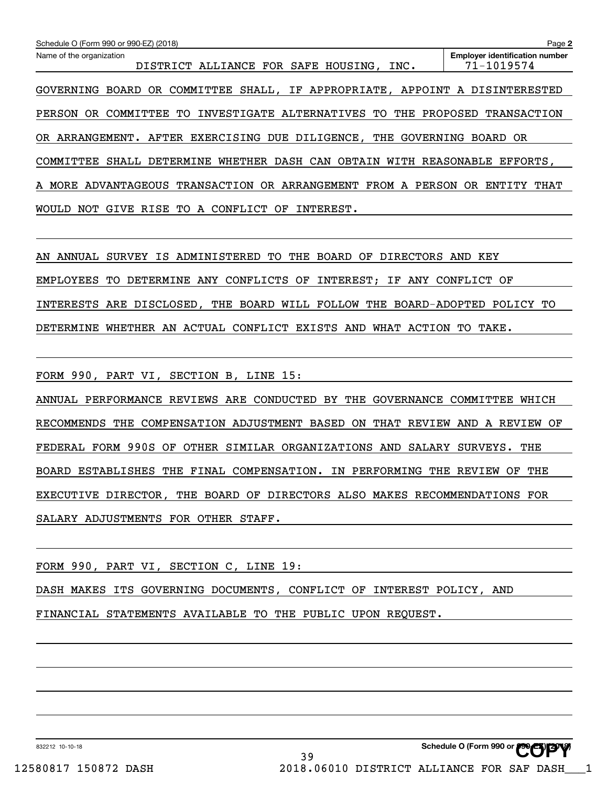| Schedule O (Form 990 or 990-EZ) (2018)                                         | Page 2                                              |
|--------------------------------------------------------------------------------|-----------------------------------------------------|
| Name of the organization<br>DISTRICT ALLIANCE FOR SAFE HOUSING, INC.           | <b>Employer identification number</b><br>71-1019574 |
| BOARD OR COMMITTEE SHALL, IF APPROPRIATE, APPOINT A DISINTERESTED<br>GOVERNING |                                                     |
| INVESTIGATE ALTERNATIVES TO THE<br>COMMITTEE<br>PERSON<br>OR.<br>TO.           | PROPOSED<br>TRANSACTION                             |
| ARRANGEMENT. AFTER EXERCISING DUE DILIGENCE,<br>THE GOVERNING<br>OR            | BOARD OR                                            |
| WHETHER DASH CAN<br>OBTAIN<br>COMMITTEE<br>SHALL<br>DETERMINE<br>WITH          | REASONABLE EFFORTS.                                 |
| TRANSACTION OR ARRANGEMENT<br>ADVANTAGEOUS<br>FROM A<br>PERSON<br>A MORE       | ENTITY<br>THAT<br>OR.                               |
| RISE<br>CONFLICT<br>INTEREST.<br><b>MOULD</b><br>TO.<br>ΟF<br>NOT<br>GIVE<br>A |                                                     |

AN ANNUAL SURVEY IS ADMINISTERED TO THE BOARD OF DIRECTORS AND KEY EMPLOYEES TO DETERMINE ANY CONFLICTS OF INTEREST; IF ANY CONFLICT OF INTERESTS ARE DISCLOSED, THE BOARD WILL FOLLOW THE BOARD-ADOPTED POLICY TO DETERMINE WHETHER AN ACTUAL CONFLICT EXISTS AND WHAT ACTION TO TAKE.

FORM 990, PART VI, SECTION B, LINE 15:

ANNUAL PERFORMANCE REVIEWS ARE CONDUCTED BY THE GOVERNANCE COMMITTEE WHICH RECOMMENDS THE COMPENSATION ADJUSTMENT BASED ON THAT REVIEW AND A REVIEW OF FEDERAL FORM 990S OF OTHER SIMILAR ORGANIZATIONS AND SALARY SURVEYS. THE BOARD ESTABLISHES THE FINAL COMPENSATION. IN PERFORMING THE REVIEW OF THE EXECUTIVE DIRECTOR, THE BOARD OF DIRECTORS ALSO MAKES RECOMMENDATIONS FOR SALARY ADJUSTMENTS FOR OTHER STAFF.

FORM 990, PART VI, SECTION C, LINE 19:

DASH MAKES ITS GOVERNING DOCUMENTS, CONFLICT OF INTEREST POLICY, AND

FINANCIAL STATEMENTS AVAILABLE TO THE PUBLIC UPON REQUEST.

832212 10-10-18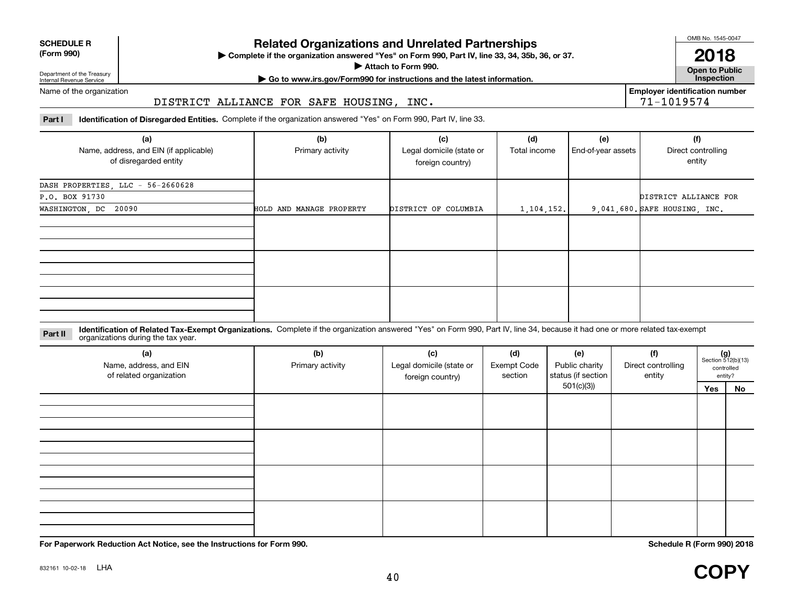| <b>SCHEDULE R</b>                          |  |
|--------------------------------------------|--|
| $\mathbf{r}$ , $\mathbf{r}$ , $\mathbf{r}$ |  |

**(Form 990)**

# **Related Organizations and Unrelated Partnerships**

**Complete if the organization answered "Yes" on Form 990, Part IV, line 33, 34, 35b, 36, or 37.** |

**Attach to Form 990.**  |

OMB No. 1545-0047

**Open to Public 2018**

**Employer identification number**

71-1019574

Department of the Treasury Internal Revenue Service

# **| Go to www.irs.gov/Form990 for instructions and the latest information. Inspection**

Name of the organization

# DISTRICT ALLIANCE FOR SAFE HOUSING, INC.

**Part I Identification of Disregarded Entities.**  Complete if the organization answered "Yes" on Form 990, Part IV, line 33.

| (a)<br>Name, address, and EIN (if applicable)<br>of disregarded entity | (b)<br>Primary activity  | (c)<br>Legal domicile (state or<br>foreign country) | (d)<br>Total income | (e)<br>End-of-year assets | (f)<br>Direct controlling<br>entity |
|------------------------------------------------------------------------|--------------------------|-----------------------------------------------------|---------------------|---------------------------|-------------------------------------|
| DASH PROPERTIES, LLC - 56-2660628                                      |                          |                                                     |                     |                           |                                     |
| P.O. BOX 91730                                                         |                          |                                                     |                     |                           | DISTRICT ALLIANCE FOR               |
| WASHINGTON, DC 20090                                                   | HOLD AND MANAGE PROPERTY | DISTRICT OF COLUMBIA                                | 1,104,152.          |                           | 9,041,680. SAFE HOUSING, INC.       |
|                                                                        |                          |                                                     |                     |                           |                                     |
|                                                                        |                          |                                                     |                     |                           |                                     |
|                                                                        |                          |                                                     |                     |                           |                                     |

**Identification of Related Tax-Exempt Organizations.** Complete if the organization answered "Yes" on Form 990, Part IV, line 34, because it had one or more related tax-exempt **Part II** organizations during the tax year.

| (a)<br>Name, address, and EIN<br>of related organization | (b)<br>Primary activity | (c)<br>Legal domicile (state or<br>foreign country) | (d)<br><b>Exempt Code</b><br>section | (e)<br>Public charity<br>status (if section<br>501(c)(3) | (f)<br>Direct controlling<br>entity | $(g)$<br>Section 512(b)(13)<br>controlled<br>entity? |    |
|----------------------------------------------------------|-------------------------|-----------------------------------------------------|--------------------------------------|----------------------------------------------------------|-------------------------------------|------------------------------------------------------|----|
|                                                          |                         |                                                     |                                      |                                                          |                                     | Yes                                                  | No |
|                                                          |                         |                                                     |                                      |                                                          |                                     |                                                      |    |
|                                                          |                         |                                                     |                                      |                                                          |                                     |                                                      |    |
|                                                          |                         |                                                     |                                      |                                                          |                                     |                                                      |    |
|                                                          |                         |                                                     |                                      |                                                          |                                     |                                                      |    |
|                                                          |                         |                                                     |                                      |                                                          |                                     |                                                      |    |
|                                                          |                         |                                                     |                                      |                                                          |                                     |                                                      |    |
|                                                          |                         |                                                     |                                      |                                                          |                                     |                                                      |    |
|                                                          |                         |                                                     |                                      |                                                          |                                     |                                                      |    |
|                                                          |                         |                                                     |                                      |                                                          |                                     |                                                      |    |
|                                                          |                         |                                                     |                                      |                                                          |                                     |                                                      |    |
|                                                          |                         |                                                     |                                      |                                                          |                                     |                                                      |    |

**For Paperwork Reduction Act Notice, see the Instructions for Form 990. Schedule R (Form 990) 2018**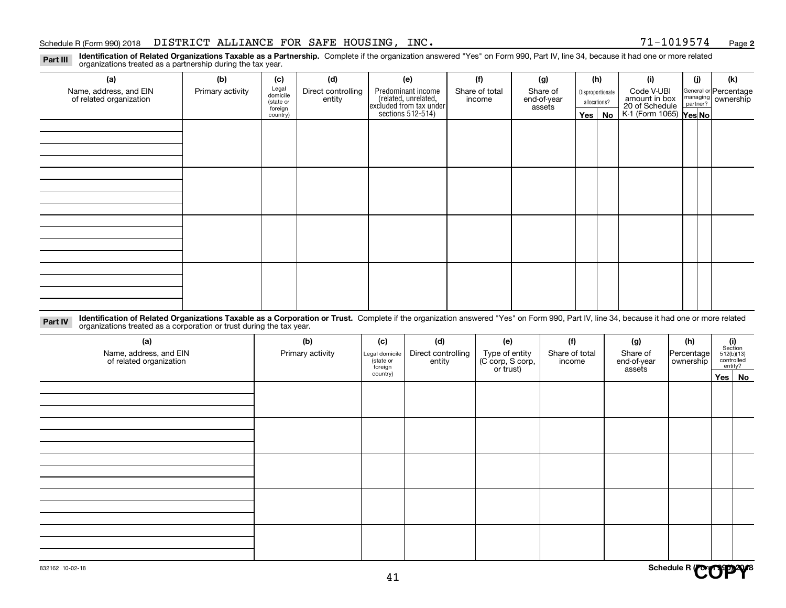#### Schedule R (Form 990) 2018 Page DISTRICT ALLIANCE FOR SAFE HOUSING, INC. 71-1019574

**2**

**Identification of Related Organizations Taxable as a Partnership.** Complete if the organization answered "Yes" on Form 990, Part IV, line 34, because it had one or more related **Part III** organizations treated as a partnership during the tax year.

| (a)                     | (b)              | (c)                  | (d)                | (e)                                                                 | (f)            | (g)                   |                                  | (h)      | (i)                                      | (j) | (k)                                                       |
|-------------------------|------------------|----------------------|--------------------|---------------------------------------------------------------------|----------------|-----------------------|----------------------------------|----------|------------------------------------------|-----|-----------------------------------------------------------|
| Name, address, and EIN  | Primary activity | Legal<br>domicile    | Direct controlling | Predominant income                                                  | Share of total | Share of              | Disproportionate<br>allocations? |          | Code V-UBI<br>amount in box              |     | General or Percentage<br>managing<br>partner?<br>partner? |
| of related organization |                  | (state or<br>foreign | entity             | related, unrelated,<br>excluded from tax under<br>sections 512-514) | income         | end-of-year<br>assets |                                  |          |                                          |     |                                                           |
|                         |                  | country)             |                    |                                                                     |                |                       |                                  | Yes   No | 20 of Schedule<br>K-1 (Form 1065) Yes No |     |                                                           |
|                         |                  |                      |                    |                                                                     |                |                       |                                  |          |                                          |     |                                                           |
|                         |                  |                      |                    |                                                                     |                |                       |                                  |          |                                          |     |                                                           |
|                         |                  |                      |                    |                                                                     |                |                       |                                  |          |                                          |     |                                                           |
|                         |                  |                      |                    |                                                                     |                |                       |                                  |          |                                          |     |                                                           |
|                         |                  |                      |                    |                                                                     |                |                       |                                  |          |                                          |     |                                                           |
|                         |                  |                      |                    |                                                                     |                |                       |                                  |          |                                          |     |                                                           |
|                         |                  |                      |                    |                                                                     |                |                       |                                  |          |                                          |     |                                                           |
|                         |                  |                      |                    |                                                                     |                |                       |                                  |          |                                          |     |                                                           |
|                         |                  |                      |                    |                                                                     |                |                       |                                  |          |                                          |     |                                                           |
|                         |                  |                      |                    |                                                                     |                |                       |                                  |          |                                          |     |                                                           |
|                         |                  |                      |                    |                                                                     |                |                       |                                  |          |                                          |     |                                                           |
|                         |                  |                      |                    |                                                                     |                |                       |                                  |          |                                          |     |                                                           |
|                         |                  |                      |                    |                                                                     |                |                       |                                  |          |                                          |     |                                                           |
|                         |                  |                      |                    |                                                                     |                |                       |                                  |          |                                          |     |                                                           |
|                         |                  |                      |                    |                                                                     |                |                       |                                  |          |                                          |     |                                                           |
|                         |                  |                      |                    |                                                                     |                |                       |                                  |          |                                          |     |                                                           |
|                         |                  |                      |                    |                                                                     |                |                       |                                  |          |                                          |     |                                                           |

**Identification of Related Organizations Taxable as a Corporation or Trust.** Complete if the organization answered "Yes" on Form 990, Part IV, line 34, because it had one or more related **Part IV** organizations treated as a corporation or trust during the tax year.

| (a)<br>Name, address, and EIN<br>of related organization | (b)<br>Primary activity | (c)<br>Legal domicile<br>(state or<br>foreign | (d)<br>Direct controlling<br>entity | (e)<br>Type of entity<br>(C corp, S corp,<br>or trust) | (f)<br>Share of total<br>income | (g)<br>Share of<br>end-of-year<br>assets | (h)<br>Percentage<br>ownership | $\begin{array}{c} \textbf{(i)}\\ \text{Section}\\ 512 \text{(b)} \text{(13)}\\ \text{controlled}\\ \text{entity?} \end{array}$ |
|----------------------------------------------------------|-------------------------|-----------------------------------------------|-------------------------------------|--------------------------------------------------------|---------------------------------|------------------------------------------|--------------------------------|--------------------------------------------------------------------------------------------------------------------------------|
|                                                          |                         | country)                                      |                                     |                                                        |                                 |                                          |                                | Yes No                                                                                                                         |
|                                                          |                         |                                               |                                     |                                                        |                                 |                                          |                                |                                                                                                                                |
|                                                          |                         |                                               |                                     |                                                        |                                 |                                          |                                |                                                                                                                                |
|                                                          |                         |                                               |                                     |                                                        |                                 |                                          |                                |                                                                                                                                |
|                                                          |                         |                                               |                                     |                                                        |                                 |                                          |                                |                                                                                                                                |
|                                                          |                         |                                               |                                     |                                                        |                                 |                                          |                                |                                                                                                                                |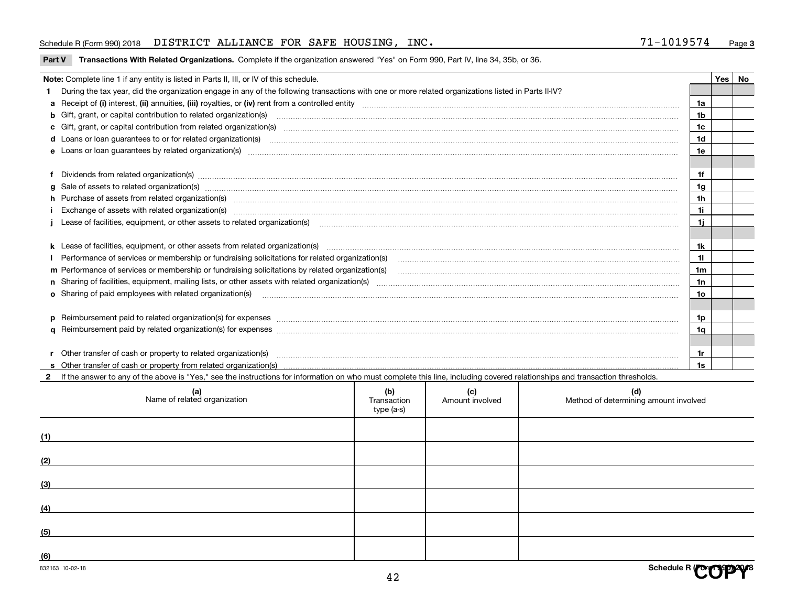#### Schedule R (Form 990) 2018 Page DISTRICT ALLIANCE FOR SAFE HOUSING, INC. 71-1019574

| Part V Transactions With Related Organizations. Complete if the organization answered "Yes" on Form 990, Part IV, line 34, 35b, or 36 |  |  |  |
|---------------------------------------------------------------------------------------------------------------------------------------|--|--|--|
|                                                                                                                                       |  |  |  |

|   | Note: Complete line 1 if any entity is listed in Parts II, III, or IV of this schedule.                                                                                                                                             |  |  |  |                |  | Yes   No |  |
|---|-------------------------------------------------------------------------------------------------------------------------------------------------------------------------------------------------------------------------------------|--|--|--|----------------|--|----------|--|
|   | During the tax year, did the organization engage in any of the following transactions with one or more related organizations listed in Parts II-IV?                                                                                 |  |  |  |                |  |          |  |
|   |                                                                                                                                                                                                                                     |  |  |  | 1a             |  |          |  |
|   | b Gift, grant, or capital contribution to related organization(s) manufaction contracts and contribution to related organization(s)                                                                                                 |  |  |  | 1 <sub>b</sub> |  |          |  |
|   | c Gift, grant, or capital contribution from related organization(s) CONCO CONCORDIAL CONSERVITION CONTROVERSITY                                                                                                                     |  |  |  | 1c             |  |          |  |
|   |                                                                                                                                                                                                                                     |  |  |  | 1 <sub>d</sub> |  |          |  |
|   |                                                                                                                                                                                                                                     |  |  |  | 1e             |  |          |  |
|   |                                                                                                                                                                                                                                     |  |  |  |                |  |          |  |
|   | Dividends from related organization(s) material contracts and contracts are contracted as a contract of the contract or contract or contract or contract or contract or contract or contract or contract or contract or contra      |  |  |  | 1f             |  |          |  |
| g | Sale of assets to related organization(s) www.communicallycommunicallycommunicallycommunicallycommunicallycommunicallycommunicallycommunicallycommunicallycommunicallycommunicallycommunicallycommunicallycommunicallycommunic      |  |  |  | 1 <sub>q</sub> |  |          |  |
|   | h Purchase of assets from related organization(s) www.assettion.com/www.assettion.com/www.assettion.com/www.assettion.com/www.assettion.com/www.assettion.com/www.assettion.com/www.assettion.com/www.assettion.com/www.assett      |  |  |  | 1 <sub>h</sub> |  |          |  |
|   | 11<br>Exchange of assets with related organization(s) www.communically.communically.communically and a set and a set set of the communical communication of the set of the communication of the set of the communication of the set |  |  |  |                |  |          |  |
|   | 1j<br>Lease of facilities, equipment, or other assets to related organization(s) manufaction content to content the content of the content of facilities, equipment, or other assets to related organization(s) manufaction content |  |  |  |                |  |          |  |
|   |                                                                                                                                                                                                                                     |  |  |  |                |  |          |  |
|   |                                                                                                                                                                                                                                     |  |  |  | 1k             |  |          |  |
|   | Performance of services or membership or fundraising solicitations for related organization(s)                                                                                                                                      |  |  |  | 11             |  |          |  |
|   |                                                                                                                                                                                                                                     |  |  |  | 1 <sub>m</sub> |  |          |  |
|   |                                                                                                                                                                                                                                     |  |  |  | 1n             |  |          |  |
|   | o Sharing of paid employees with related organization(s) manufactured content to the content of the state of the content of the content of the content of the content of the content of the content of the content of the cont      |  |  |  | 1o             |  |          |  |
|   |                                                                                                                                                                                                                                     |  |  |  |                |  |          |  |
|   |                                                                                                                                                                                                                                     |  |  |  | 1p             |  |          |  |
|   |                                                                                                                                                                                                                                     |  |  |  | 1q             |  |          |  |
|   |                                                                                                                                                                                                                                     |  |  |  |                |  |          |  |
|   | Other transfer of cash or property to related organization(s) CONSERVIERD CONDENSITY OF ACCORDING THE SERVIEW OR DETAILS AND THE SERVIEW OF THE SERVIEW OF THE SERVIEW OF THE SERVIEW OF THE SERVIEW OF THE SERVIEW OF THE SER      |  |  |  | 1r             |  |          |  |
|   |                                                                                                                                                                                                                                     |  |  |  |                |  |          |  |
|   | 2 If the answer to any of the above is "Yes," see the instructions for information on who must complete this line, including covered relationships and transaction thresholds.                                                      |  |  |  |                |  |          |  |
|   | (b)<br>(c)<br>(d)<br>$(a)$<br>Name of related organization<br>Transaction Amount involved Method of determining emount involved                                                                                                     |  |  |  |                |  |          |  |

| (a)<br>Name of related organization | ι <b>υ</b><br>Transaction<br>type (a-s) | (C)<br>Amount involved | lay<br>Method of determining amount involved |
|-------------------------------------|-----------------------------------------|------------------------|----------------------------------------------|
| (1)                                 |                                         |                        |                                              |
| (2)                                 |                                         |                        |                                              |
| (3)                                 |                                         |                        |                                              |
| (4)                                 |                                         |                        |                                              |
| (5)                                 |                                         |                        |                                              |
| (6)                                 |                                         |                        |                                              |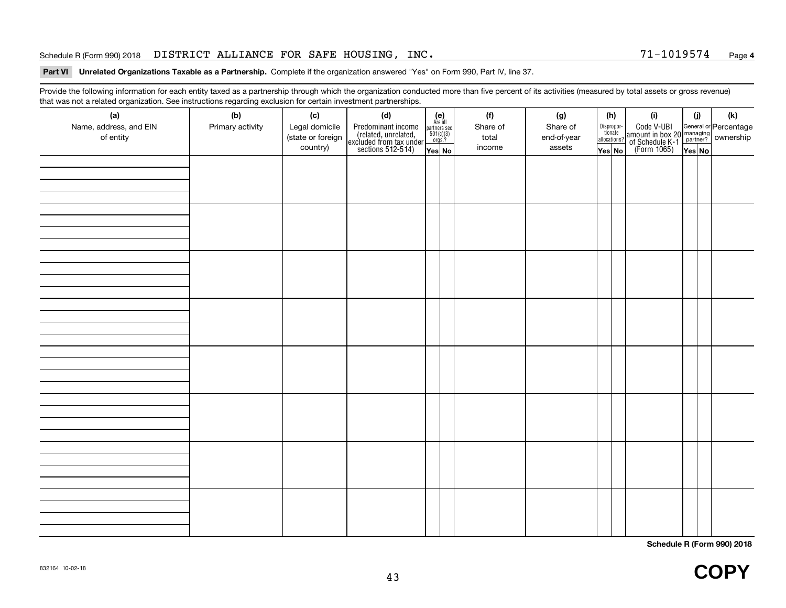### Schedule R (Form 990) 2018 Page DISTRICT ALLIANCE FOR SAFE HOUSING, INC. 71-1019574

# **4**

# **Part VI Unrelated Organizations Taxable as a Partnership.**  Complete if the organization answered "Yes" on Form 990, Part IV, line 37.

Provide the following information for each entity taxed as a partnership through which the organization conducted more than five percent of its activities (measured by total assets or gross revenue) that was not a related organization. See instructions regarding exclusion for certain investment partnerships.

| (a)<br>Name, address, and EIN<br>of entity | (b)<br>Primary activity | (c)<br>Legal domicile<br>(state or foreign<br>country) | (d)<br>Predominant income<br>(related, unrelated,<br>excluded from tax under<br>sections 512-514) | (e)<br>Are all<br>partners sec.<br>$\frac{501(c)(3)}{0rgs.?}$<br>Yes No | (f)<br>Share of<br>total<br>income | (g)<br>Share of<br>end-of-year<br>assets | $\sqrt{Y}$ es No | (h)<br>Dispropor-<br>tionate<br>allocations? | (i)<br>Code V-UBI<br>amount in box 20 managing<br>of Schedule K-1<br>(Form 1065)<br>$\overline{Yes}$ No | (i) | $(\mathsf{k})$ |
|--------------------------------------------|-------------------------|--------------------------------------------------------|---------------------------------------------------------------------------------------------------|-------------------------------------------------------------------------|------------------------------------|------------------------------------------|------------------|----------------------------------------------|---------------------------------------------------------------------------------------------------------|-----|----------------|
|                                            |                         |                                                        |                                                                                                   |                                                                         |                                    |                                          |                  |                                              |                                                                                                         |     |                |
|                                            |                         |                                                        |                                                                                                   |                                                                         |                                    |                                          |                  |                                              |                                                                                                         |     |                |
|                                            |                         |                                                        |                                                                                                   |                                                                         |                                    |                                          |                  |                                              |                                                                                                         |     |                |
|                                            |                         |                                                        |                                                                                                   |                                                                         |                                    |                                          |                  |                                              |                                                                                                         |     |                |
|                                            |                         |                                                        |                                                                                                   |                                                                         |                                    |                                          |                  |                                              |                                                                                                         |     |                |
|                                            |                         |                                                        |                                                                                                   |                                                                         |                                    |                                          |                  |                                              |                                                                                                         |     |                |
|                                            |                         |                                                        |                                                                                                   |                                                                         |                                    |                                          |                  |                                              |                                                                                                         |     |                |
|                                            |                         |                                                        |                                                                                                   |                                                                         |                                    |                                          |                  |                                              |                                                                                                         |     |                |

**Schedule R (Form 990) 2018**